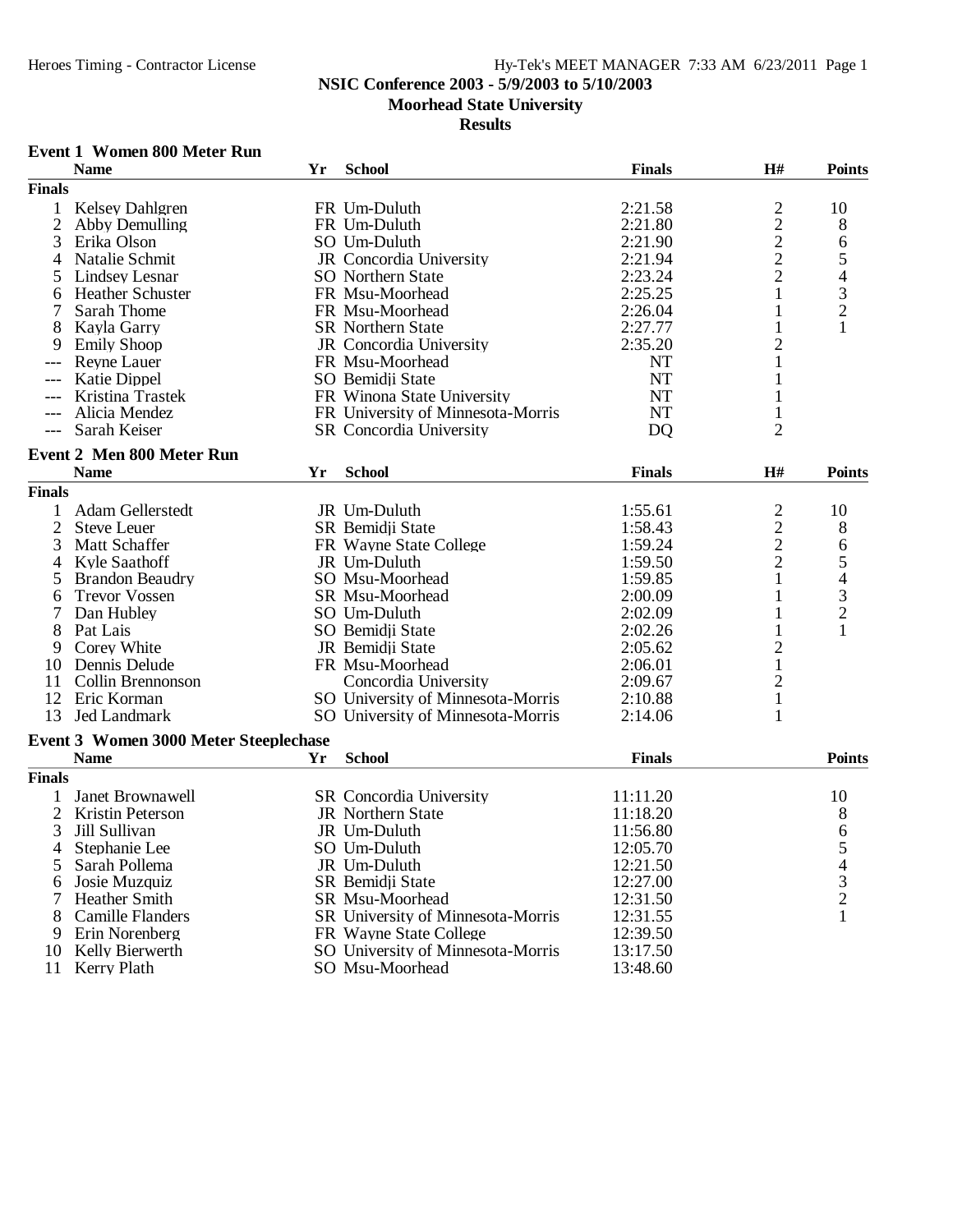### **NSIC Conference 2003 - 5/9/2003 to 5/10/2003**

**Moorhead State University**

### **Results**

### **Event 1 Women 800 Meter Run**

|                | <b>Name</b>                                  | Yr | <b>School</b>                     | <b>Finals</b> | H#                | <b>Points</b> |
|----------------|----------------------------------------------|----|-----------------------------------|---------------|-------------------|---------------|
| <b>Finals</b>  |                                              |    |                                   |               |                   |               |
| 1              | <b>Kelsey Dahlgren</b>                       |    | FR Um-Duluth                      | 2:21.58       | $\overline{c}$    | 10            |
| $\mathfrak{2}$ | Abby Demulling                               |    | FR Um-Duluth                      | 2:21.80       |                   | 8             |
| 3              | Erika Olson                                  |    | SO Um-Duluth                      | 2:21.90       | $\frac{2}{2}$     | 6             |
| 4              | Natalie Schmit                               |    | JR Concordia University           | 2:21.94       |                   |               |
| 5              | <b>Lindsey Lesnar</b>                        |    | <b>SO</b> Northern State          | 2:23.24       | $\frac{2}{2}$     | $\frac{5}{4}$ |
| 6              | <b>Heather Schuster</b>                      |    | FR Msu-Moorhead                   | 2:25.25       | $\mathbf{1}$      |               |
| 7              | Sarah Thome                                  |    | FR Msu-Moorhead                   | 2:26.04       | 1                 | $\frac{3}{2}$ |
| 8              | Kayla Garry                                  |    | <b>SR</b> Northern State          | 2:27.77       | $\mathbf{1}$      | 1             |
| 9              | <b>Emily Shoop</b>                           |    | JR Concordia University           | 2:35.20       | $\overline{c}$    |               |
|                | <b>Reyne Lauer</b>                           |    | FR Msu-Moorhead                   | NT            | $\mathbf{1}$      |               |
|                | <b>Katie Dippel</b>                          |    | SO Bemidji State                  | <b>NT</b>     | 1                 |               |
|                | Kristina Trastek                             |    | FR Winona State University        | <b>NT</b>     |                   |               |
|                | Alicia Mendez                                |    | FR University of Minnesota-Morris | <b>NT</b>     | $\mathbf{1}$      |               |
|                | Sarah Keiser                                 |    | SR Concordia University           |               | $\overline{2}$    |               |
| $---$          |                                              |    |                                   | DO            |                   |               |
|                | <b>Event 2 Men 800 Meter Run</b>             |    |                                   |               |                   |               |
|                | <b>Name</b>                                  | Yr | <b>School</b>                     | <b>Finals</b> | H#                | <b>Points</b> |
| <b>Finals</b>  |                                              |    |                                   |               |                   |               |
| $\mathbf{1}$   | Adam Gellerstedt                             |    | JR Um-Duluth                      | 1:55.61       | $\overline{c}$    | 10            |
| $\overline{2}$ | <b>Steve Leuer</b>                           |    | SR Bemidji State                  | 1:58.43       |                   | 8             |
| 3              | Matt Schaffer                                |    | FR Wayne State College            | 1:59.24       | $\frac{2}{2}$     | 6             |
| 4              | <b>Kyle Saathoff</b>                         |    | JR Um-Duluth                      | 1:59.50       | $\overline{2}$    |               |
| 5              | <b>Brandon Beaudry</b>                       |    | SO Msu-Moorhead                   | 1:59.85       | $\mathbf{1}$      | $\frac{5}{4}$ |
| 6              | <b>Trevor Vossen</b>                         |    | SR Msu-Moorhead                   | 2:00.09       | $\mathbf{1}$      |               |
| 7              | Dan Hubley                                   |    | SO Um-Duluth                      | 2:02.09       | 1                 | $\frac{3}{2}$ |
| 8              | Pat Lais                                     |    | SO Bemidji State                  | 2:02.26       | $\mathbf{1}$      | 1             |
| 9              | Corey White                                  |    | JR Bemidji State                  | 2:05.62       | $\overline{c}$    |               |
| 10             | Dennis Delude                                |    | FR Msu-Moorhead                   | 2:06.01       | $\mathbf{1}$      |               |
| 11             | Collin Brennonson                            |    | Concordia University              | 2:09.67       | $\overline{2}$    |               |
|                | 12 Eric Korman                               |    |                                   | 2:10.88       |                   |               |
| 13             | Jed Landmark                                 |    | SO University of Minnesota-Morris |               | $\mathbf{1}$<br>1 |               |
|                |                                              |    | SO University of Minnesota-Morris | 2:14.06       |                   |               |
|                | <b>Event 3 Women 3000 Meter Steeplechase</b> |    |                                   |               |                   |               |
|                | <b>Name</b>                                  | Yr | <b>School</b>                     | <b>Finals</b> |                   | <b>Points</b> |
| <b>Finals</b>  |                                              |    |                                   |               |                   |               |
| 1              | Janet Brownawell                             |    | SR Concordia University           | 11:11.20      |                   | 10            |
| 2              | Kristin Peterson                             |    | JR Northern State                 | 11:18.20      |                   |               |
| 3              | Jill Sullivan                                |    | JR Um-Duluth                      | 11:56.80      |                   |               |
| 4              | Stephanie Lee                                |    | SO Um-Duluth                      | 12:05.70      |                   |               |
| 5              | Sarah Pollema                                |    | JR Um-Duluth                      | 12:21.50      |                   |               |
| 6              | Josie Muzquiz                                |    | SR Bemidii State                  | 12:27.00      |                   |               |
| 7              | <b>Heather Smith</b>                         |    | SR Msu-Moorhead                   | 12:31.50      |                   | 865432        |
| 8              | <b>Camille Flanders</b>                      |    | SR University of Minnesota-Morris | 12:31.55      |                   | $\mathbf{1}$  |
| 9              | Erin Norenberg                               |    | FR Wayne State College            | 12:39.50      |                   |               |
| 10             | Kelly Bierwerth                              |    | SO University of Minnesota-Morris | 13:17.50      |                   |               |
|                | 11 Kerry Plath                               |    | SO Msu-Moorhead                   | 13:48.60      |                   |               |
|                |                                              |    |                                   |               |                   |               |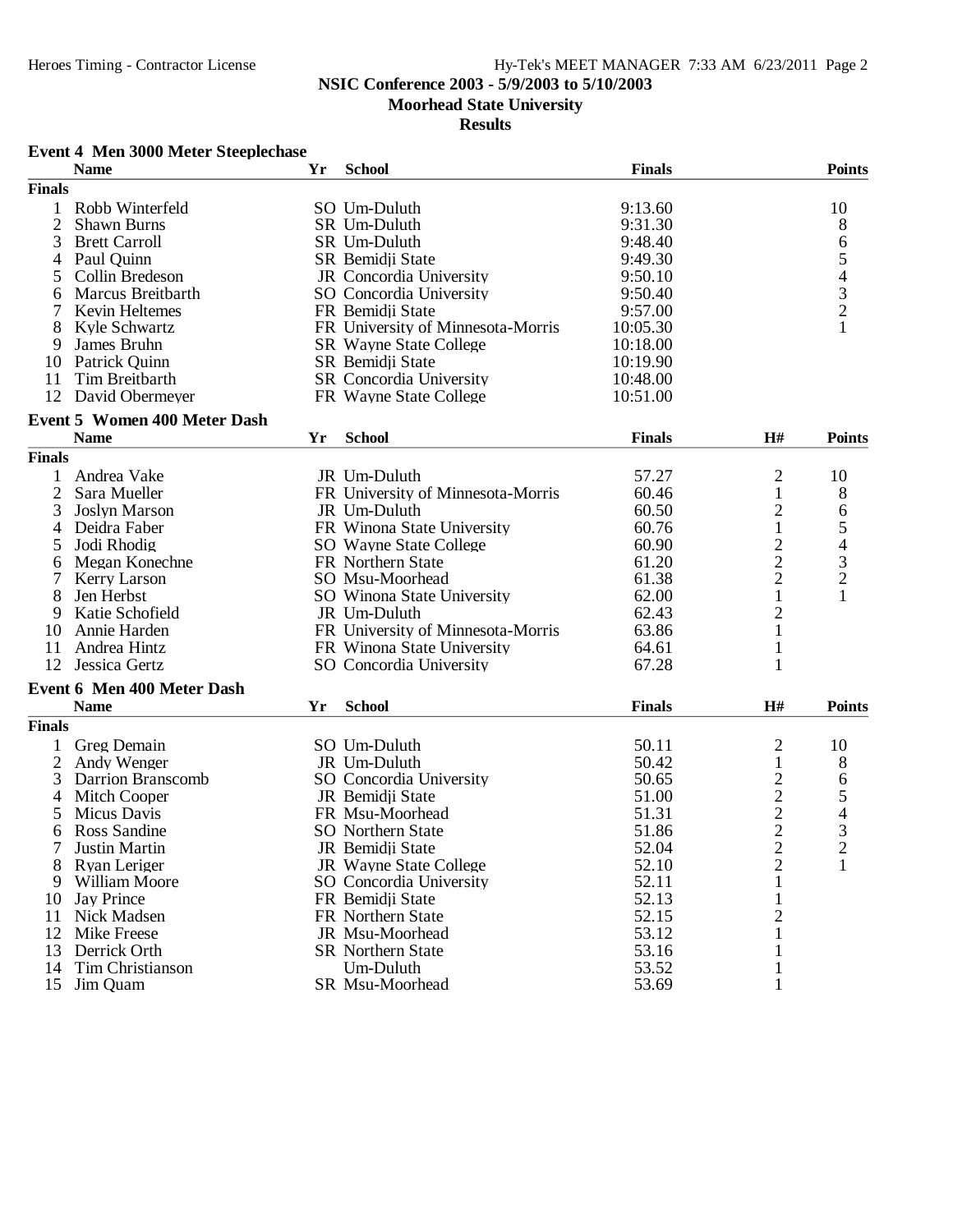### **NSIC Conference 2003 - 5/9/2003 to 5/10/2003**

**Moorhead State University**

#### **Results**

### **Event 4 Men 3000 Meter Steeplechase**

|                | <b>Name</b>                         | Yr | <b>School</b>                     | <b>Finals</b> |                                                   | <b>Points</b>                                   |
|----------------|-------------------------------------|----|-----------------------------------|---------------|---------------------------------------------------|-------------------------------------------------|
| <b>Finals</b>  |                                     |    |                                   |               |                                                   |                                                 |
| 1              | Robb Winterfeld                     |    | SO Um-Duluth                      | 9:13.60       |                                                   | 10                                              |
| $\overline{2}$ | <b>Shawn Burns</b>                  |    | SR Um-Duluth                      | 9:31.30       |                                                   | 8                                               |
| 3              | <b>Brett Carroll</b>                |    | SR Um-Duluth                      | 9:48.40       |                                                   | 6                                               |
| 4              | Paul Quinn                          |    | SR Bemidji State                  | 9:49.30       |                                                   |                                                 |
| 5              | Collin Bredeson                     |    | JR Concordia University           | 9:50.10       |                                                   | 54321                                           |
| 6              | Marcus Breitbarth                   |    | SO Concordia University           | 9:50.40       |                                                   |                                                 |
| 7              | <b>Kevin Heltemes</b>               |    | FR Bemidji State                  | 9:57.00       |                                                   |                                                 |
| 8              | Kyle Schwartz                       |    | FR University of Minnesota-Morris | 10:05.30      |                                                   |                                                 |
| 9              | James Bruhn                         |    | <b>SR</b> Wayne State College     | 10:18.00      |                                                   |                                                 |
| 10             | Patrick Quinn                       |    | SR Bemidji State                  | 10:19.90      |                                                   |                                                 |
| 11             | Tim Breitbarth                      |    | SR Concordia University           | 10:48.00      |                                                   |                                                 |
|                | 12 David Obermeyer                  |    | FR Wayne State College            | 10:51.00      |                                                   |                                                 |
|                |                                     |    |                                   |               |                                                   |                                                 |
|                | <b>Event 5 Women 400 Meter Dash</b> |    |                                   |               |                                                   |                                                 |
|                | <b>Name</b>                         | Yr | <b>School</b>                     | <b>Finals</b> | H#                                                | <b>Points</b>                                   |
| <b>Finals</b>  |                                     |    |                                   |               |                                                   |                                                 |
| 1              | Andrea Vake                         |    | JR Um-Duluth                      | 57.27         | 2                                                 | 10                                              |
| $\overline{2}$ | Sara Mueller                        |    | FR University of Minnesota-Morris | 60.46         | 1                                                 | 8                                               |
| 3              | <b>Joslyn Marson</b>                |    | JR Um-Duluth                      | 60.50         | $\overline{2}$                                    | 6                                               |
| 4              | Deidra Faber                        |    | FR Winona State University        | 60.76         | $\,1$                                             | $\frac{5}{4}$<br>$\frac{3}{2}$                  |
| 5              | Jodi Rhodig                         |    | SO Wayne State College            | 60.90         | $\frac{2}{2}$                                     |                                                 |
| 6              | Megan Konechne                      |    | FR Northern State                 | 61.20         |                                                   |                                                 |
| 7              | <b>Kerry Larson</b>                 |    | SO Msu-Moorhead                   | 61.38         |                                                   |                                                 |
| 8              | Jen Herbst                          |    | SO Winona State University        | 62.00         | $\mathbf{1}$                                      | $\mathbf{1}$                                    |
| 9              | Katie Schofield                     |    | JR Um-Duluth                      | 62.43         | $\overline{c}$                                    |                                                 |
| 10             | Annie Harden                        |    | FR University of Minnesota-Morris | 63.86         | $\mathbf{1}$                                      |                                                 |
| 11             | Andrea Hintz                        |    | FR Winona State University        | 64.61         | $\mathbf{1}$                                      |                                                 |
| 12             | Jessica Gertz                       |    | SO Concordia University           | 67.28         | 1                                                 |                                                 |
|                | Event 6 Men 400 Meter Dash          |    |                                   |               |                                                   |                                                 |
|                | <b>Name</b>                         | Yr | <b>School</b>                     | <b>Finals</b> | H#                                                | <b>Points</b>                                   |
| <b>Finals</b>  |                                     |    |                                   |               |                                                   |                                                 |
| 1              | Greg Demain                         |    | SO Um-Duluth                      | 50.11         | $\overline{\mathbf{c}}$                           | 10                                              |
| $\mathbf{2}$   | Andy Wenger                         |    | JR Um-Duluth                      | 50.42         | $\mathbf{1}$                                      | 8                                               |
| 3              | Darrion Branscomb                   |    | SO Concordia University           | 50.65         |                                                   | 6                                               |
| 4              | Mitch Cooper                        |    | JR Bemidji State                  | 51.00         | $\begin{array}{c}\n2 \\ 2 \\ 2 \\ 2\n\end{array}$ |                                                 |
| 5              | Micus Davis                         |    | FR Msu-Moorhead                   | 51.31         |                                                   | $\begin{array}{c} 5 \\ 4 \\ 3 \\ 2 \end{array}$ |
| 6              | Ross Sandine                        |    | <b>SO</b> Northern State          | 51.86         |                                                   |                                                 |
| 7              | Justin Martin                       |    | JR Bemidji State                  | 52.04         |                                                   |                                                 |
| 8              | Ryan Leriger                        |    | JR Wayne State College            | 52.10         | $\overline{c}$                                    | $\mathbf{1}$                                    |
| 9              | William Moore                       |    | SO Concordia University           | 52.11         | $\mathbf 1$                                       |                                                 |
| 10             | Jay Prince                          |    | FR Bemidji State                  | 52.13         |                                                   |                                                 |
| 11             | Nick Madsen                         |    | FR Northern State                 | 52.15         | $\overline{c}$                                    |                                                 |
|                | 12 Mike Freese                      |    | JR Msu-Moorhead                   | 53.12         |                                                   |                                                 |
| 13             | Derrick Orth                        |    | <b>SR</b> Northern State          | 53.16         |                                                   |                                                 |
| 14             | Tim Christianson                    |    | Um-Duluth                         | 53.52         | 1                                                 |                                                 |
| 15             | Jim Quam                            |    | SR Msu-Moorhead                   | 53.69         |                                                   |                                                 |
|                |                                     |    |                                   |               |                                                   |                                                 |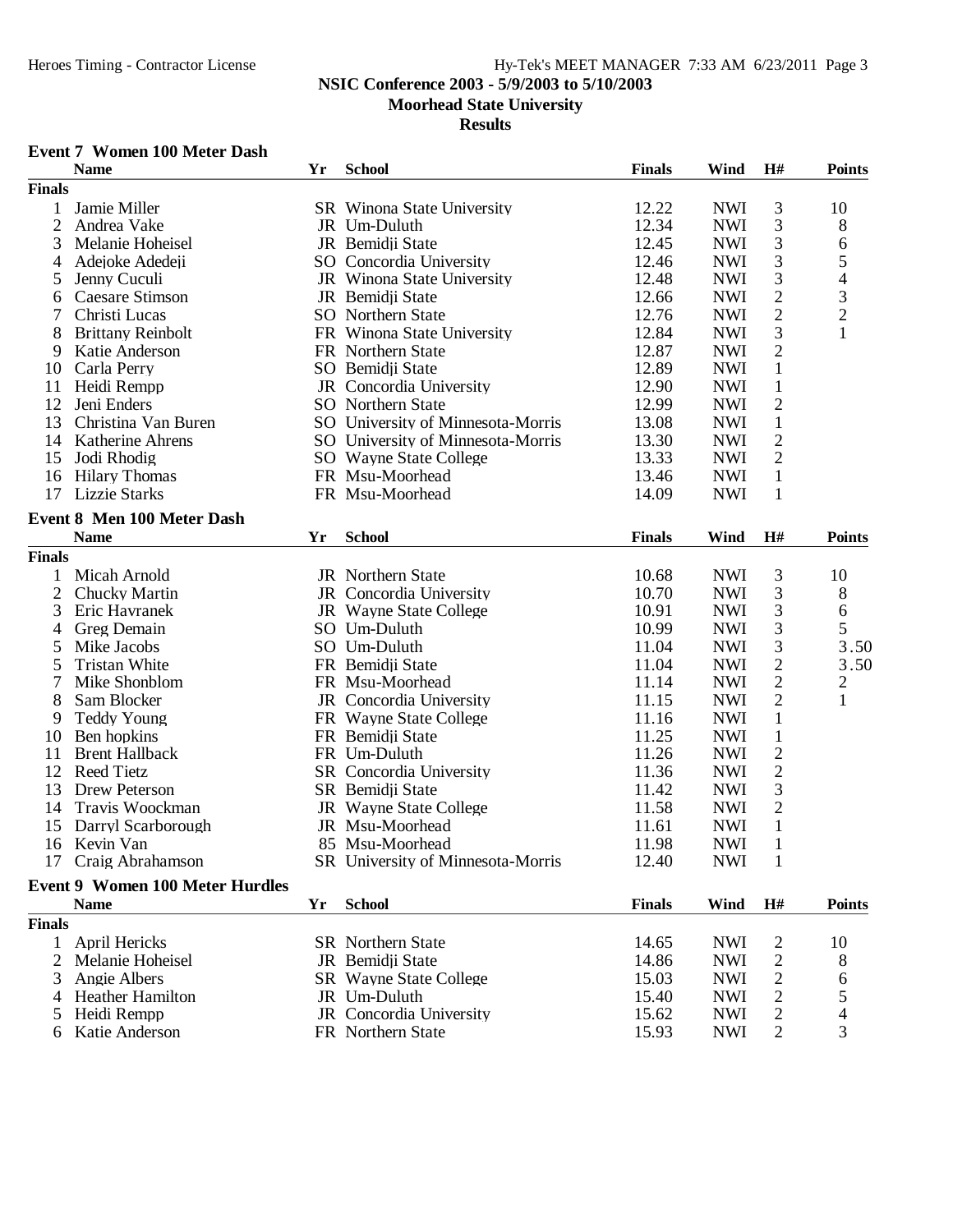### **NSIC Conference 2003 - 5/9/2003 to 5/10/2003**

# **Moorhead State University**

#### **Results**

### **Event 7 Women 100 Meter Dash**

|                | <b>Name</b>                            | Yr | <b>School</b>                     | <b>Finals</b> | Wind       | H#                      | <b>Points</b>  |
|----------------|----------------------------------------|----|-----------------------------------|---------------|------------|-------------------------|----------------|
| <b>Finals</b>  |                                        |    |                                   |               |            |                         |                |
| 1              | Jamie Miller                           |    | SR Winona State University        | 12.22         | <b>NWI</b> | 3                       | 10             |
| $\overline{2}$ | Andrea Vake                            |    | JR Um-Duluth                      | 12.34         | <b>NWI</b> | 3                       | 8              |
| 3              | Melanie Hoheisel                       |    | JR Bemidji State                  | 12.45         | <b>NWI</b> | 3                       | 6              |
| 4              | Adejoke Adedeji                        |    | SO Concordia University           | 12.46         | <b>NWI</b> | 3                       | 5              |
| 5              | Jenny Cuculi                           |    | JR Winona State University        | 12.48         | <b>NWI</b> | 3                       | 4              |
| 6              | <b>Caesare Stimson</b>                 |    | JR Bemidji State                  | 12.66         | <b>NWI</b> | $\overline{2}$          | 3              |
| 7              | Christi Lucas                          |    | <b>SO</b> Northern State          | 12.76         | <b>NWI</b> | $\overline{2}$          | $\overline{c}$ |
| 8              | <b>Brittany Reinbolt</b>               |    | FR Winona State University        | 12.84         | <b>NWI</b> | 3                       | $\mathbf{1}$   |
| 9              | Katie Anderson                         |    | FR Northern State                 | 12.87         | <b>NWI</b> | $\overline{2}$          |                |
|                |                                        |    |                                   |               | <b>NWI</b> |                         |                |
| 10             | Carla Perry                            |    | SO Bemidji State                  | 12.89         |            | $\mathbf{1}$            |                |
| 11             | Heidi Rempp                            |    | JR Concordia University           | 12.90         | <b>NWI</b> | $\mathbf{1}$            |                |
| 12             | Jeni Enders                            |    | <b>SO</b> Northern State          | 12.99         | <b>NWI</b> | $\overline{2}$          |                |
| 13             | Christina Van Buren                    |    | SO University of Minnesota-Morris | 13.08         | <b>NWI</b> | $\mathbf{1}$            |                |
| 14             | Katherine Ahrens                       |    | SO University of Minnesota-Morris | 13.30         | <b>NWI</b> | $\mathfrak{2}$          |                |
| 15             | Jodi Rhodig                            |    | SO Wayne State College            | 13.33         | <b>NWI</b> | $\overline{2}$          |                |
| 16             | <b>Hilary Thomas</b>                   |    | FR Msu-Moorhead                   | 13.46         | <b>NWI</b> | $\mathbf{1}$            |                |
| 17             | <b>Lizzie Starks</b>                   |    | FR Msu-Moorhead                   | 14.09         | <b>NWI</b> | 1                       |                |
|                | <b>Event 8 Men 100 Meter Dash</b>      |    |                                   |               |            |                         |                |
|                | <b>Name</b>                            | Yr | <b>School</b>                     | <b>Finals</b> | Wind       | H#                      | <b>Points</b>  |
| <b>Finals</b>  |                                        |    |                                   |               |            |                         |                |
| 1              | Micah Arnold                           |    | JR Northern State                 | 10.68         | <b>NWI</b> | 3                       | 10             |
|                |                                        |    |                                   |               |            |                         |                |
| $\mathbf{2}$   | Chucky Martin                          |    | JR Concordia University           | 10.70         | <b>NWI</b> | 3                       | 8              |
| 3              | Eric Havranek                          |    | JR Wayne State College            | 10.91         | <b>NWI</b> | 3                       | 6              |
| 4              | Greg Demain                            |    | SO Um-Duluth                      | 10.99         | <b>NWI</b> | 3                       | 5              |
| 5              | Mike Jacobs                            |    | SO Um-Duluth                      | 11.04         | <b>NWI</b> | 3                       | 3.50           |
| 5              | <b>Tristan White</b>                   |    | FR Bemidji State                  | 11.04         | <b>NWI</b> | $\mathbf{2}$            | 3.50           |
| 7              | Mike Shonblom                          |    | FR Msu-Moorhead                   | 11.14         | <b>NWI</b> | $\overline{2}$          | $\overline{c}$ |
| 8              | Sam Blocker                            |    | JR Concordia University           | 11.15         | <b>NWI</b> | $\overline{2}$          | 1              |
| 9              | <b>Teddy Young</b>                     |    | FR Wayne State College            | 11.16         | <b>NWI</b> | $\mathbf{1}$            |                |
| 10             | Ben hopkins                            |    | FR Bemidji State                  | 11.25         | <b>NWI</b> | $\mathbf{1}$            |                |
| 11             | <b>Brent Hallback</b>                  |    | FR Um-Duluth                      | 11.26         | <b>NWI</b> | $\overline{2}$          |                |
| 12             | <b>Reed Tietz</b>                      |    | SR Concordia University           | 11.36         | <b>NWI</b> | $\mathfrak{2}$          |                |
| 13             | Drew Peterson                          |    | SR Bemidji State                  | 11.42         | <b>NWI</b> | $\mathfrak{Z}$          |                |
| 14             | Travis Woockman                        |    | JR Wayne State College            | 11.58         | <b>NWI</b> | $\sqrt{2}$              |                |
| 15             | Darryl Scarborough                     |    | JR Msu-Moorhead                   | 11.61         | <b>NWI</b> | $\mathbf{1}$            |                |
| 16             | Kevin Van                              |    | 85 Msu-Moorhead                   | 11.98         | <b>NWI</b> | $\mathbf 1$             |                |
|                | 17 Craig Abrahamson                    |    | SR University of Minnesota-Morris | 12.40         | <b>NWI</b> | $\mathbf{1}$            |                |
|                |                                        |    |                                   |               |            |                         |                |
|                | <b>Event 9 Women 100 Meter Hurdles</b> |    |                                   |               |            |                         |                |
|                | <b>Name</b>                            | Yr | <b>School</b>                     | <b>Finals</b> | Wind       | H#                      | <b>Points</b>  |
| <b>Finals</b>  |                                        |    |                                   |               |            |                         |                |
| 1              | April Hericks                          |    | <b>SR</b> Northern State          | 14.65         | <b>NWI</b> | $\overline{c}$          | 10             |
| $\overline{2}$ | Melanie Hoheisel                       |    | JR Bemidji State                  | 14.86         | <b>NWI</b> | 2                       | 8              |
| 3              | Angie Albers                           |    | <b>SR</b> Wayne State College     | 15.03         | <b>NWI</b> | 2                       | 6              |
| 4              | <b>Heather Hamilton</b>                |    | JR Um-Duluth                      | 15.40         | <b>NWI</b> | $\overline{c}$          | 5              |
| 5              | Heidi Rempp                            |    | JR Concordia University           | 15.62         | <b>NWI</b> | $\overline{\mathbf{c}}$ | 4              |
| 6              | Katie Anderson                         |    | FR Northern State                 | 15.93         | <b>NWI</b> | $\mathbf{2}$            | 3              |
|                |                                        |    |                                   |               |            |                         |                |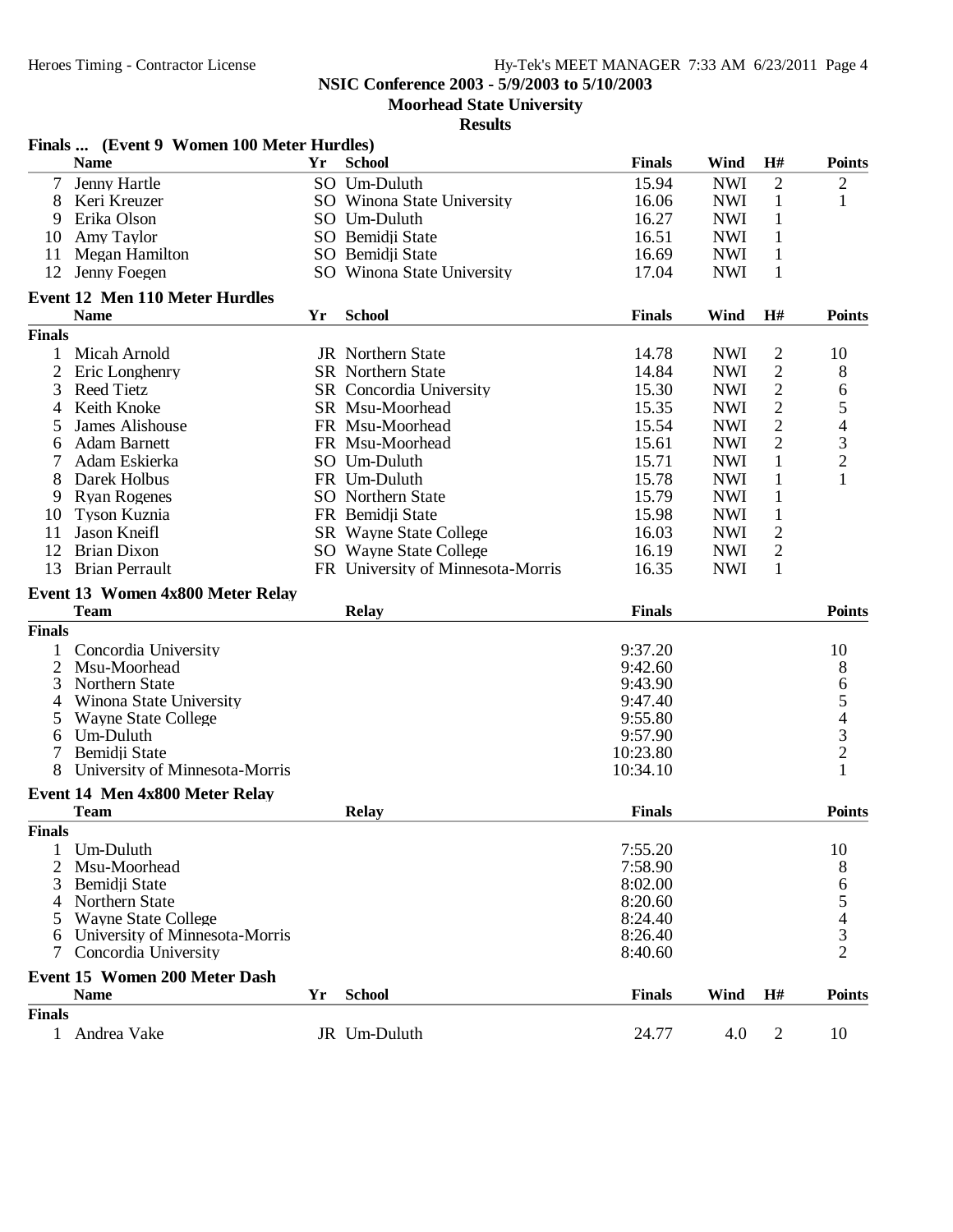**Moorhead State University**

|                               | Finals  (Event 9 Women 100 Meter Hurdles)              |    |                                   |               |            |                |                               |
|-------------------------------|--------------------------------------------------------|----|-----------------------------------|---------------|------------|----------------|-------------------------------|
|                               | <b>Name</b>                                            | Yr | <b>School</b>                     | <b>Finals</b> | Wind       | H#             | <b>Points</b>                 |
|                               | Jenny Hartle                                           |    | SO Um-Duluth                      | 15.94         | <b>NWI</b> | $\overline{2}$ | $\overline{c}$                |
| 8                             | Keri Kreuzer                                           |    | SO Winona State University        | 16.06         | <b>NWI</b> | 1              | 1                             |
| 9                             | Erika Olson                                            |    | SO Um-Duluth                      | 16.27         | <b>NWI</b> | 1              |                               |
| 10                            | Amy Taylor                                             |    | SO Bemidii State                  | 16.51         | <b>NWI</b> | $\mathbf{1}$   |                               |
| 11                            | Megan Hamilton                                         |    | SO Bemidji State                  | 16.69         | <b>NWI</b> | $\mathbf{1}$   |                               |
| 12                            | Jenny Foegen                                           |    | SO Winona State University        | 17.04         | <b>NWI</b> | $\mathbf{1}$   |                               |
|                               | <b>Event 12 Men 110 Meter Hurdles</b>                  |    |                                   |               |            |                |                               |
|                               | <b>Name</b>                                            | Yr | <b>School</b>                     | <b>Finals</b> | Wind       | H#             | <b>Points</b>                 |
| <b>Finals</b>                 |                                                        |    |                                   |               |            |                |                               |
| 1                             | Micah Arnold                                           |    | JR Northern State                 | 14.78         | <b>NWI</b> | 2              | 10                            |
| 2                             | Eric Longhenry                                         |    | <b>SR</b> Northern State          | 14.84         | <b>NWI</b> | $\mathfrak{2}$ | 8                             |
| 3                             | <b>Reed Tietz</b>                                      |    | <b>SR</b> Concordia University    | 15.30         | <b>NWI</b> | 2              | 6                             |
| 4                             | Keith Knoke                                            |    | SR Msu-Moorhead                   | 15.35         | <b>NWI</b> | $\mathbf{2}$   | 5                             |
|                               | James Alishouse                                        |    | FR Msu-Moorhead                   | 15.54         | <b>NWI</b> | $\overline{c}$ | $\overline{\mathcal{L}}$      |
| 6                             | <b>Adam Barnett</b>                                    |    | FR Msu-Moorhead                   | 15.61         | <b>NWI</b> | $\overline{2}$ |                               |
|                               | Adam Eskierka                                          |    | SO Um-Duluth                      | 15.71         | <b>NWI</b> | $\mathbf{1}$   | $\frac{3}{2}$                 |
|                               |                                                        |    |                                   |               |            |                | $\mathbf{1}$                  |
| 8                             | Darek Holbus                                           |    | FR Um-Duluth                      | 15.78         | <b>NWI</b> | $\mathbf{1}$   |                               |
| 9                             | <b>Ryan Rogenes</b>                                    |    | <b>SO</b> Northern State          | 15.79         | <b>NWI</b> | $\mathbf{1}$   |                               |
| 10                            | Tyson Kuznia                                           |    | FR Bemidji State                  | 15.98         | <b>NWI</b> | $\mathbf{1}$   |                               |
| 11                            | Jason Kneifl                                           |    | SR Wayne State College            | 16.03         | <b>NWI</b> | $\mathbf{2}$   |                               |
| 12                            | <b>Brian Dixon</b>                                     |    | SO Wayne State College            | 16.19         | <b>NWI</b> | $\sqrt{2}$     |                               |
| 13                            | <b>Brian Perrault</b>                                  |    | FR University of Minnesota-Morris | 16.35         | <b>NWI</b> | $\mathbf{1}$   |                               |
|                               | Event 13 Women 4x800 Meter Relay                       |    |                                   |               |            |                |                               |
|                               | <b>Team</b>                                            |    | <b>Relay</b>                      | <b>Finals</b> |            |                | <b>Points</b>                 |
|                               |                                                        |    |                                   |               |            |                |                               |
| <b>Finals</b>                 |                                                        |    |                                   |               |            |                |                               |
|                               | Concordia University                                   |    |                                   | 9:37.20       |            |                | 10                            |
| 2                             | Msu-Moorhead                                           |    |                                   | 9:42.60       |            |                |                               |
| 3                             | Northern State                                         |    |                                   | 9:43.90       |            |                | 8                             |
| 4                             |                                                        |    |                                   | 9:47.40       |            |                |                               |
| 5                             | Winona State University<br><b>Wayne State College</b>  |    |                                   | 9:55.80       |            |                |                               |
| 6                             | Um-Duluth                                              |    |                                   | 9:57.90       |            |                |                               |
|                               | Bemidji State                                          |    |                                   | 10:23.80      |            |                |                               |
| 8                             | University of Minnesota-Morris                         |    |                                   | 10:34.10      |            |                | 654321                        |
|                               |                                                        |    |                                   |               |            |                |                               |
|                               | Event 14 Men 4x800 Meter Relay                         |    |                                   |               |            |                |                               |
|                               | <b>Team</b>                                            |    | <b>Relay</b>                      | <b>Finals</b> |            |                | <b>Points</b>                 |
| <b>Finals</b>                 |                                                        |    |                                   |               |            |                |                               |
|                               | Um-Duluth                                              |    |                                   | 7:55.20       |            |                | 10                            |
| 2                             | Msu-Moorhead                                           |    |                                   | 7:58.90       |            |                | 8                             |
|                               | Bemidji State                                          |    |                                   | 8:02.00       |            |                | 6                             |
|                               | Northern State                                         |    |                                   | 8:20.60       |            |                | 5                             |
|                               | <b>Wayne State College</b>                             |    |                                   | 8:24.40       |            |                |                               |
| 6                             | University of Minnesota-Morris<br>Concordia University |    |                                   | 8:26.40       |            |                | $rac{4}{3}$<br>$\overline{2}$ |
|                               |                                                        |    |                                   | 8:40.60       |            |                |                               |
|                               | Event 15 Women 200 Meter Dash                          |    |                                   |               |            |                |                               |
|                               | <b>Name</b>                                            | Yr | <b>School</b>                     | <b>Finals</b> | Wind       | H#             | <b>Points</b>                 |
| <b>Finals</b><br>$\mathbf{1}$ | Andrea Vake                                            |    | JR Um-Duluth                      | 24.77         | 4.0        | $\overline{2}$ | 10                            |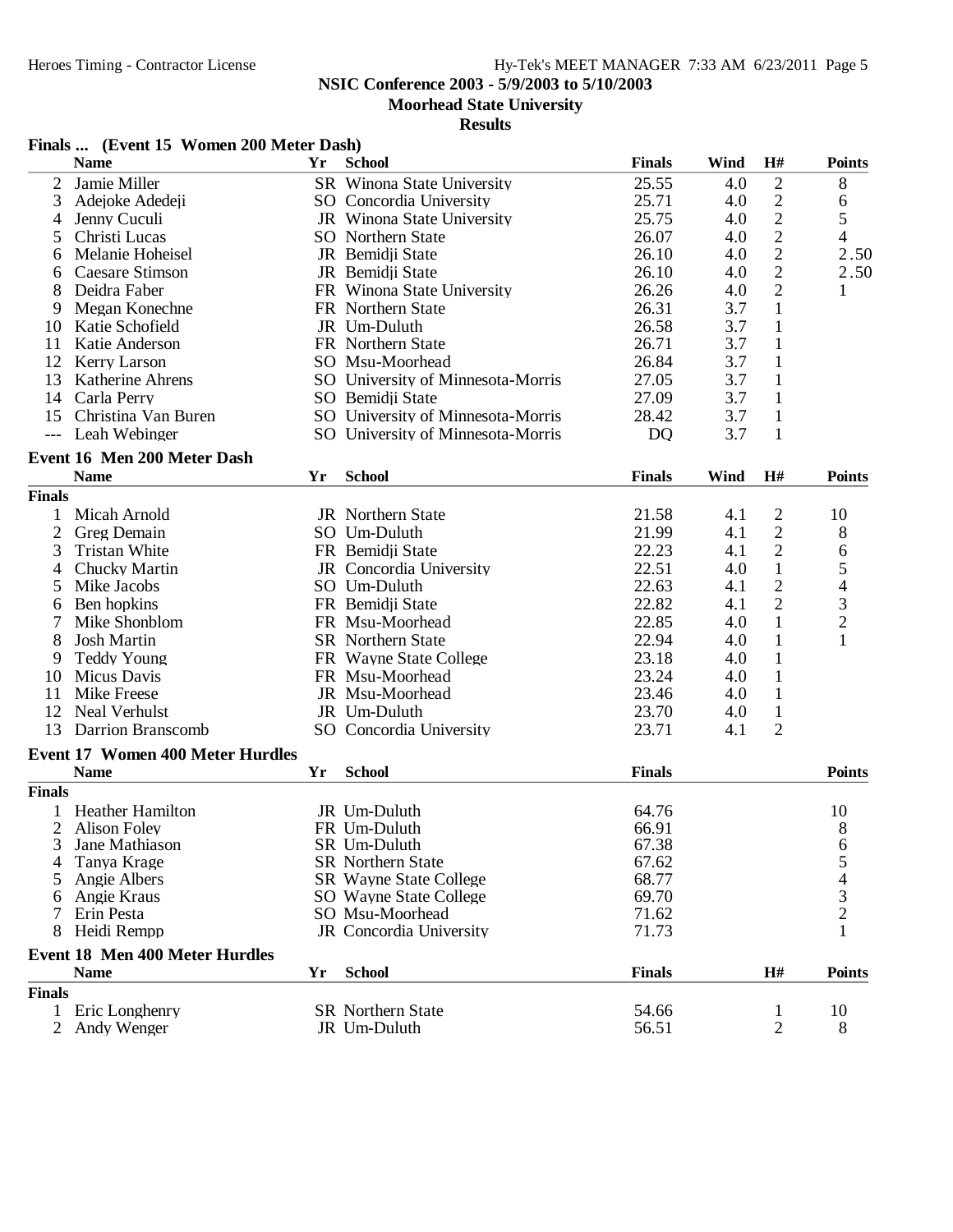**NSIC Conference 2003 - 5/9/2003 to 5/10/2003**

#### **Moorhead State University**

|               | Finals  (Event 15 Women 200 Meter Dash)                |    |                                          |                |      |                |                                            |
|---------------|--------------------------------------------------------|----|------------------------------------------|----------------|------|----------------|--------------------------------------------|
|               | <b>Name</b>                                            | Yr | <b>School</b>                            | <b>Finals</b>  | Wind | H#             | <b>Points</b>                              |
| 2             | Jamie Miller                                           |    | <b>SR</b> Winona State University        | 25.55          | 4.0  | $\overline{2}$ | 8                                          |
| 3             | Adejoke Adedeji                                        |    | SO Concordia University                  | 25.71          | 4.0  | $\mathfrak{2}$ | 6                                          |
| 4             | Jenny Cuculi                                           |    | JR Winona State University               | 25.75          | 4.0  | $\mathbf{2}$   | 5                                          |
| 5             | Christi Lucas                                          |    | <b>SO</b> Northern State                 | 26.07          | 4.0  | $\sqrt{2}$     | $\overline{\mathcal{L}}$                   |
| 6             | Melanie Hoheisel                                       |    | JR Bemidji State                         | 26.10          | 4.0  | $\sqrt{2}$     | 2.50                                       |
| 6             | Caesare Stimson                                        |    | JR Bemidji State                         | 26.10          | 4.0  | $\overline{2}$ | 2.50                                       |
| 8             | Deidra Faber                                           |    | FR Winona State University               | 26.26          | 4.0  | $\overline{2}$ | 1                                          |
| 9             | Megan Konechne                                         |    | FR Northern State                        | 26.31          | 3.7  | $\mathbf{1}$   |                                            |
| 10            | Katie Schofield                                        |    | JR Um-Duluth                             | 26.58          | 3.7  | $\mathbf{1}$   |                                            |
| 11            | Katie Anderson                                         |    | FR Northern State                        | 26.71          | 3.7  | $\mathbf{1}$   |                                            |
|               | 12 Kerry Larson                                        |    | SO Msu-Moorhead                          | 26.84          | 3.7  | $\mathbf{1}$   |                                            |
| 13            | <b>Katherine Ahrens</b>                                |    | SO University of Minnesota-Morris        | 27.05          | 3.7  | 1              |                                            |
| 14            | Carla Perry                                            |    | SO Bemidii State                         | 27.09          | 3.7  | $\mathbf{1}$   |                                            |
| 15            | Christina Van Buren                                    |    | SO University of Minnesota-Morris        | 28.42          | 3.7  | $\mathbf{1}$   |                                            |
| $---$         | Leah Webinger                                          |    | SO University of Minnesota-Morris        | D <sub>Q</sub> | 3.7  | $\mathbf{1}$   |                                            |
|               | Event 16 Men 200 Meter Dash                            |    |                                          |                |      |                |                                            |
|               | <b>Name</b>                                            | Yr | <b>School</b>                            | <b>Finals</b>  | Wind | H#             | <b>Points</b>                              |
| <b>Finals</b> |                                                        |    |                                          |                |      |                |                                            |
| 1             | Micah Arnold                                           |    | JR Northern State                        | 21.58          | 4.1  | $\overline{2}$ | 10                                         |
| 2             | Greg Demain                                            |    | SO Um-Duluth                             | 21.99          | 4.1  | $\overline{2}$ | 8                                          |
| 3             | <b>Tristan White</b>                                   |    | FR Bemidji State                         | 22.23          | 4.1  | $\mathfrak{2}$ | 6                                          |
| 4             | Chucky Martin                                          |    | JR Concordia University                  | 22.51          | 4.0  | $\mathbf{1}$   | 5                                          |
| 5             | Mike Jacobs                                            |    | SO Um-Duluth                             | 22.63          | 4.1  | $\mathfrak{2}$ | $\overline{\mathcal{L}}$                   |
| 6             | Ben hopkins                                            |    | FR Bemidji State                         | 22.82          | 4.1  | $\overline{2}$ | 3                                          |
|               | Mike Shonblom                                          |    | FR Msu-Moorhead                          | 22.85          | 4.0  | $\mathbf{1}$   | $\overline{c}$                             |
| 8             | <b>Josh Martin</b>                                     |    | <b>SR</b> Northern State                 | 22.94          | 4.0  | $\mathbf{1}$   | 1                                          |
| 9             | <b>Teddy Young</b>                                     |    | FR Wayne State College                   | 23.18          | 4.0  | $\mathbf{1}$   |                                            |
| 10            | Micus Davis                                            |    | FR Msu-Moorhead                          | 23.24          | 4.0  | $\mathbf{1}$   |                                            |
| 11            | Mike Freese                                            |    | JR Msu-Moorhead                          | 23.46          | 4.0  | $\mathbf{1}$   |                                            |
| 12            | Neal Verhulst                                          |    | JR Um-Duluth                             | 23.70          | 4.0  | $\mathbf{1}$   |                                            |
| 13            | Darrion Branscomb                                      |    | SO Concordia University                  | 23.71          | 4.1  | $\overline{2}$ |                                            |
|               |                                                        |    |                                          |                |      |                |                                            |
|               | <b>Event 17 Women 400 Meter Hurdles</b><br><b>Name</b> | Yr | <b>School</b>                            | <b>Finals</b>  |      |                | <b>Points</b>                              |
| <b>Finals</b> |                                                        |    |                                          |                |      |                |                                            |
|               |                                                        |    |                                          |                |      |                |                                            |
|               | 1 Heather Hamilton                                     |    | JR Um-Duluth                             | 64.76          |      |                | 10                                         |
|               | 2 Alison Foley                                         |    | FR Um-Duluth                             | 66.91          |      |                | 8                                          |
|               | Jane Mathiason<br>Tanya Krage                          |    | SR Um-Duluth<br><b>SR</b> Northern State | 67.38<br>67.62 |      |                | 6<br>5                                     |
| 5             | Angie Albers                                           |    | <b>SR</b> Wayne State College            | 68.77          |      |                |                                            |
| 6             | Angie Kraus                                            |    | <b>SO</b> Wayne State College            | 69.70          |      |                | $\begin{array}{c} 4 \\ 3 \\ 2 \end{array}$ |
| 7             | Erin Pesta                                             |    | SO Msu-Moorhead                          | 71.62          |      |                |                                            |
| 8             | Heidi Rempp                                            |    | JR Concordia University                  | 71.73          |      |                |                                            |
|               |                                                        |    |                                          |                |      |                |                                            |
|               | <b>Event 18 Men 400 Meter Hurdles</b><br><b>Name</b>   | Yr | <b>School</b>                            | <b>Finals</b>  |      | H#             | <b>Points</b>                              |
|               |                                                        |    |                                          |                |      |                |                                            |
| <b>Finals</b> |                                                        |    |                                          |                |      |                |                                            |
|               | 1 Eric Longhenry                                       |    | <b>SR</b> Northern State                 | 54.66          |      | $\mathbf{1}$   | 10                                         |
| 2             | Andy Wenger                                            |    | JR Um-Duluth                             | 56.51          |      | 2              | 8                                          |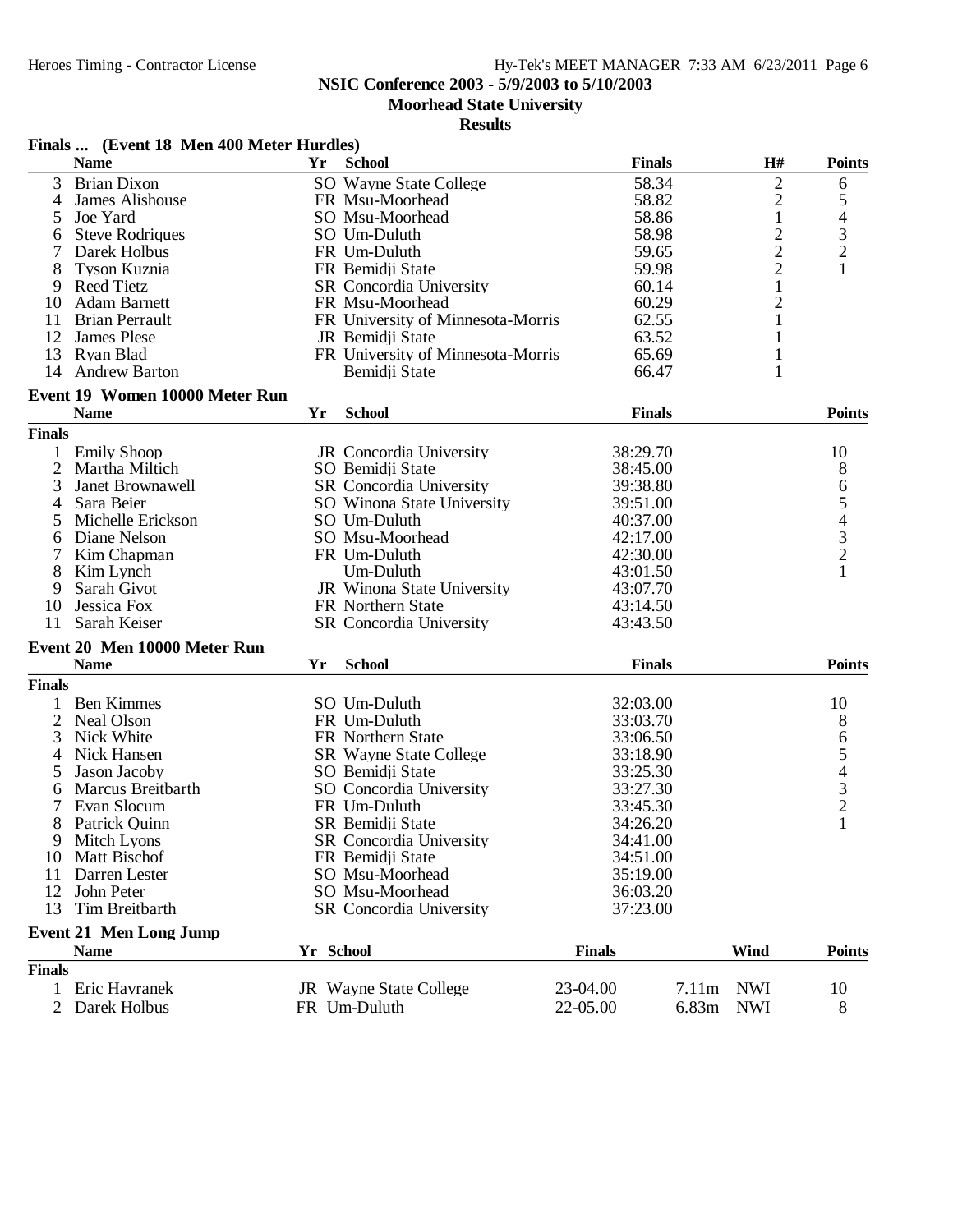**Moorhead State University**

|                | Finals  (Event 18 Men 400 Meter Hurdles)      |           |                                   |               |       |                |                                                 |
|----------------|-----------------------------------------------|-----------|-----------------------------------|---------------|-------|----------------|-------------------------------------------------|
|                | <b>Name</b>                                   | Yr        | <b>School</b>                     | <b>Finals</b> |       | H#             | <b>Points</b>                                   |
| 3              | <b>Brian Dixon</b>                            |           | SO Wayne State College            | 58.34         |       | $\overline{c}$ | 6                                               |
| 4              | James Alishouse                               |           | FR Msu-Moorhead                   | 58.82         |       | $\overline{c}$ | 5                                               |
| 5              | Joe Yard                                      |           | SO Msu-Moorhead                   | 58.86         |       | $\mathbf{1}$   |                                                 |
| 6              | <b>Steve Rodriques</b>                        |           | SO Um-Duluth                      | 58.98         |       | $\overline{c}$ | $\begin{array}{c} 4 \\ 3 \\ 2 \end{array}$      |
| 7              | Darek Holbus                                  |           | FR Um-Duluth                      | 59.65         |       | $\overline{c}$ |                                                 |
| 8              | Tyson Kuznia                                  |           | FR Bemidji State                  | 59.98         |       | $\overline{c}$ | $\mathbf{1}$                                    |
| 9              | Reed Tietz                                    |           | <b>SR</b> Concordia University    | 60.14         |       | $\mathbf{1}$   |                                                 |
| 10             | <b>Adam Barnett</b>                           |           | FR Msu-Moorhead                   | 60.29         |       | $\overline{c}$ |                                                 |
| 11             | <b>Brian Perrault</b>                         |           | FR University of Minnesota-Morris | 62.55         |       | 1              |                                                 |
| 12             | James Plese                                   |           | JR Bemidji State                  | 63.52         |       | 1              |                                                 |
| 13             | Ryan Blad                                     |           | FR University of Minnesota-Morris | 65.69         |       | 1              |                                                 |
| 14             | <b>Andrew Barton</b>                          |           | Bemidji State                     | 66.47         |       | 1              |                                                 |
|                |                                               |           |                                   |               |       |                |                                                 |
|                | Event 19 Women 10000 Meter Run<br><b>Name</b> | Yr        | <b>School</b>                     | <b>Finals</b> |       |                | <b>Points</b>                                   |
|                |                                               |           |                                   |               |       |                |                                                 |
| <b>Finals</b>  |                                               |           |                                   |               |       |                |                                                 |
|                | 1 Emily Shoop                                 |           | JR Concordia University           | 38:29.70      |       |                | 10                                              |
| 2              | Martha Miltich                                |           | SO Bemidii State                  | 38:45.00      |       |                | 8                                               |
| 3              | Janet Brownawell                              |           | SR Concordia University           | 39:38.80      |       |                |                                                 |
| 4              | Sara Beier                                    |           | SO Winona State University        | 39:51.00      |       |                |                                                 |
| 5              | Michelle Erickson                             |           | SO Um-Duluth                      | 40:37.00      |       |                |                                                 |
| 6              | Diane Nelson                                  |           | SO Msu-Moorhead                   | 42:17.00      |       |                |                                                 |
| 7              | Kim Chapman                                   |           | FR Um-Duluth                      | 42:30.00      |       |                | 654321                                          |
| 8              | Kim Lynch                                     |           | Um-Duluth                         | 43:01.50      |       |                |                                                 |
| 9              | Sarah Givot                                   |           | JR Winona State University        | 43:07.70      |       |                |                                                 |
| 10             | Jessica Fox                                   |           | FR Northern State                 | 43:14.50      |       |                |                                                 |
| 11             | Sarah Keiser                                  |           | SR Concordia University           | 43:43.50      |       |                |                                                 |
|                | Event 20 Men 10000 Meter Run                  |           |                                   |               |       |                |                                                 |
|                | <b>Name</b>                                   | Yr        | <b>School</b>                     | <b>Finals</b> |       |                | <b>Points</b>                                   |
| <b>Finals</b>  |                                               |           |                                   |               |       |                |                                                 |
| 1              | <b>Ben Kimmes</b>                             |           | SO Um-Duluth                      | 32:03.00      |       |                | 10                                              |
| 2              | Neal Olson                                    |           | FR Um-Duluth                      | 33:03.70      |       |                | 8                                               |
| 3              | Nick White                                    |           | FR Northern State                 | 33:06.50      |       |                | 6                                               |
| 4              | Nick Hansen                                   |           | <b>SR</b> Wayne State College     | 33:18.90      |       |                |                                                 |
| 5              | Jason Jacoby                                  |           | SO Bemidji State                  | 33:25.30      |       |                |                                                 |
|                | Marcus Breitbarth                             |           |                                   | 33:27.30      |       |                | $\begin{array}{c} 5 \\ 4 \\ 3 \\ 2 \end{array}$ |
| 6              | Evan Slocum                                   |           | SO Concordia University           |               |       |                |                                                 |
| 7              |                                               |           | FR Um-Duluth<br>SR Bemidji State  | 33:45.30      |       |                | $\mathbf{1}$                                    |
| 8              | Patrick Quinn                                 |           |                                   | 34:26.20      |       |                |                                                 |
| 9              | Mitch Lyons                                   |           | SR Concordia University           | 34:41.00      |       |                |                                                 |
| 10             | Matt Bischof                                  |           | FR Bemidji State                  | 34:51.00      |       |                |                                                 |
| 11             | Darren Lester                                 |           | SO Msu-Moorhead                   | 35:19.00      |       |                |                                                 |
| 12             | John Peter                                    |           | SO Msu-Moorhead                   | 36:03.20      |       |                |                                                 |
| 13             | Tim Breitbarth                                |           | <b>SR</b> Concordia University    | 37:23.00      |       |                |                                                 |
|                | <b>Event 21 Men Long Jump</b>                 |           |                                   |               |       |                |                                                 |
|                | <b>Name</b>                                   | Yr School |                                   | <b>Finals</b> |       | Wind           | <b>Points</b>                                   |
| <b>Finals</b>  |                                               |           |                                   |               |       |                |                                                 |
| 1              | Eric Havranek                                 |           | JR Wayne State College            | 23-04.00      | 7.11m | <b>NWI</b>     | 10                                              |
| $\overline{2}$ | Darek Holbus                                  |           | FR Um-Duluth                      | 22-05.00      | 6.83m | <b>NWI</b>     | 8                                               |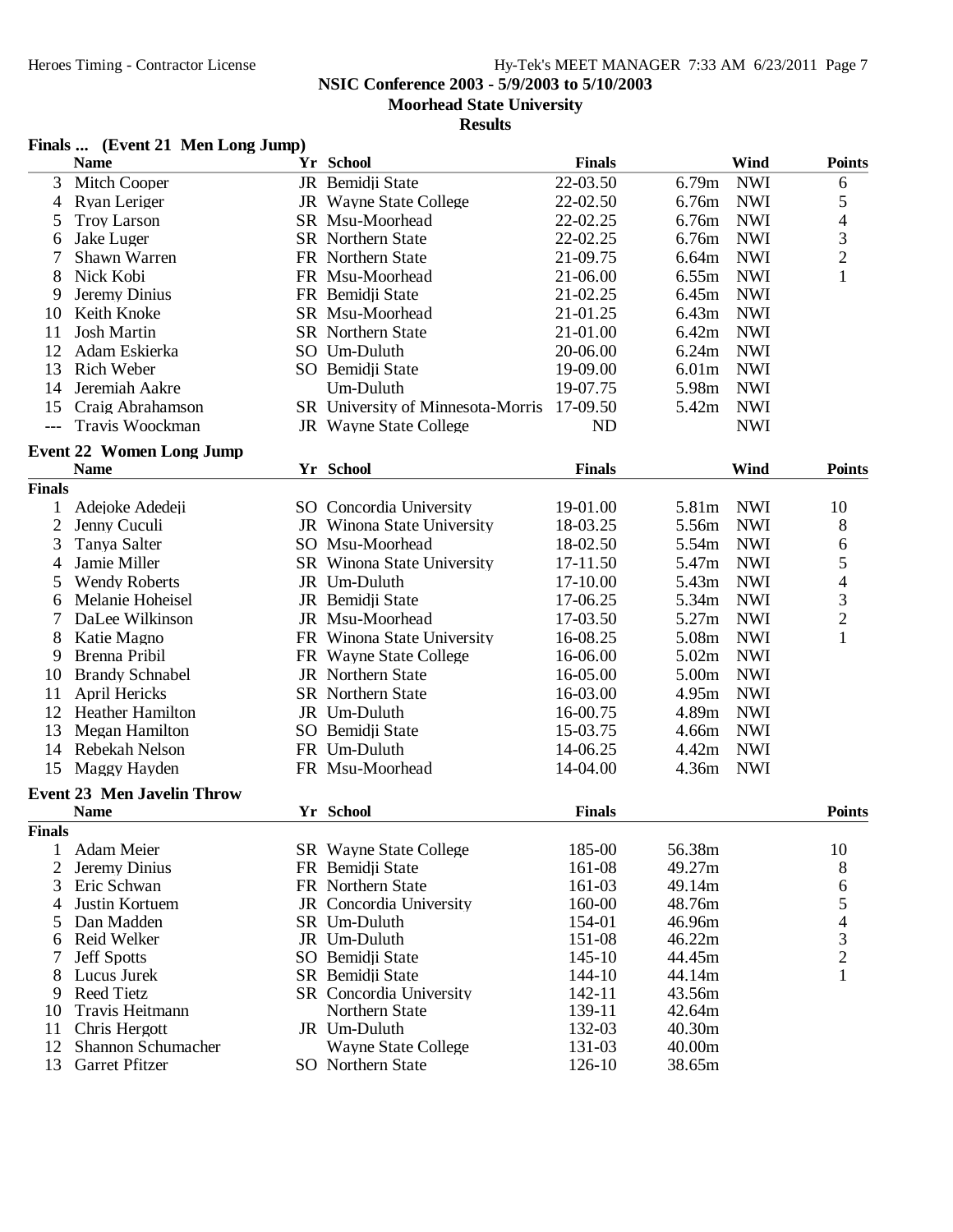**NSIC Conference 2003 - 5/9/2003 to 5/10/2003**

**Moorhead State University**

#### **Results**

### **Finals ... (Event 21 Men Long Jump)**

|                | <b>Name</b>                                    | Yr School                         | <b>Finals</b> |        | Wind       | <b>Points</b>            |
|----------------|------------------------------------------------|-----------------------------------|---------------|--------|------------|--------------------------|
| 3              | Mitch Cooper                                   | JR Bemidji State                  | 22-03.50      | 6.79m  | <b>NWI</b> | 6                        |
| 4              | Ryan Leriger                                   | JR Wayne State College            | 22-02.50      | 6.76m  | <b>NWI</b> | 5                        |
| 5              | <b>Troy Larson</b>                             | SR Msu-Moorhead                   | 22-02.25      | 6.76m  | <b>NWI</b> | $\overline{4}$           |
| 6              | <b>Jake Luger</b>                              | <b>SR</b> Northern State          | 22-02.25      | 6.76m  | <b>NWI</b> |                          |
| 7              | Shawn Warren                                   | FR Northern State                 | 21-09.75      | 6.64m  | <b>NWI</b> | $\frac{3}{2}$            |
| 8              | Nick Kobi                                      | FR Msu-Moorhead                   | 21-06.00      | 6.55m  | <b>NWI</b> | $\mathbf{1}$             |
| 9              | Jeremy Dinius                                  | FR Bemidji State                  | 21-02.25      | 6.45m  | <b>NWI</b> |                          |
| 10             | Keith Knoke                                    | SR Msu-Moorhead                   | 21-01.25      | 6.43m  | <b>NWI</b> |                          |
| 11             | <b>Josh Martin</b>                             | <b>SR</b> Northern State          | 21-01.00      | 6.42m  | <b>NWI</b> |                          |
| 12             | Adam Eskierka                                  | SO Um-Duluth                      | 20-06.00      | 6.24m  | <b>NWI</b> |                          |
| 13             | Rich Weber                                     | SO Bemidji State                  | 19-09.00      | 6.01m  | <b>NWI</b> |                          |
| 14             | Jeremiah Aakre                                 | Um-Duluth                         | 19-07.75      | 5.98m  | <b>NWI</b> |                          |
| 15             | Craig Abrahamson                               | SR University of Minnesota-Morris | 17-09.50      | 5.42m  | <b>NWI</b> |                          |
| $---$          | Travis Woockman                                | JR Wayne State College            | ND            |        | <b>NWI</b> |                          |
|                |                                                |                                   |               |        |            |                          |
|                | <b>Event 22 Women Long Jump</b><br><b>Name</b> |                                   |               |        | Wind       | <b>Points</b>            |
|                |                                                | Yr School                         | <b>Finals</b> |        |            |                          |
| <b>Finals</b>  |                                                |                                   |               |        |            |                          |
| 1              | Adejoke Adedeji                                | SO Concordia University           | 19-01.00      | 5.81m  | <b>NWI</b> | 10                       |
| $\overline{c}$ | Jenny Cuculi                                   | JR Winona State University        | 18-03.25      | 5.56m  | <b>NWI</b> | 8                        |
| 3              | Tanya Salter                                   | SO Msu-Moorhead                   | 18-02.50      | 5.54m  | <b>NWI</b> | 6                        |
| 4              | Jamie Miller                                   | SR Winona State University        | 17-11.50      | 5.47m  | <b>NWI</b> | 5                        |
| 5              | <b>Wendy Roberts</b>                           | JR Um-Duluth                      | 17-10.00      | 5.43m  | <b>NWI</b> | $\overline{\mathcal{L}}$ |
| 6              | Melanie Hoheisel                               | JR Bemidji State                  | 17-06.25      | 5.34m  | <b>NWI</b> | 3                        |
| 7              | DaLee Wilkinson                                | JR Msu-Moorhead                   | 17-03.50      | 5.27m  | <b>NWI</b> | $\overline{2}$           |
| 8              | Katie Magno                                    | FR Winona State University        | 16-08.25      | 5.08m  | <b>NWI</b> | $\mathbf{1}$             |
| 9              | Brenna Pribil                                  | FR Wayne State College            | 16-06.00      | 5.02m  | <b>NWI</b> |                          |
| 10             | <b>Brandy Schnabel</b>                         | JR Northern State                 | 16-05.00      | 5.00m  | <b>NWI</b> |                          |
| 11             | April Hericks                                  | <b>SR</b> Northern State          | 16-03.00      | 4.95m  | <b>NWI</b> |                          |
| 12             | <b>Heather Hamilton</b>                        | JR Um-Duluth                      | 16-00.75      | 4.89m  | <b>NWI</b> |                          |
| 13             | Megan Hamilton                                 | SO Bemidji State                  | 15-03.75      | 4.66m  | <b>NWI</b> |                          |
| 14             | Rebekah Nelson                                 | FR Um-Duluth                      | 14-06.25      | 4.42m  | <b>NWI</b> |                          |
| 15             | Maggy Hayden                                   | FR Msu-Moorhead                   | 14-04.00      | 4.36m  | <b>NWI</b> |                          |
|                | <b>Event 23 Men Javelin Throw</b>              |                                   |               |        |            |                          |
|                | <b>Name</b>                                    | Yr School                         | <b>Finals</b> |        |            | <b>Points</b>            |
| <b>Finals</b>  |                                                |                                   |               |        |            |                          |
|                | 1 Adam Meier                                   | SR Wayne State College            | 185-00        | 56.38m |            | 10                       |
|                | Jeremy Dinius                                  | FR Bemidji State                  | 161-08        | 49.27m |            | 8                        |
| 3              | Eric Schwan                                    | FR Northern State                 | 161-03        | 49.14m |            | 6                        |
| 4              | Justin Kortuem                                 | JR Concordia University           | 160-00        | 48.76m |            | 5                        |
|                | Dan Madden                                     | SR Um-Duluth                      | 154-01        | 46.96m |            | 4                        |
| 6              | Reid Welker                                    | JR Um-Duluth                      | 151-08        | 46.22m |            | 3                        |
|                | <b>Jeff Spotts</b>                             | SO Bemidji State                  | $145 - 10$    | 44.45m |            | $\overline{2}$           |
| 8              | Lucus Jurek                                    | SR Bemidji State                  | 144-10        | 44.14m |            | 1                        |
| 9              | <b>Reed Tietz</b>                              | <b>SR</b> Concordia University    | 142-11        | 43.56m |            |                          |
| 10             | Travis Heitmann                                | Northern State                    | 139-11        | 42.64m |            |                          |
| 11             | Chris Hergott                                  | JR Um-Duluth                      | 132-03        | 40.30m |            |                          |
| 12             | Shannon Schumacher                             | <b>Wayne State College</b>        | 131-03        | 40.00m |            |                          |
| 13             | Garret Pfitzer                                 | SO Northern State                 | 126-10        | 38.65m |            |                          |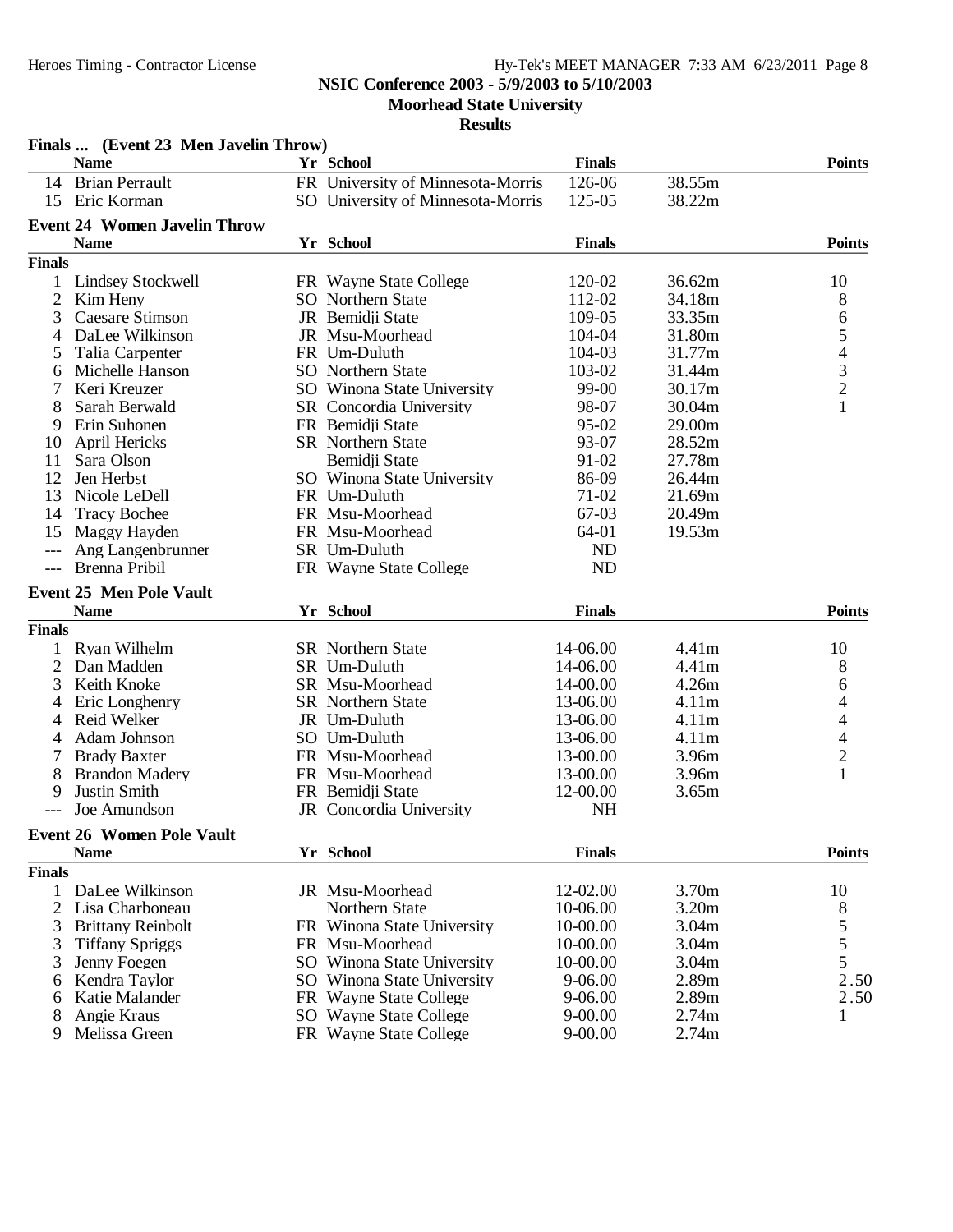**NSIC Conference 2003 - 5/9/2003 to 5/10/2003**

**Moorhead State University**

|                | Finals  (Event 23 Men Javelin Throw) |                                   |               |        |                                |
|----------------|--------------------------------------|-----------------------------------|---------------|--------|--------------------------------|
|                | <b>Name</b>                          | Yr School                         | <b>Finals</b> |        | <b>Points</b>                  |
| 14             | <b>Brian Perrault</b>                | FR University of Minnesota-Morris | 126-06        | 38.55m |                                |
| 15             | Eric Korman                          | SO University of Minnesota-Morris | 125-05        | 38.22m |                                |
|                | <b>Event 24 Women Javelin Throw</b>  |                                   |               |        |                                |
|                | <b>Name</b>                          | Yr School                         | <b>Finals</b> |        | <b>Points</b>                  |
| <b>Finals</b>  |                                      |                                   |               |        |                                |
| 1              | <b>Lindsey Stockwell</b>             | FR Wayne State College            | 120-02        | 36.62m | 10                             |
| $\overline{c}$ | Kim Heny                             | SO Northern State                 | 112-02        | 34.18m | 8                              |
| 3              | <b>Caesare Stimson</b>               | JR Bemidji State                  | 109-05        | 33.35m | 6                              |
| 4              | DaLee Wilkinson                      | JR Msu-Moorhead                   | 104-04        | 31.80m |                                |
| 5              | Talia Carpenter                      | FR Um-Duluth                      | 104-03        | 31.77m | $\frac{5}{4}$<br>$\frac{3}{2}$ |
| 6              | Michelle Hanson                      | SO Northern State                 | 103-02        | 31.44m |                                |
|                | Keri Kreuzer                         | SO Winona State University        | 99-00         | 30.17m |                                |
| 8              | Sarah Berwald                        | SR Concordia University           | 98-07         | 30.04m | $\mathbf{1}$                   |
| 9              | Erin Suhonen                         | FR Bemidji State                  | 95-02         | 29.00m |                                |
| 10             | <b>April Hericks</b>                 | <b>SR</b> Northern State          | 93-07         | 28.52m |                                |
| 11             | Sara Olson                           | Bemidji State                     | 91-02         | 27.78m |                                |
| 12             | Jen Herbst                           | SO Winona State University        | 86-09         | 26.44m |                                |
| 13             | Nicole LeDell                        | FR Um-Duluth                      | 71-02         | 21.69m |                                |
| 14             | <b>Tracy Bochee</b>                  | FR Msu-Moorhead                   | 67-03         | 20.49m |                                |
| 15             | Maggy Hayden                         | FR Msu-Moorhead                   | 64-01         | 19.53m |                                |
|                | Ang Langenbrunner                    | SR Um-Duluth                      | <b>ND</b>     |        |                                |
| $---$          | Brenna Pribil                        | FR Wayne State College            | ND            |        |                                |
|                | <b>Event 25 Men Pole Vault</b>       |                                   |               |        |                                |
|                | <b>Name</b>                          | Yr School                         | <b>Finals</b> |        | <b>Points</b>                  |
| <b>Finals</b>  |                                      |                                   |               |        |                                |
|                | Ryan Wilhelm                         | <b>SR</b> Northern State          | 14-06.00      | 4.41m  | 10                             |
| 2              | Dan Madden                           | SR Um-Duluth                      | 14-06.00      | 4.41m  | 8                              |
| 3              | Keith Knoke                          | SR Msu-Moorhead                   | 14-00.00      | 4.26m  | 6                              |
| 4              | Eric Longhenry                       | <b>SR</b> Northern State          | 13-06.00      | 4.11m  | 4                              |
| 4              | Reid Welker                          | JR Um-Duluth                      | 13-06.00      | 4.11m  | 4                              |
| 4              | Adam Johnson                         | SO Um-Duluth                      | 13-06.00      | 4.11m  | $\overline{\mathcal{L}}$       |
|                | <b>Brady Baxter</b>                  | FR Msu-Moorhead                   | 13-00.00      | 3.96m  | $\overline{c}$                 |
| 8              | <b>Brandon Madery</b>                | FR Msu-Moorhead                   | 13-00.00      | 3.96m  | $\mathbf{1}$                   |
| 9              | Justin Smith                         | FR Bemidii State                  | 12-00.00      | 3.65m  |                                |
|                | Joe Amundson                         | JR Concordia University           | <b>NH</b>     |        |                                |
|                |                                      |                                   |               |        |                                |
|                | <b>Event 26 Women Pole Vault</b>     |                                   |               |        |                                |
|                | <b>Name</b>                          | Yr School                         | <b>Finals</b> |        | <b>Points</b>                  |
| <b>Finals</b>  |                                      |                                   |               |        |                                |
| 1              | DaLee Wilkinson                      | JR Msu-Moorhead                   | 12-02.00      | 3.70m  | 10                             |
| 2              | Lisa Charboneau                      | Northern State                    | 10-06.00      | 3.20m  | 8                              |
| 3              | <b>Brittany Reinbolt</b>             | FR Winona State University        | 10-00.00      | 3.04m  |                                |
| 3              | <b>Tiffany Spriggs</b>               | FR Msu-Moorhead                   | 10-00.00      | 3.04m  | $\frac{5}{5}$                  |
| 3              | Jenny Foegen                         | SO Winona State University        | 10-00.00      | 3.04m  |                                |
| 6              | Kendra Taylor                        | SO Winona State University        | 9-06.00       | 2.89m  | 2.50                           |
| 6              | Katie Malander                       | FR Wayne State College            | 9-06.00       | 2.89m  | 2.50                           |
| 8              | Angie Kraus                          | SO Wayne State College            | $9 - 00.00$   | 2.74m  | 1                              |
| 9              | Melissa Green                        | FR Wayne State College            | $9 - 00.00$   | 2.74m  |                                |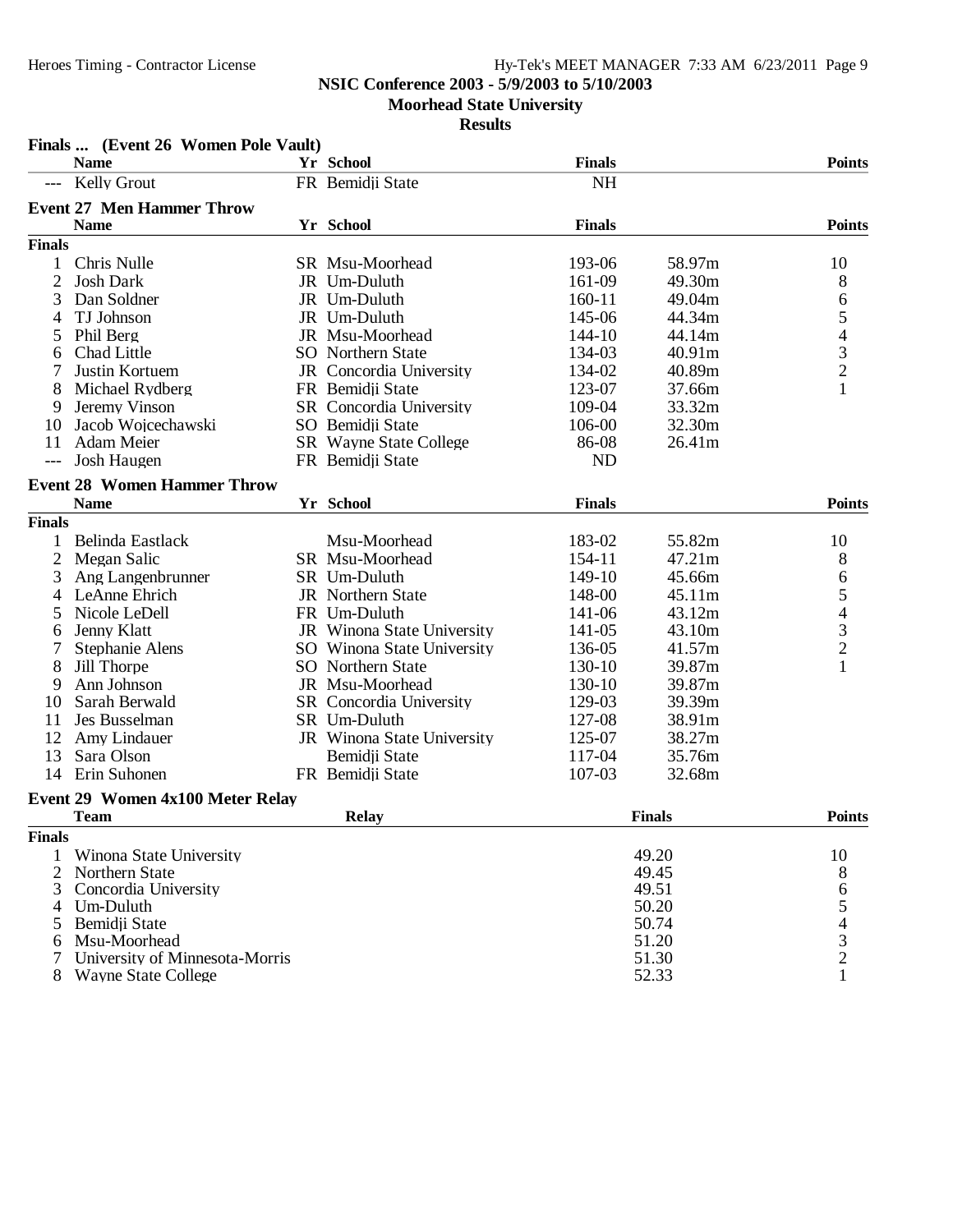### **NSIC Conference 2003 - 5/9/2003 to 5/10/2003**

**Moorhead State University**

|                | Finals  (Event 26 Women Pole Vault) |                               |               |               |                                                 |
|----------------|-------------------------------------|-------------------------------|---------------|---------------|-------------------------------------------------|
|                | <b>Name</b>                         | Yr School                     | <b>Finals</b> |               | <b>Points</b>                                   |
|                | <b>Kelly Grout</b>                  | FR Bemidji State              | <b>NH</b>     |               |                                                 |
|                | <b>Event 27 Men Hammer Throw</b>    |                               |               |               |                                                 |
|                | <b>Name</b>                         | Yr School                     | <b>Finals</b> |               | <b>Points</b>                                   |
| <b>Finals</b>  |                                     |                               |               |               |                                                 |
| 1              | Chris Nulle                         | SR Msu-Moorhead               | 193-06        | 58.97m        | 10                                              |
| $\overline{2}$ | <b>Josh Dark</b>                    | JR Um-Duluth                  | 161-09        | 49.30m        | 8                                               |
| 3              | Dan Soldner                         | JR Um-Duluth                  | $160 - 11$    | 49.04m        | 6                                               |
| 4              | TJ Johnson                          | JR Um-Duluth                  | 145-06        | 44.34m        | $\begin{array}{c} 5 \\ 4 \\ 3 \\ 2 \end{array}$ |
| 5              | Phil Berg                           | JR Msu-Moorhead               | 144-10        | 44.14m        |                                                 |
| 6              | Chad Little                         | <b>SO</b> Northern State      | 134-03        | 40.91m        |                                                 |
|                | Justin Kortuem                      | JR Concordia University       | 134-02        | 40.89m        |                                                 |
| 8              | Michael Rydberg                     | FR Bemidji State              | 123-07        | 37.66m        | 1                                               |
| 9              | Jeremy Vinson                       | SR Concordia University       | 109-04        | 33.32m        |                                                 |
| 10             | Jacob Wojcechawski                  | SO Bemidji State              | 106-00        | 32.30m        |                                                 |
| 11             | Adam Meier                          | <b>SR</b> Wayne State College | 86-08         | 26.41m        |                                                 |
|                | Josh Haugen                         | FR Bemidji State              | <b>ND</b>     |               |                                                 |
|                | <b>Event 28 Women Hammer Throw</b>  |                               |               |               |                                                 |
|                | <b>Name</b>                         | Yr School                     | <b>Finals</b> |               | <b>Points</b>                                   |
| <b>Finals</b>  |                                     |                               |               |               |                                                 |
| 1              | Belinda Eastlack                    | Msu-Moorhead                  | 183-02        | 55.82m        | 10                                              |
| $\overline{c}$ | Megan Salic                         | SR Msu-Moorhead               | 154-11        | 47.21m        | 8                                               |
| 3              | Ang Langenbrunner                   | SR Um-Duluth                  | 149-10        | 45.66m        | 6                                               |
| 4              | LeAnne Ehrich                       | <b>JR</b> Northern State      | 148-00        | 45.11m        |                                                 |
| 5              | Nicole LeDell                       | FR Um-Duluth                  | 141-06        | 43.12m        | $\begin{array}{c} 5 \\ 4 \\ 3 \\ 2 \end{array}$ |
| 6              | Jenny Klatt                         | JR Winona State University    | 141-05        | 43.10m        |                                                 |
|                | Stephanie Alens                     | SO Winona State University    | 136-05        | 41.57m        |                                                 |
| 8              | Jill Thorpe                         | SO Northern State             | 130-10        | 39.87m        | $\mathbf{1}$                                    |
| 9              | Ann Johnson                         | JR Msu-Moorhead               | 130-10        | 39.87m        |                                                 |
| 10             | Sarah Berwald                       | SR Concordia University       | 129-03        | 39.39m        |                                                 |
| 11             | Jes Busselman                       | SR Um-Duluth                  | 127-08        | 38.91m        |                                                 |
| 12             | Amy Lindauer                        | JR Winona State University    | 125-07        | 38.27m        |                                                 |
| 13             | Sara Olson                          | Bemidii State                 | 117-04        | 35.76m        |                                                 |
| 14             | Erin Suhonen                        | FR Bemidji State              | 107-03        | 32.68m        |                                                 |
|                | Event 29 Women 4x100 Meter Relay    |                               |               |               |                                                 |
|                | <b>Team</b>                         | <b>Relay</b>                  |               | <b>Finals</b> | <b>Points</b>                                   |
| <b>Finals</b>  |                                     |                               |               |               |                                                 |
|                | Winona State University             |                               |               | 49.20         | 10                                              |
| 2              | Northern State                      |                               |               | 49.45         | 8                                               |
| 3              | Concordia University                |                               |               | 49.51         | 6                                               |
| 4              | Um-Duluth                           |                               |               | 50.20         |                                                 |
| 5              | Bemidji State                       |                               |               | 50.74         | $\frac{5}{4}$<br>$\frac{3}{2}$                  |
| 6              | Msu-Moorhead                        |                               |               | 51.20         |                                                 |
|                | University of Minnesota-Morris      |                               |               | 51.30         |                                                 |
| 8              | <b>Wayne State College</b>          |                               |               | 52.33         | $\mathbf{1}$                                    |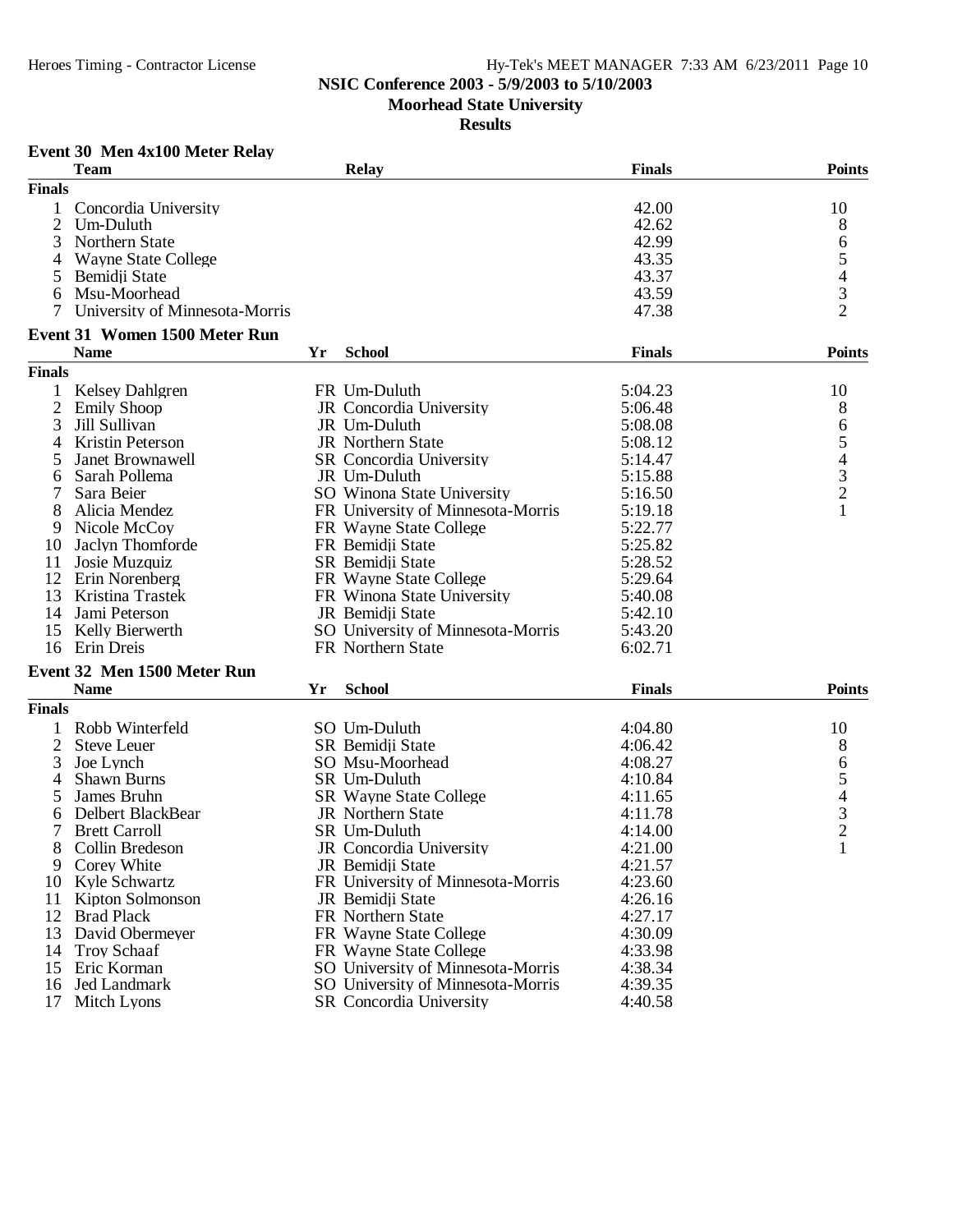### **NSIC Conference 2003 - 5/9/2003 to 5/10/2003**

**Moorhead State University**

#### **Results**

#### **Event 30 Men 4x100 Meter Relay**

|                | <b>Team</b>                                         |    | <b>Relay</b>                      | <b>Finals</b> | <b>Points</b>            |
|----------------|-----------------------------------------------------|----|-----------------------------------|---------------|--------------------------|
| <b>Finals</b>  |                                                     |    |                                   |               |                          |
|                | Concordia University                                |    |                                   | 42.00         | 10                       |
| $\overline{2}$ | Um-Duluth                                           |    |                                   | 42.62         | 8                        |
| 3              | Northern State                                      |    |                                   | 42.99         | 6                        |
| 4              | <b>Wayne State College</b>                          |    |                                   | 43.35         |                          |
| 5              | Bemidji State                                       |    |                                   | 43.37         | 5<br>4                   |
| 6              | Msu-Moorhead                                        |    |                                   | 43.59         |                          |
| 7              | University of Minnesota-Morris                      |    |                                   | 47.38         | $\frac{3}{2}$            |
|                |                                                     |    |                                   |               |                          |
|                | <b>Event 31 Women 1500 Meter Run</b><br><b>Name</b> | Yr | <b>School</b>                     | <b>Finals</b> | <b>Points</b>            |
| <b>Finals</b>  |                                                     |    |                                   |               |                          |
| 1              | <b>Kelsey Dahlgren</b>                              |    | FR Um-Duluth                      | 5:04.23       | 10                       |
| $\overline{2}$ |                                                     |    |                                   | 5:06.48       |                          |
|                | <b>Emily Shoop</b>                                  |    | JR Concordia University           |               | 8                        |
| 3              | Jill Sullivan                                       |    | JR Um-Duluth                      | 5:08.08       | 6                        |
| 4              | Kristin Peterson                                    |    | JR Northern State                 | 5:08.12       | 5                        |
| 5              | Janet Brownawell                                    |    | SR Concordia University           | 5:14.47       | $\overline{4}$           |
| 6              | Sarah Pollema                                       |    | JR Um-Duluth                      | 5:15.88       | 3                        |
|                | Sara Beier                                          |    | SO Winona State University        | 5:16.50       | $\overline{2}$           |
| 8              | Alicia Mendez                                       |    | FR University of Minnesota-Morris | 5:19.18       | $\mathbf{1}$             |
| 9              | Nicole McCoy                                        |    | FR Wayne State College            | 5:22.77       |                          |
| 10             | Jaclyn Thomforde                                    |    | FR Bemidji State                  | 5:25.82       |                          |
| 11             | Josie Muzquiz                                       |    | SR Bemidji State                  | 5:28.52       |                          |
| 12             | Erin Norenberg                                      |    | FR Wayne State College            | 5:29.64       |                          |
| 13             | Kristina Trastek                                    |    | FR Winona State University        | 5:40.08       |                          |
| 14             | Jami Peterson                                       |    | JR Bemidji State                  | 5:42.10       |                          |
| 15             | Kelly Bierwerth                                     |    | SO University of Minnesota-Morris | 5:43.20       |                          |
| 16             | Erin Dreis                                          |    | FR Northern State                 | 6:02.71       |                          |
|                | Event 32 Men 1500 Meter Run                         |    |                                   |               |                          |
|                | <b>Name</b>                                         | Yr | <b>School</b>                     | <b>Finals</b> | <b>Points</b>            |
| <b>Finals</b>  |                                                     |    |                                   |               |                          |
| 1              | Robb Winterfeld                                     |    | SO Um-Duluth                      | 4:04.80       | 10                       |
| 2              | <b>Steve Leuer</b>                                  |    | SR Bemidji State                  | 4:06.42       | 8                        |
| 3              | Joe Lynch                                           |    | SO Msu-Moorhead                   | 4:08.27       | 6                        |
| 4              | Shawn Burns                                         |    | SR Um-Duluth                      | 4:10.84       | 5                        |
| 5              | James Bruhn                                         |    | <b>SR</b> Wayne State College     | 4:11.65       | $\overline{\mathcal{A}}$ |
| 6              | Delbert BlackBear                                   |    | JR Northern State                 | 4:11.78       |                          |
|                | <b>Brett Carroll</b>                                |    | SR Um-Duluth                      | 4:14.00       | $\frac{3}{2}$            |
| 8              | Collin Bredeson                                     |    | JR Concordia University           | 4:21.00       | $\mathbf{1}$             |
| 9              | Corey White                                         |    | JR Bemidji State                  | 4:21.57       |                          |
| 10             | Kyle Schwartz                                       |    | FR University of Minnesota-Morris | 4:23.60       |                          |
| 11             | Kipton Solmonson                                    |    | JR Bemidji State                  | 4:26.16       |                          |
| 12             | <b>Brad Plack</b>                                   |    | FR Northern State                 |               |                          |
|                |                                                     |    |                                   | 4:27.17       |                          |
| 13             | David Obermeyer                                     |    | FR Wayne State College            | 4:30.09       |                          |
| 14             | <b>Troy Schaaf</b>                                  |    | FR Wayne State College            | 4:33.98       |                          |
| 15             | Eric Korman                                         |    | SO University of Minnesota-Morris | 4:38.34       |                          |
| 16             | <b>Jed Landmark</b>                                 |    | SO University of Minnesota-Morris | 4:39.35       |                          |
| 17             | Mitch Lyons                                         |    | SR Concordia University           | 4:40.58       |                          |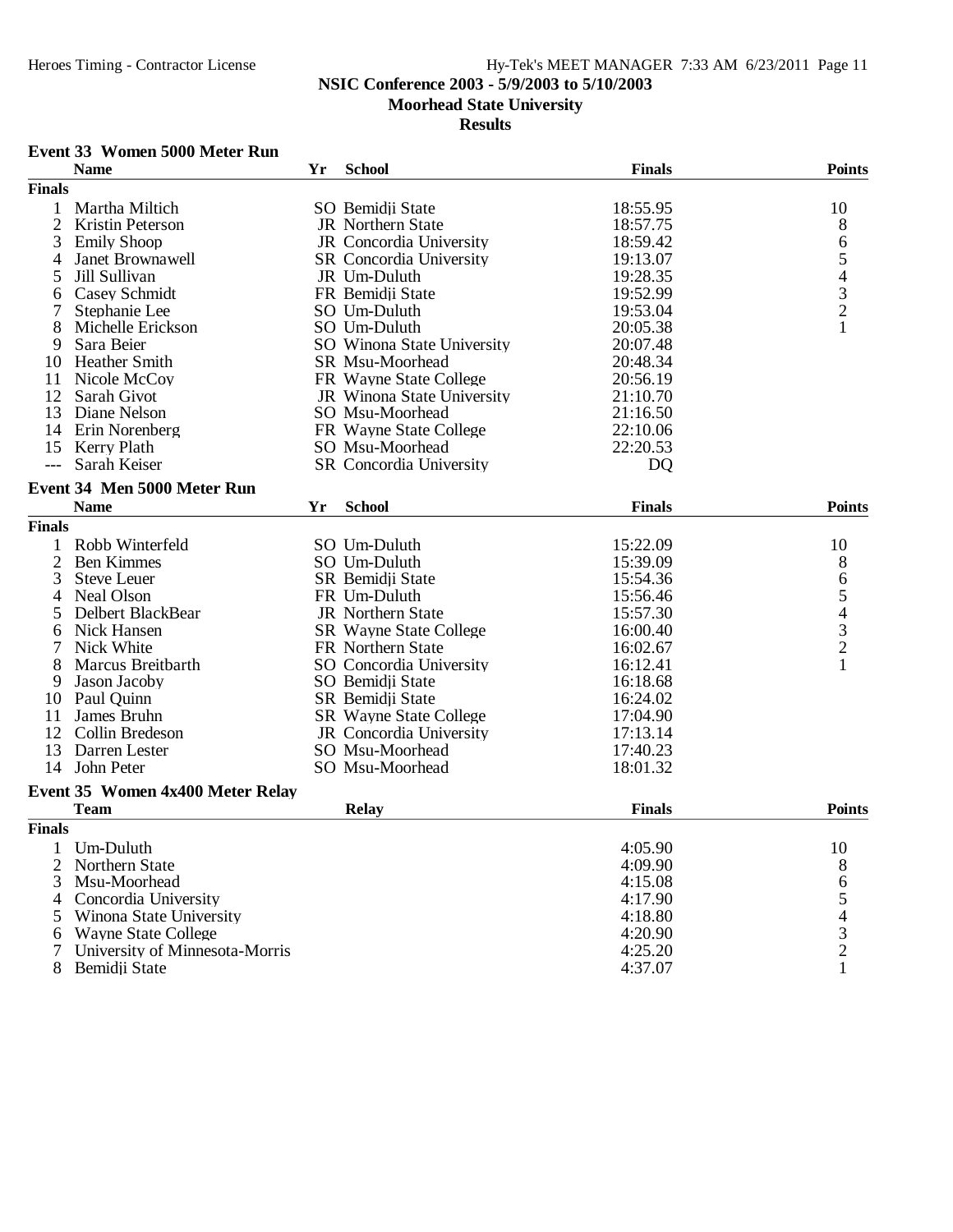### **NSIC Conference 2003 - 5/9/2003 to 5/10/2003**

**Moorhead State University**

### **Results**

### **Event 33 Women 5000 Meter Run**

|                | <b>Name</b>                      | Yr | <b>School</b>                  | <b>Finals</b>  | <b>Points</b>                                   |
|----------------|----------------------------------|----|--------------------------------|----------------|-------------------------------------------------|
| <b>Finals</b>  |                                  |    |                                |                |                                                 |
| 1              | Martha Miltich                   |    | SO Bemidji State               | 18:55.95       | 10                                              |
| $\overline{2}$ | Kristin Peterson                 |    | <b>JR</b> Northern State       | 18:57.75       | 8                                               |
| 3              | <b>Emily Shoop</b>               |    | JR Concordia University        | 18:59.42       | 6                                               |
| 4              | Janet Brownawell                 |    | <b>SR</b> Concordia University | 19:13.07       |                                                 |
| 5              | Jill Sullivan                    |    | JR Um-Duluth                   | 19:28.35       | $\begin{array}{c} 5 \\ 4 \\ 3 \\ 2 \end{array}$ |
| 6              | <b>Casey Schmidt</b>             |    | FR Bemidii State               | 19:52.99       |                                                 |
| 7              | Stephanie Lee                    |    | SO Um-Duluth                   | 19:53.04       |                                                 |
| 8              | Michelle Erickson                |    | SO Um-Duluth                   | 20:05.38       | $\mathbf{1}$                                    |
| 9              | Sara Beier                       |    | SO Winona State University     | 20:07.48       |                                                 |
| 10             | <b>Heather Smith</b>             |    | <b>SR Msu-Moorhead</b>         | 20:48.34       |                                                 |
| 11             | Nicole McCoy                     |    | FR Wayne State College         | 20:56.19       |                                                 |
| 12             | Sarah Givot                      |    | JR Winona State University     | 21:10.70       |                                                 |
| 13             | Diane Nelson                     |    | SO Msu-Moorhead                | 21:16.50       |                                                 |
|                | 14 Erin Norenberg                |    | FR Wayne State College         | 22:10.06       |                                                 |
| 15             | Kerry Plath                      |    | SO Msu-Moorhead                | 22:20.53       |                                                 |
| $---$          | Sarah Keiser                     |    | SR Concordia University        | D <sub>O</sub> |                                                 |
|                | Event 34 Men 5000 Meter Run      |    |                                |                |                                                 |
|                | <b>Name</b>                      | Yr | <b>School</b>                  | <b>Finals</b>  | <b>Points</b>                                   |
| <b>Finals</b>  |                                  |    |                                |                |                                                 |
| 1              | Robb Winterfeld                  |    | SO Um-Duluth                   | 15:22.09       | 10                                              |
| $\overline{2}$ | <b>Ben Kimmes</b>                |    | SO Um-Duluth                   | 15:39.09       | 8                                               |
| 3              | <b>Steve Leuer</b>               |    | SR Bemidji State               | 15:54.36       | 6                                               |
| 4              | Neal Olson                       |    | FR Um-Duluth                   | 15:56.46       |                                                 |
| 5              | Delbert BlackBear                |    | <b>JR</b> Northern State       | 15:57.30       | $\begin{array}{c} 5 \\ 4 \\ 3 \\ 2 \end{array}$ |
| 6              | Nick Hansen                      |    | <b>SR</b> Wayne State College  | 16:00.40       |                                                 |
| 7              | Nick White                       |    | FR Northern State              | 16:02.67       |                                                 |
| 8              | Marcus Breitbarth                |    | SO Concordia University        | 16:12.41       | $\mathbf{1}$                                    |
| 9              | Jason Jacoby                     |    | SO Bemidji State               | 16:18.68       |                                                 |
| 10             | Paul Quinn                       |    | SR Bemidji State               | 16:24.02       |                                                 |
| 11             | James Bruhn                      |    | <b>SR</b> Wayne State College  | 17:04.90       |                                                 |
| 12             | Collin Bredeson                  |    | JR Concordia University        | 17:13.14       |                                                 |
| 13             | Darren Lester                    |    | SO Msu-Moorhead                | 17:40.23       |                                                 |
|                | 14 John Peter                    |    | SO Msu-Moorhead                | 18:01.32       |                                                 |
|                | Event 35 Women 4x400 Meter Relay |    |                                |                |                                                 |
|                | <b>Team</b>                      |    | <b>Relay</b>                   | <b>Finals</b>  | <b>Points</b>                                   |
| <b>Finals</b>  |                                  |    |                                |                |                                                 |
| 1              | Um-Duluth                        |    |                                | 4:05.90        | 10                                              |
| 2              | Northern State                   |    |                                | 4:09.90        | 8                                               |
| 3              | Msu-Moorhead                     |    |                                | 4:15.08        | 6                                               |
| 4              | Concordia University             |    |                                | 4:17.90        | $\begin{array}{c} 5 \\ 4 \\ 3 \\ 2 \end{array}$ |
| 5              | Winona State University          |    |                                | 4:18.80        |                                                 |
| 6              | <b>Wayne State College</b>       |    |                                | 4:20.90        |                                                 |
| 7              | University of Minnesota-Morris   |    |                                | 4:25.20        |                                                 |
| 8              | Bemidji State                    |    |                                | 4:37.07        | $\mathbf{1}$                                    |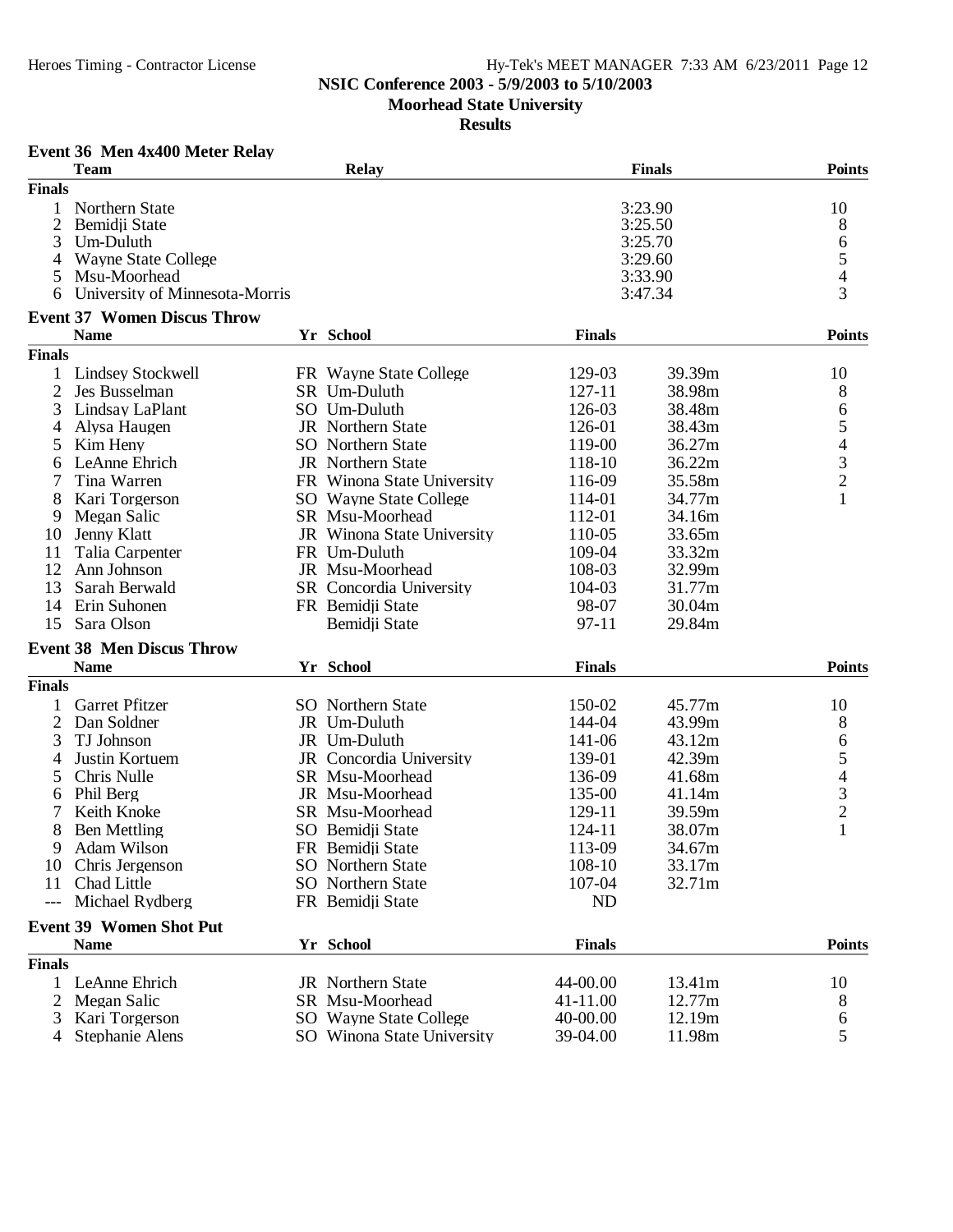### **NSIC Conference 2003 - 5/9/2003 to 5/10/2003**

**Moorhead State University**

**Results**

#### **Event 36 Men 4x400 Meter Relay**

|                | <b>Team</b>                        | <b>Relay</b>               |               | <b>Finals</b> | <b>Points</b>                              |
|----------------|------------------------------------|----------------------------|---------------|---------------|--------------------------------------------|
| <b>Finals</b>  |                                    |                            |               |               |                                            |
|                | Northern State                     |                            |               | 3:23.90       | 10                                         |
| 2              | Bemidji State                      |                            |               | 3:25.50       | 8                                          |
| 3              | Um-Duluth                          |                            |               | 3:25.70       |                                            |
| 4              | <b>Wayne State College</b>         |                            |               | 3:29.60       |                                            |
| 5              | Msu-Moorhead                       |                            |               | 3:33.90       | 654                                        |
| 6              | University of Minnesota-Morris     |                            |               | 3:47.34       |                                            |
|                | <b>Event 37 Women Discus Throw</b> |                            |               |               |                                            |
|                | <b>Name</b>                        | Yr School                  | <b>Finals</b> |               | <b>Points</b>                              |
| <b>Finals</b>  |                                    |                            |               |               |                                            |
| 1              | <b>Lindsey Stockwell</b>           | FR Wayne State College     | 129-03        | 39.39m        | 10                                         |
| $\overline{2}$ | Jes Busselman                      | SR Um-Duluth               | 127-11        | 38.98m        | 8                                          |
| 3              | Lindsay LaPlant                    | SO Um-Duluth               | 126-03        | 38.48m        |                                            |
|                |                                    | JR Northern State          | 126-01        | 38.43m        | 6                                          |
| 4              | Alysa Haugen                       | <b>SO</b> Northern State   | 119-00        | 36.27m        | $\frac{5}{4}$                              |
| 5              | Kim Heny                           |                            |               |               |                                            |
| 6              | LeAnne Ehrich                      | JR Northern State          | 118-10        | 36.22m        | $\overline{2}$                             |
|                | Tina Warren                        | FR Winona State University | 116-09        | 35.58m        |                                            |
| 8              | Kari Torgerson                     | SO Wayne State College     | 114-01        | 34.77m        | $\mathbf{1}$                               |
| 9              | Megan Salic                        | SR Msu-Moorhead            | 112-01        | 34.16m        |                                            |
| 10             | Jenny Klatt                        | JR Winona State University | 110-05        | 33.65m        |                                            |
| 11             | Talia Carpenter                    | FR Um-Duluth               | 109-04        | 33.32m        |                                            |
| 12             | Ann Johnson                        | JR Msu-Moorhead            | 108-03        | 32.99m        |                                            |
| 13             | Sarah Berwald                      | SR Concordia University    | 104-03        | 31.77m        |                                            |
| 14             | Erin Suhonen                       | FR Bemidji State           | 98-07         | 30.04m        |                                            |
| 15             | Sara Olson                         | Bemidji State              | $97 - 11$     | 29.84m        |                                            |
|                | <b>Event 38 Men Discus Throw</b>   |                            |               |               |                                            |
|                | <b>Name</b>                        | Yr School                  | <b>Finals</b> |               | <b>Points</b>                              |
| <b>Finals</b>  |                                    |                            |               |               |                                            |
| 1              | <b>Garret Pfitzer</b>              | <b>SO</b> Northern State   | 150-02        | 45.77m        | 10                                         |
| $\overline{2}$ | Dan Soldner                        | JR Um-Duluth               | 144-04        | 43.99m        | 8                                          |
| 3              | TJ Johnson                         | JR Um-Duluth               | 141-06        | 43.12m        | 6                                          |
| 4              | Justin Kortuem                     | JR Concordia University    | 139-01        | 42.39m        | 5                                          |
| 5              | Chris Nulle                        | SR Msu-Moorhead            | 136-09        | 41.68m        |                                            |
| 6              | Phil Berg                          | JR Msu-Moorhead            | 135-00        | 41.14m        |                                            |
|                | Keith Knoke                        | SR Msu-Moorhead            | 129-11        | 39.59m        | $\begin{array}{c} 4 \\ 3 \\ 2 \end{array}$ |
| 8              | <b>Ben Mettling</b>                | SO Bemidji State           | 124-11        | 38.07m        | $\mathbf{1}$                               |
| 9              | Adam Wilson                        | FR Bemidji State           | 113-09        | 34.67m        |                                            |
|                |                                    | SO Northern State          | 108-10        | 33.17m        |                                            |
| 10             | Chris Jergenson<br>Chad Little     | <b>SO</b> Northern State   | 107-04        | 32.71m        |                                            |
| 11             |                                    |                            |               |               |                                            |
| $---$          | Michael Rydberg                    | FR Bemidji State           | ND            |               |                                            |
|                | <b>Event 39 Women Shot Put</b>     |                            |               |               |                                            |
|                | <b>Name</b>                        | Yr School                  | <b>Finals</b> |               | <b>Points</b>                              |
| <b>Finals</b>  |                                    |                            |               |               |                                            |
| 1              | LeAnne Ehrich                      | JR Northern State          | 44-00.00      | 13.41m        | 10                                         |
| 2              | Megan Salic                        | SR Msu-Moorhead            | 41-11.00      | 12.77m        | 8                                          |
| 3              | Kari Torgerson                     | SO Wayne State College     | 40-00.00      | 12.19m        | 6                                          |
| 4              | Stephanie Alens                    | SO Winona State University | 39-04.00      | 11.98m        | 5                                          |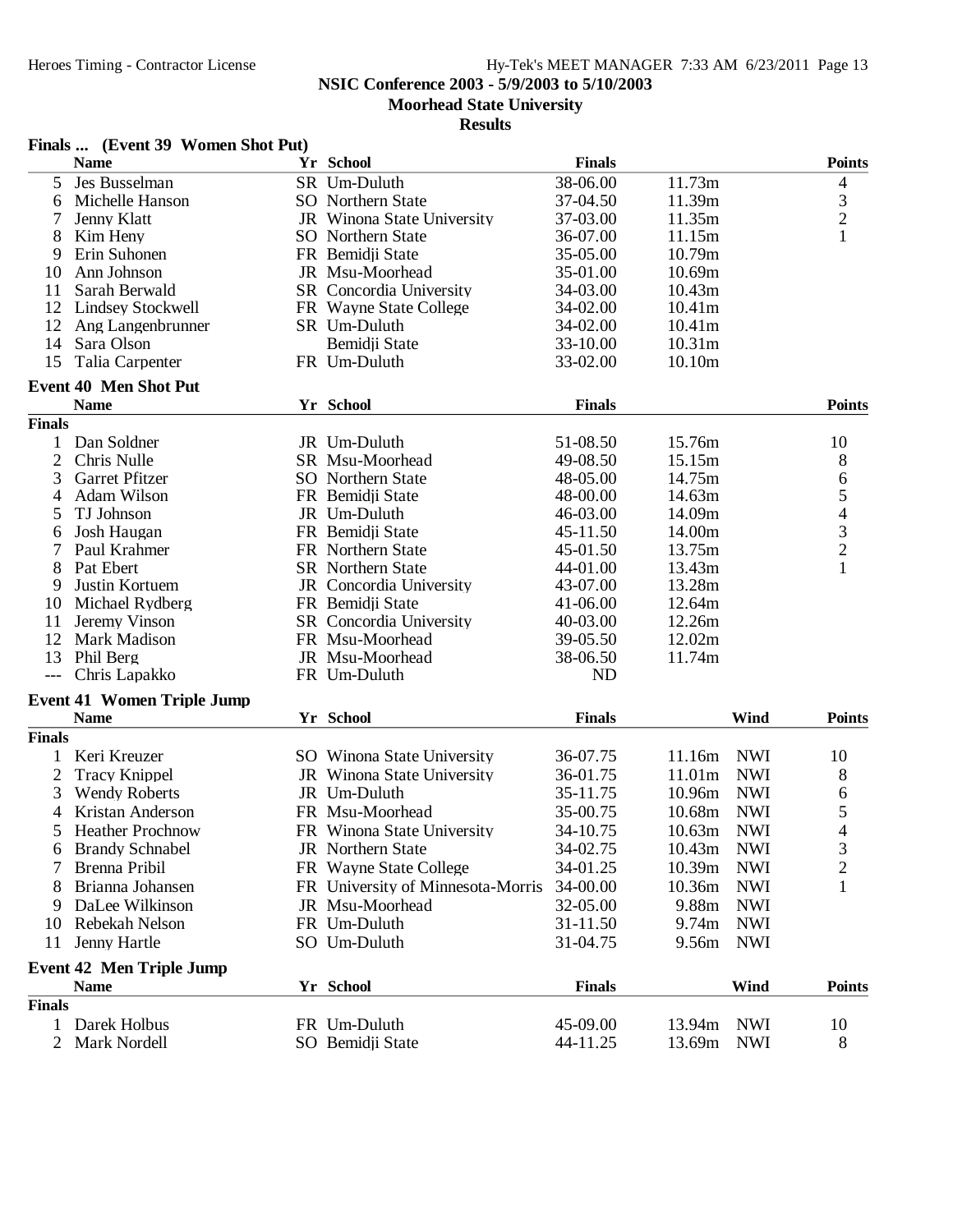**NSIC Conference 2003 - 5/9/2003 to 5/10/2003**

**Moorhead State University**

|                | Finals  (Event 39 Women Shot Put)        |                                   |               |                    |            |                          |
|----------------|------------------------------------------|-----------------------------------|---------------|--------------------|------------|--------------------------|
|                | <b>Name</b>                              | Yr School                         | <b>Finals</b> |                    |            | <b>Points</b>            |
| 5              | Jes Busselman                            | SR Um-Duluth                      | 38-06.00      | 11.73m             |            | 4                        |
| 6              | Michelle Hanson                          | <b>SO</b> Northern State          | 37-04.50      | 11.39m             |            |                          |
|                | Jenny Klatt                              | JR Winona State University        | 37-03.00      | 11.35m             |            | $\frac{3}{2}$            |
| 8              | Kim Heny                                 | SO Northern State                 | 36-07.00      | 11.15m             |            | $\mathbf{1}$             |
| 9              | Erin Suhonen                             | FR Bemidji State                  | 35-05.00      | 10.79m             |            |                          |
| 10             | Ann Johnson                              | JR Msu-Moorhead                   | 35-01.00      | 10.69m             |            |                          |
| 11             | Sarah Berwald                            | SR Concordia University           | 34-03.00      | 10.43m             |            |                          |
| 12             | <b>Lindsey Stockwell</b>                 | FR Wayne State College            | 34-02.00      | 10.41m             |            |                          |
| 12             | Ang Langenbrunner                        | SR Um-Duluth                      | 34-02.00      | 10.41m             |            |                          |
| 14             | Sara Olson                               | Bemidji State                     | 33-10.00      | 10.31 <sub>m</sub> |            |                          |
| 15             | Talia Carpenter                          | FR Um-Duluth                      | 33-02.00      | 10.10m             |            |                          |
|                | <b>Event 40 Men Shot Put</b>             |                                   |               |                    |            |                          |
|                | <b>Name</b>                              | Yr School                         | <b>Finals</b> |                    |            | <b>Points</b>            |
| <b>Finals</b>  |                                          |                                   |               |                    |            |                          |
|                | Dan Soldner                              | JR Um-Duluth                      | 51-08.50      | 15.76m             |            | 10                       |
| $\overline{2}$ | Chris Nulle                              | SR Msu-Moorhead                   | 49-08.50      | 15.15m             |            | 8                        |
| 3              | <b>Garret Pfitzer</b>                    | <b>SO</b> Northern State          | 48-05.00      | 14.75m             |            | 6                        |
| 4              | <b>Adam Wilson</b>                       | FR Bemidji State                  | 48-00.00      | 14.63m             |            | 5                        |
| 5              | TJ Johnson                               | JR Um-Duluth                      | 46-03.00      | 14.09m             |            | $\overline{\mathcal{L}}$ |
| 6              | Josh Haugan                              | FR Bemidji State                  | 45-11.50      | 14.00m             |            |                          |
| 7              | Paul Krahmer                             | FR Northern State                 | 45-01.50      | 13.75m             |            | $\frac{3}{2}$            |
| 8              | Pat Ebert                                | SR Northern State                 | 44-01.00      | 13.43m             |            |                          |
| 9              | Justin Kortuem                           | JR Concordia University           | 43-07.00      | 13.28m             |            |                          |
| 10             | Michael Rydberg                          | FR Bemidji State                  | 41-06.00      | 12.64m             |            |                          |
| 11             | Jeremy Vinson                            | SR Concordia University           | 40-03.00      | 12.26m             |            |                          |
| 12             | Mark Madison                             | FR Msu-Moorhead                   | 39-05.50      | 12.02m             |            |                          |
| 13             | Phil Berg                                | JR Msu-Moorhead                   | 38-06.50      | 11.74m             |            |                          |
|                | Chris Lapakko                            | FR Um-Duluth                      | ND            |                    |            |                          |
|                | <b>Event 41 Women Triple Jump</b>        |                                   |               |                    |            |                          |
|                | <b>Name</b>                              | Yr School                         | <b>Finals</b> |                    | Wind       | <b>Points</b>            |
| <b>Finals</b>  |                                          |                                   |               |                    |            |                          |
| 1              | Keri Kreuzer                             | SO Winona State University        | 36-07.75      | 11.16m             | <b>NWI</b> | 10                       |
| 2              | <b>Tracy Knippel</b>                     | JR Winona State University        | 36-01.75      | 11.01m             | <b>NWI</b> | 8                        |
| 3              |                                          | JR Um-Duluth                      | 35-11.75      | 10.96m             | <b>NWI</b> |                          |
|                | <b>Wendy Roberts</b><br>Kristan Anderson |                                   |               |                    | <b>NWI</b> | 6                        |
| $\overline{4}$ |                                          | FR Msu-Moorhead                   | 35-00.75      | 10.68m             |            | 5                        |
|                | 5 Heather Prochnow                       | FR Winona State University        | 34-10.75      | 10.63m NWI         |            | $\overline{4}$           |
| 6              | <b>Brandy Schnabel</b>                   | JR Northern State                 | 34-02.75      | 10.43m             | <b>NWI</b> | 3                        |
|                | Brenna Pribil                            | FR Wayne State College            | 34-01.25      | 10.39m             | <b>NWI</b> | $\overline{c}$           |
| 8              | Brianna Johansen                         | FR University of Minnesota-Morris | 34-00.00      | 10.36m             | <b>NWI</b> | 1                        |
| 9              | DaLee Wilkinson                          | JR Msu-Moorhead                   | 32-05.00      | 9.88m              | <b>NWI</b> |                          |
| 10             | Rebekah Nelson                           | FR Um-Duluth                      | 31-11.50      | 9.74m              | <b>NWI</b> |                          |
| 11             | Jenny Hartle                             | SO Um-Duluth                      | 31-04.75      | 9.56m              | <b>NWI</b> |                          |
|                | <b>Event 42 Men Triple Jump</b>          |                                   |               |                    |            |                          |
|                | <b>Name</b>                              | Yr School                         | <b>Finals</b> |                    | Wind       | <b>Points</b>            |
| <b>Finals</b>  |                                          |                                   |               |                    |            |                          |
| 1              | Darek Holbus                             | FR Um-Duluth                      | 45-09.00      | 13.94m             | <b>NWI</b> | 10                       |
| $\overline{2}$ | Mark Nordell                             | SO Bemidji State                  | 44-11.25      | 13.69m             | <b>NWI</b> | 8                        |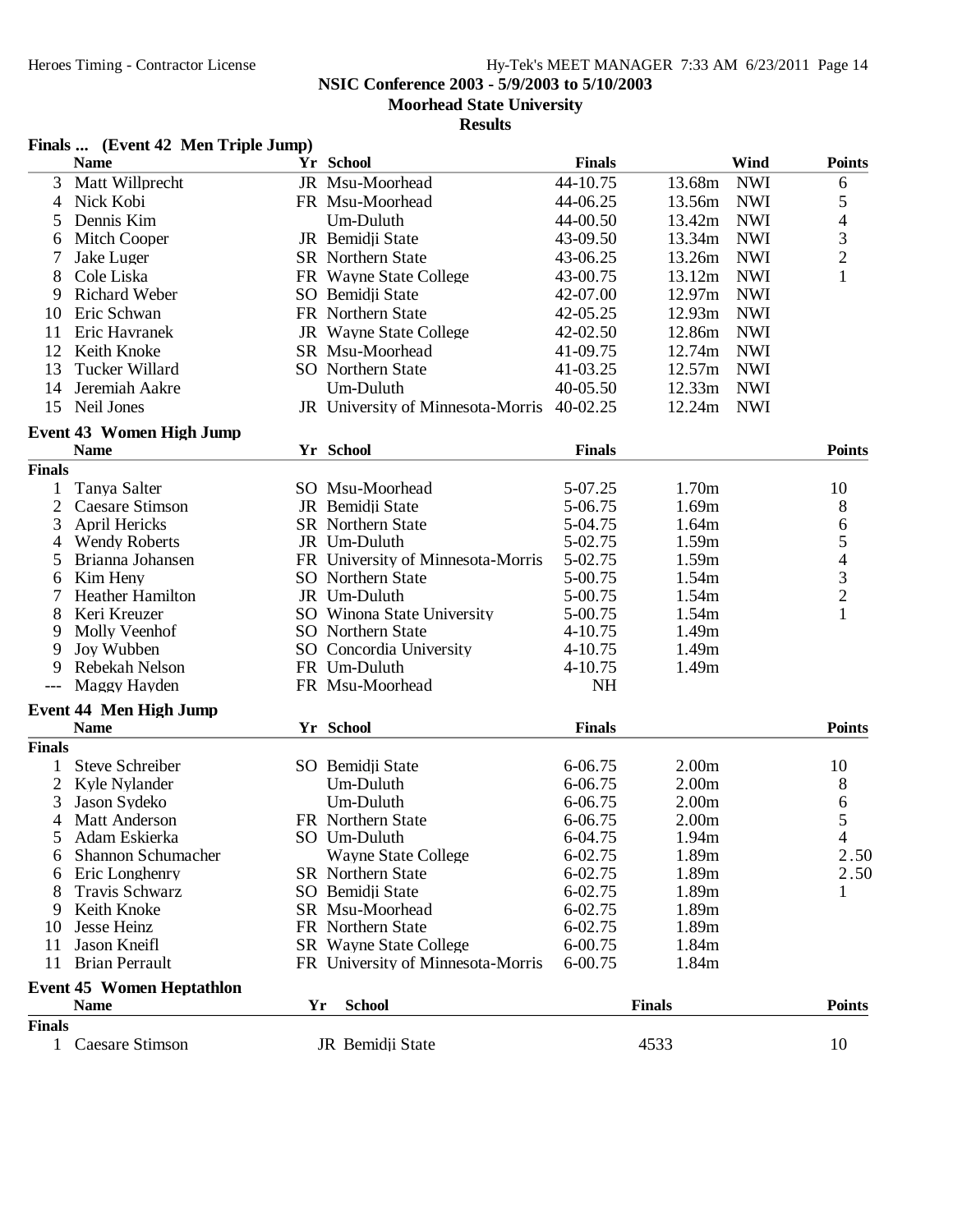**NSIC Conference 2003 - 5/9/2003 to 5/10/2003**

**Moorhead State University**

|  | Finals  (Event 42 Men Triple Jump) |  |  |
|--|------------------------------------|--|--|
|--|------------------------------------|--|--|

|                     | <b>Name</b>                                     |    | Yr School                         | <b>Finals</b>      | Wind                                   | <b>Points</b>                              |
|---------------------|-------------------------------------------------|----|-----------------------------------|--------------------|----------------------------------------|--------------------------------------------|
| 3                   | Matt Willprecht                                 |    | JR Msu-Moorhead                   | 44-10.75           | 13.68m<br><b>NWI</b>                   | 6                                          |
| $\overline{4}$      | Nick Kobi                                       |    | FR Msu-Moorhead                   | 44-06.25           | 13.56m<br><b>NWI</b>                   | 5                                          |
| 5                   | Dennis Kim                                      |    | Um-Duluth                         | 44-00.50           | 13.42m<br><b>NWI</b>                   | $\overline{4}$                             |
| 6                   | Mitch Cooper                                    |    | JR Bemidji State                  | 43-09.50           | 13.34m<br><b>NWI</b>                   |                                            |
|                     | Jake Luger                                      |    | <b>SR</b> Northern State          | 43-06.25           | 13.26m<br><b>NWI</b>                   | $\frac{3}{2}$                              |
| 8                   | Cole Liska                                      |    | FR Wayne State College            | 43-00.75           | 13.12m<br><b>NWI</b>                   | $\mathbf{1}$                               |
| 9                   | <b>Richard Weber</b>                            |    | SO Bemidji State                  | 42-07.00           | 12.97m<br><b>NWI</b>                   |                                            |
| 10                  | Eric Schwan                                     |    | FR Northern State                 | 42-05.25           | 12.93m<br><b>NWI</b>                   |                                            |
| 11                  | Eric Havranek                                   |    | JR Wayne State College            | 42-02.50           | 12.86m<br><b>NWI</b>                   |                                            |
| 12                  | Keith Knoke                                     |    | SR Msu-Moorhead                   | 41-09.75           | 12.74m<br><b>NWI</b>                   |                                            |
| 13                  | Tucker Willard                                  |    | <b>SO</b> Northern State          | 41-03.25           | 12.57m<br><b>NWI</b>                   |                                            |
| 14                  | Jeremiah Aakre                                  |    | Um-Duluth                         | 40-05.50           | 12.33m<br><b>NWI</b>                   |                                            |
| 15                  | Neil Jones                                      |    | JR University of Minnesota-Morris | 40-02.25           | 12.24m<br><b>NWI</b>                   |                                            |
|                     |                                                 |    |                                   |                    |                                        |                                            |
|                     | <b>Event 43 Women High Jump</b>                 |    | Yr School                         | <b>Finals</b>      |                                        | <b>Points</b>                              |
| <b>Finals</b>       | <b>Name</b>                                     |    |                                   |                    |                                        |                                            |
| 1                   | Tanya Salter                                    |    | SO Msu-Moorhead                   | 5-07.25            | 1.70m                                  | 10                                         |
| $\overline{2}$      | Caesare Stimson                                 |    | JR Bemidji State                  | 5-06.75            | 1.69m                                  |                                            |
| 3                   | April Hericks                                   |    | <b>SR</b> Northern State          | 5-04.75            | 1.64m                                  | 8                                          |
| $\overline{4}$      | <b>Wendy Roberts</b>                            |    | JR Um-Duluth                      | 5-02.75            | 1.59m                                  | 6<br>5                                     |
| 5                   | Brianna Johansen                                |    | FR University of Minnesota-Morris | 5-02.75            | 1.59m                                  |                                            |
| 6                   | Kim Heny                                        |    | SO Northern State                 | 5-00.75            | 1.54m                                  |                                            |
|                     | Heather Hamilton                                |    | JR Um-Duluth                      | 5-00.75            | 1.54m                                  | $\begin{array}{c} 4 \\ 3 \\ 2 \end{array}$ |
| 8                   | Keri Kreuzer                                    |    | SO Winona State University        | 5-00.75            | 1.54m                                  | $\mathbf{1}$                               |
| 9                   | Molly Veenhof                                   |    | SO Northern State                 | $4 - 10.75$        | 1.49m                                  |                                            |
| 9                   | Joy Wubben                                      |    | SO Concordia University           | 4-10.75            | 1.49m                                  |                                            |
| 9                   | Rebekah Nelson                                  |    | FR Um-Duluth                      | 4-10.75            | 1.49m                                  |                                            |
|                     | Maggy Hayden                                    |    | FR Msu-Moorhead                   | <b>NH</b>          |                                        |                                            |
|                     |                                                 |    |                                   |                    |                                        |                                            |
|                     | <b>Event 44 Men High Jump</b>                   |    |                                   |                    |                                        |                                            |
| <b>Finals</b>       | <b>Name</b>                                     |    | Yr School                         | <b>Finals</b>      |                                        | <b>Points</b>                              |
|                     | <b>Steve Schreiber</b>                          |    |                                   |                    |                                        |                                            |
| 1<br>$\mathfrak{2}$ |                                                 |    | SO Bemidji State<br>Um-Duluth     | 6-06.75<br>6-06.75 | 2.00 <sub>m</sub><br>2.00 <sub>m</sub> | 10                                         |
| 3                   | Kyle Nylander<br>Jason Sydeko                   |    | Um-Duluth                         | 6-06.75            | 2.00 <sub>m</sub>                      | 8<br>6                                     |
| 4                   | Matt Anderson                                   |    | FR Northern State                 | 6-06.75            | 2.00 <sub>m</sub>                      | 5                                          |
| 5                   | Adam Eskierka                                   |    | SO Um-Duluth                      | 6-04.75            | 1.94m                                  | 4                                          |
|                     | Shannon Schumacher                              |    | Wayne State College               | 6-02.75            |                                        | 2.50                                       |
| O<br>6              | Eric Longhenry                                  |    | <b>SR</b> Northern State          | 6-02.75            | 1.89m<br>1.89m                         | 2.50                                       |
|                     | Travis Schwarz                                  |    | SO Bemidji State                  | 6-02.75            | 1.89m                                  | 1                                          |
| 9                   | Keith Knoke                                     |    | SR Msu-Moorhead                   | 6-02.75            | 1.89m                                  |                                            |
| 10                  | Jesse Heinz                                     |    | FR Northern State                 | $6 - 02.75$        | 1.89m                                  |                                            |
| 11                  | Jason Kneifl                                    |    | <b>SR</b> Wayne State College     | $6 - 00.75$        | 1.84m                                  |                                            |
| 11                  | <b>Brian Perrault</b>                           |    | FR University of Minnesota-Morris | 6-00.75            | 1.84m                                  |                                            |
|                     |                                                 |    |                                   |                    |                                        |                                            |
|                     | <b>Event 45 Women Heptathlon</b><br><b>Name</b> | Yr | <b>School</b>                     |                    | <b>Finals</b>                          | <b>Points</b>                              |
| <b>Finals</b>       |                                                 |    |                                   |                    |                                        |                                            |
| 1                   | <b>Caesare Stimson</b>                          |    | JR Bemidji State                  |                    | 4533                                   | 10                                         |
|                     |                                                 |    |                                   |                    |                                        |                                            |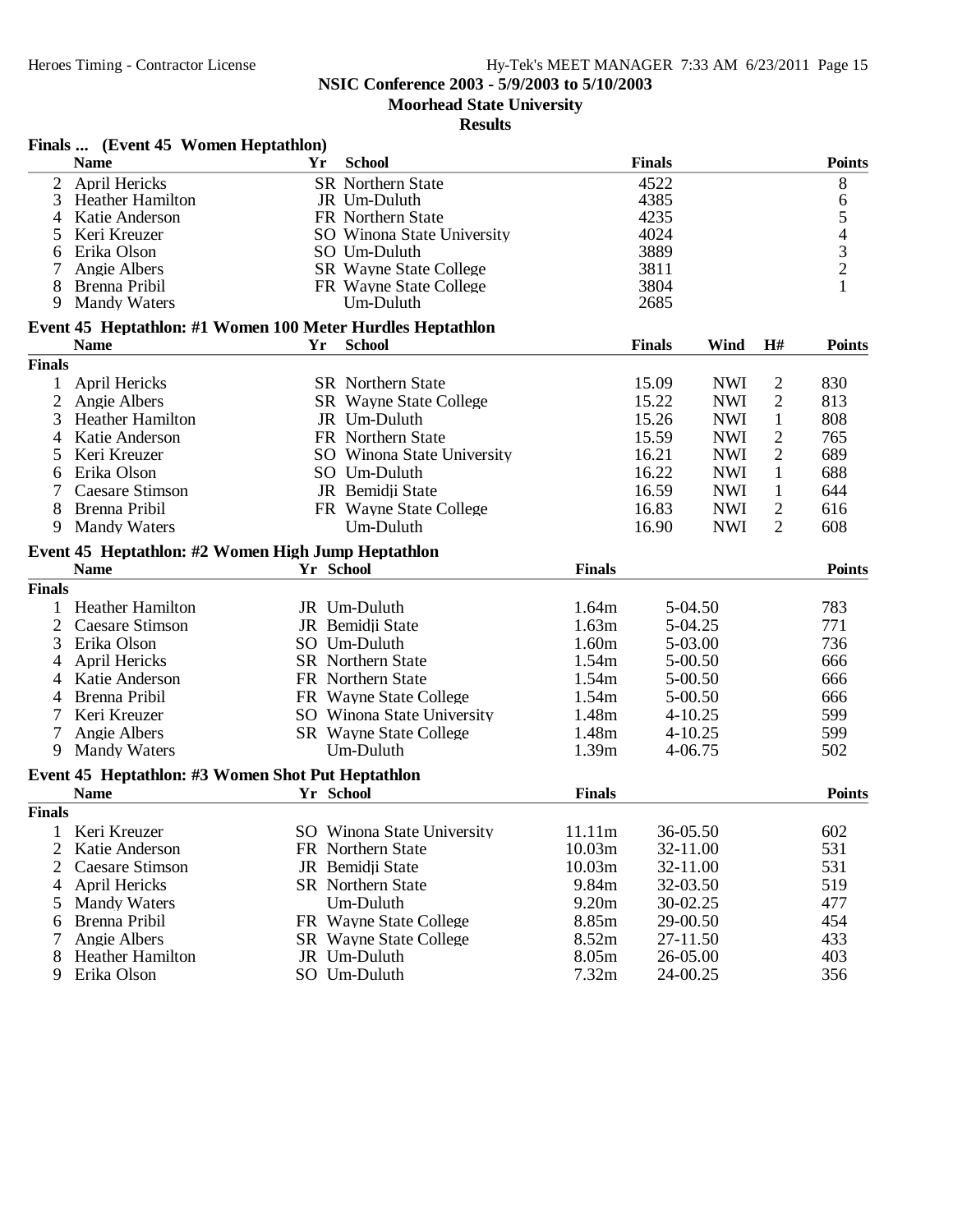### **NSIC Conference 2003 - 5/9/2003 to 5/10/2003**

**Moorhead State University**

|                | Finals  (Event 45 Women Heptathlon)                        |    |                               |               |               |             |                |                                                 |
|----------------|------------------------------------------------------------|----|-------------------------------|---------------|---------------|-------------|----------------|-------------------------------------------------|
|                | <b>Name</b>                                                | Yr | <b>School</b>                 |               | <b>Finals</b> |             |                | <b>Points</b>                                   |
| $\overline{2}$ | April Hericks                                              |    | <b>SR</b> Northern State      |               | 4522          |             |                | 8                                               |
| 3              | <b>Heather Hamilton</b>                                    |    | JR Um-Duluth                  |               | 4385          |             |                | 6                                               |
| 4              | Katie Anderson                                             |    | FR Northern State             |               | 4235          |             |                |                                                 |
| 5              | Keri Kreuzer                                               |    | SO Winona State University    |               | 4024          |             |                | $\begin{array}{c} 5 \\ 4 \\ 3 \\ 2 \end{array}$ |
| 6              | Erika Olson                                                |    | SO Um-Duluth                  |               | 3889          |             |                |                                                 |
| 7              | Angie Albers                                               |    | <b>SR</b> Wayne State College |               | 3811          |             |                |                                                 |
| 8              | Brenna Pribil                                              |    | FR Wayne State College        |               | 3804          |             |                | $\mathbf{1}$                                    |
| 9              | <b>Mandy Waters</b>                                        |    | Um-Duluth                     |               | 2685          |             |                |                                                 |
|                | Event 45 Heptathlon: #1 Women 100 Meter Hurdles Heptathlon |    |                               |               |               |             |                |                                                 |
|                | <b>Name</b>                                                | Yr | <b>School</b>                 |               | <b>Finals</b> | Wind        | H#             | <b>Points</b>                                   |
| <b>Finals</b>  |                                                            |    |                               |               |               |             |                |                                                 |
| 1              | April Hericks                                              |    | <b>SR</b> Northern State      |               | 15.09         | <b>NWI</b>  | 2              | 830                                             |
| 2              | Angie Albers                                               |    | SR Wayne State College        |               | 15.22         | <b>NWI</b>  | $\mathfrak{2}$ | 813                                             |
| 3              | <b>Heather Hamilton</b>                                    |    | JR Um-Duluth                  |               | 15.26         | <b>NWI</b>  | $\mathbf{1}$   | 808                                             |
| 4              | Katie Anderson                                             |    | FR Northern State             |               | 15.59         | <b>NWI</b>  | $\overline{2}$ | 765                                             |
| 5              | Keri Kreuzer                                               |    | SO Winona State University    |               | 16.21         | <b>NWI</b>  | $\mathfrak{2}$ | 689                                             |
| 6              | Erika Olson                                                |    | SO Um-Duluth                  |               | 16.22         | <b>NWI</b>  | 1              | 688                                             |
|                |                                                            |    | JR Bemidii State              |               |               |             |                |                                                 |
|                | Caesare Stimson                                            |    |                               |               | 16.59         | <b>NWI</b>  | $\mathbf{1}$   | 644                                             |
| 8              | Brenna Pribil                                              |    | FR Wayne State College        |               | 16.83         | <b>NWI</b>  | $\overline{2}$ | 616                                             |
| 9              | <b>Mandy Waters</b>                                        |    | Um-Duluth                     |               | 16.90         | <b>NWI</b>  | $\overline{2}$ | 608                                             |
|                | Event 45 Heptathlon: #2 Women High Jump Heptathlon         |    |                               |               |               |             |                |                                                 |
|                | <b>Name</b>                                                |    | Yr School                     | <b>Finals</b> |               |             |                | <b>Points</b>                                   |
| <b>Finals</b>  |                                                            |    |                               |               |               |             |                |                                                 |
|                | 1 Heather Hamilton                                         |    | JR Um-Duluth                  | 1.64m         |               | 5-04.50     |                | 783                                             |
| 2              | <b>Caesare Stimson</b>                                     |    | JR Bemidji State              | 1.63m         |               | 5-04.25     |                | 771                                             |
| 3              | Erika Olson                                                |    | SO Um-Duluth                  | 1.60m         |               | 5-03.00     |                | 736                                             |
| 4              | <b>April Hericks</b>                                       |    | <b>SR</b> Northern State      | 1.54m         |               | $5 - 00.50$ |                | 666                                             |
| 4              | Katie Anderson                                             |    | FR Northern State             | 1.54m         |               | 5-00.50     |                | 666                                             |
| 4              | Brenna Pribil                                              |    | FR Wayne State College        | 1.54m         |               | $5 - 00.50$ |                | 666                                             |
|                | Keri Kreuzer                                               |    | SO Winona State University    | 1.48m         |               | $4 - 10.25$ |                | 599                                             |
|                | Angie Albers                                               |    | <b>SR</b> Wayne State College | 1.48m         |               | $4 - 10.25$ |                | 599                                             |
| 9              | <b>Mandy Waters</b>                                        |    | Um-Duluth                     | 1.39m         |               | 4-06.75     |                | 502                                             |
|                | Event 45 Heptathlon: #3 Women Shot Put Heptathlon          |    |                               |               |               |             |                |                                                 |
|                | <b>Name</b>                                                |    | Yr School                     | <b>Finals</b> |               |             |                | <b>Points</b>                                   |
| <b>Finals</b>  |                                                            |    |                               |               |               |             |                |                                                 |
|                | 1 Keri Kreuzer                                             |    | SO Winona State University    | 11.11m        | 36-05.50      |             |                | 602                                             |
| 2              | Katie Anderson                                             |    | FR Northern State             | 10.03m        | 32-11.00      |             |                | 531                                             |
| 2              | Caesare Stimson                                            |    | JR Bemidji State              | 10.03m        | 32-11.00      |             |                | 531                                             |
|                |                                                            |    | <b>SR</b> Northern State      | 9.84m         |               |             |                | 519                                             |
| 4              | April Hericks                                              |    |                               |               | 32-03.50      |             |                |                                                 |
| 5              | <b>Mandy Waters</b>                                        |    | Um-Duluth                     | 9.20m         | 30-02.25      |             |                | 477                                             |
| 6              | Brenna Pribil                                              |    | FR Wayne State College        | 8.85m         | 29-00.50      |             |                | 454                                             |
|                | Angie Albers                                               |    | <b>SR</b> Wayne State College | 8.52m         | 27-11.50      |             |                | 433                                             |
| 8              | <b>Heather Hamilton</b>                                    |    | JR Um-Duluth                  | 8.05m         | 26-05.00      |             |                | 403                                             |
| 9              | Erika Olson                                                |    | SO Um-Duluth                  | 7.32m         | 24-00.25      |             |                | 356                                             |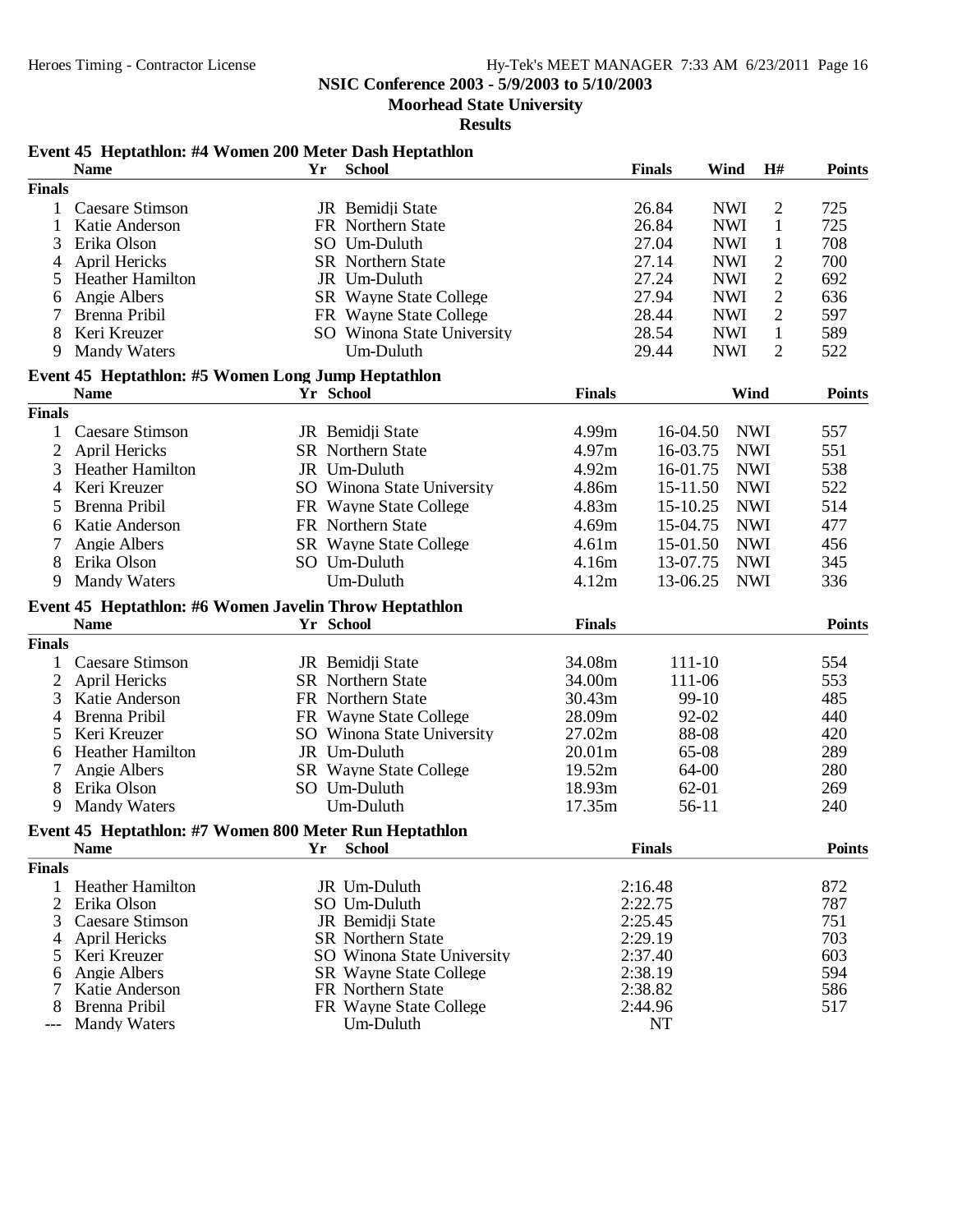**Moorhead State University**

|                | Event 45 Heptathlon: #4 Women 200 Meter Dash Heptathlon |           |                                     |               |                    |                        |                |               |
|----------------|---------------------------------------------------------|-----------|-------------------------------------|---------------|--------------------|------------------------|----------------|---------------|
|                | <b>Name</b>                                             | Yr        | <b>School</b>                       |               | <b>Finals</b>      | Wind                   | H#             | <b>Points</b> |
| <b>Finals</b>  |                                                         |           |                                     |               |                    |                        |                |               |
| $\mathbf{1}$   | Caesare Stimson                                         |           | JR Bemidji State                    |               | 26.84              | <b>NWI</b>             | $\overline{c}$ | 725           |
| 1              | Katie Anderson                                          |           | FR Northern State                   |               | 26.84              | <b>NWI</b>             | $\mathbf{1}$   | 725           |
| 3              | Erika Olson                                             |           | SO Um-Duluth                        |               | 27.04              | <b>NWI</b>             | $\mathbf{1}$   | 708           |
| 4              | April Hericks                                           |           | <b>SR</b> Northern State            |               | 27.14              | <b>NWI</b>             | $\mathfrak{2}$ | 700           |
| 5              | <b>Heather Hamilton</b>                                 |           | JR Um-Duluth                        |               | 27.24              | <b>NWI</b>             | $\overline{2}$ | 692           |
| 6              | Angie Albers                                            |           | SR Wayne State College              |               | 27.94              | <b>NWI</b>             | $\overline{2}$ | 636           |
|                | Brenna Pribil                                           |           | FR Wayne State College              |               | 28.44              | <b>NWI</b>             | $\overline{2}$ | 597           |
| 8              | Keri Kreuzer                                            |           | SO Winona State University          |               | 28.54              | <b>NWI</b>             | $\mathbf{1}$   | 589           |
| 9              | <b>Mandy Waters</b>                                     |           | Um-Duluth                           |               | 29.44              | <b>NWI</b>             | $\overline{2}$ | 522           |
|                | Event 45 Heptathlon: #5 Women Long Jump Heptathlon      |           |                                     |               |                    |                        |                |               |
|                | <b>Name</b>                                             | Yr School |                                     | <b>Finals</b> |                    | Wind                   |                | <b>Points</b> |
| <b>Finals</b>  |                                                         |           |                                     |               |                    |                        |                |               |
| 1              | Caesare Stimson                                         |           | JR Bemidji State                    | 4.99m         |                    | <b>NWI</b><br>16-04.50 |                | 557           |
| $\overline{2}$ | <b>April Hericks</b>                                    |           | SR Northern State                   | 4.97m         | 16-03.75           |                        | <b>NWI</b>     | 551           |
| 3              | Heather Hamilton                                        |           | JR Um-Duluth                        | 4.92m         | 16-01.75           |                        | <b>NWI</b>     | 538           |
| 4              | Keri Kreuzer                                            |           | SO Winona State University          | 4.86m         |                    | 15-11.50               | <b>NWI</b>     | 522           |
| 5              | Brenna Pribil                                           |           | FR Wayne State College              | 4.83m         | 15-10.25           |                        | <b>NWI</b>     | 514           |
| 6              | Katie Anderson                                          |           | FR Northern State                   | 4.69m         | 15-04.75           |                        | <b>NWI</b>     | 477           |
| 7              | Angie Albers                                            |           | <b>SR</b> Wayne State College       | 4.61m         |                    | 15-01.50               | <b>NWI</b>     | 456           |
| 8              | Erika Olson                                             |           | SO Um-Duluth                        | 4.16m         | 13-07.75           |                        | <b>NWI</b>     | 345           |
| 9              | <b>Mandy Waters</b>                                     |           | Um-Duluth                           | 4.12m         | 13-06.25           |                        | <b>NWI</b>     | 336           |
|                |                                                         |           |                                     |               |                    |                        |                |               |
|                | Event 45 Heptathlon: #6 Women Javelin Throw Heptathlon  |           |                                     |               |                    |                        |                |               |
|                | <b>Name</b>                                             |           | Yr School                           | <b>Finals</b> |                    |                        |                | <b>Points</b> |
| <b>Finals</b>  |                                                         |           |                                     |               |                    |                        |                |               |
| 1              | <b>Caesare Stimson</b>                                  |           | JR Bemidji State                    | 34.08m        |                    | 111-10                 |                | 554           |
| 2              | April Hericks                                           |           | <b>SR</b> Northern State            | 34.00m        |                    | 111-06                 |                | 553           |
| 3              | Katie Anderson                                          |           | FR Northern State                   | 30.43m        |                    | 99-10                  |                | 485           |
| 4              | Brenna Pribil                                           |           | FR Wayne State College              | 28.09m        |                    | 92-02                  |                | 440           |
| 5              | Keri Kreuzer                                            |           | SO Winona State University          | 27.02m        |                    | 88-08                  |                | 420           |
| 6              | Heather Hamilton                                        |           | JR Um-Duluth                        | 20.01m        |                    | 65-08                  |                | 289           |
| 7              | Angie Albers                                            |           | SR Wayne State College              | 19.52m        |                    | 64-00                  |                | 280           |
| 8              | Erika Olson                                             |           | SO Um-Duluth                        | 18.93m        |                    | 62-01                  |                | 269           |
| 9              | <b>Mandy Waters</b>                                     |           | Um-Duluth                           | 17.35m        |                    | 56-11                  |                | 240           |
|                | Event 45 Heptathlon: #7 Women 800 Meter Run Heptathlon  |           |                                     |               |                    |                        |                |               |
|                | <b>Name</b>                                             | Yr        | <b>School</b>                       |               | <b>Finals</b>      |                        |                | <b>Points</b> |
| <b>Finals</b>  |                                                         |           |                                     |               |                    |                        |                |               |
| $\mathbf{1}$   | <b>Heather Hamilton</b>                                 |           | JR Um-Duluth                        |               | 2:16.48            |                        |                | 872           |
| $\overline{2}$ | Erika Olson                                             |           | SO Um-Duluth                        |               | 2:22.75            |                        |                | 787           |
| 3              | Caesare Stimson                                         |           | JR Bemidii State                    |               | 2:25.45            |                        |                | 751           |
| 4              | April Hericks                                           |           | <b>SR</b> Northern State            |               | 2:29.19            |                        |                | 703           |
| 5              | Keri Kreuzer                                            |           | SO Winona State University          |               | 2:37.40            |                        |                | 603           |
| 6              | Angie Albers                                            |           | <b>SR</b> Wayne State College       |               | 2:38.19            |                        |                | 594           |
| 7              | Katie Anderson                                          |           | FR Northern State                   |               | 2:38.82<br>2:44.96 |                        |                | 586           |
| 8              | Brenna Pribil                                           |           | FR Wayne State College<br>Um-Duluth |               | <b>NT</b>          |                        |                | 517           |
| $---$          | <b>Mandy Waters</b>                                     |           |                                     |               |                    |                        |                |               |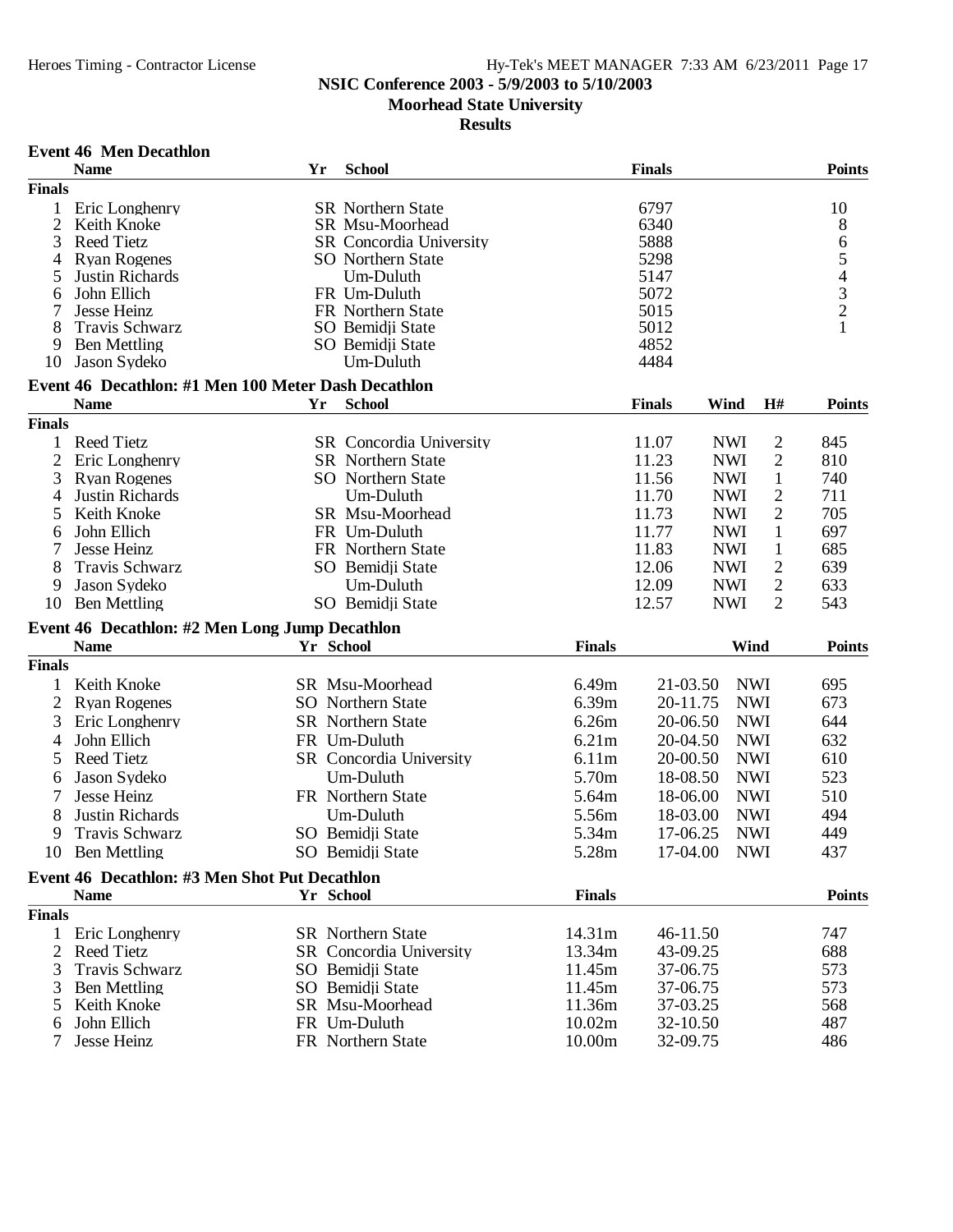# **NSIC Conference 2003 - 5/9/2003 to 5/10/2003**

**Moorhead State University**

|                | <b>Name</b>                                         | Yr | <b>School</b>            |               | <b>Finals</b> |            |                | <b>Points</b> |
|----------------|-----------------------------------------------------|----|--------------------------|---------------|---------------|------------|----------------|---------------|
| <b>Finals</b>  |                                                     |    |                          |               |               |            |                |               |
| $\mathbf{1}$   | Eric Longhenry                                      |    | <b>SR</b> Northern State |               | 6797          |            |                | 10            |
| $\overline{2}$ | Keith Knoke                                         |    | <b>SR Msu-Moorhead</b>   |               | 6340          |            |                | 8             |
| 3              | <b>Reed Tietz</b>                                   |    | SR Concordia University  |               | 5888          |            |                |               |
| 4              | <b>Ryan Rogenes</b>                                 |    | <b>SO</b> Northern State |               | 5298          |            |                |               |
| 5              | Justin Richards                                     |    | Um-Duluth                |               | 5147          |            |                | 65432         |
| 6              | John Ellich                                         |    | FR Um-Duluth             |               | 5072          |            |                |               |
| 7              | Jesse Heinz                                         |    | FR Northern State        |               | 5015          |            |                |               |
| 8              | Travis Schwarz                                      |    | SO Bemidji State         |               | 5012          |            |                | $\mathbf{1}$  |
| 9              | <b>Ben Mettling</b>                                 |    | SO Bemidji State         |               | 4852          |            |                |               |
| 10             | Jason Sydeko                                        |    | Um-Duluth                |               | 4484          |            |                |               |
|                | Event 46 Decathlon: #1 Men 100 Meter Dash Decathlon |    |                          |               |               |            |                |               |
|                | <b>Name</b>                                         | Yr | <b>School</b>            |               | <b>Finals</b> | Wind       | H#             | <b>Points</b> |
| <b>Finals</b>  |                                                     |    |                          |               |               |            |                |               |
| 1              | <b>Reed Tietz</b>                                   |    | SR Concordia University  |               | 11.07         | <b>NWI</b> | $\overline{c}$ | 845           |
| $\overline{2}$ | Eric Longhenry                                      |    | SR Northern State        |               | 11.23         | <b>NWI</b> | $\mathbf{2}$   | 810           |
| 3              | <b>Ryan Rogenes</b>                                 |    | <b>SO</b> Northern State |               | 11.56         | <b>NWI</b> | $\mathbf{1}$   | 740           |
| 4              | Justin Richards                                     |    | Um-Duluth                |               | 11.70         | <b>NWI</b> | $\overline{c}$ | 711           |
| 5              | Keith Knoke                                         |    | SR Msu-Moorhead          |               | 11.73         | <b>NWI</b> | $\overline{2}$ | 705           |
| 6              | John Ellich                                         |    | FR Um-Duluth             |               | 11.77         | <b>NWI</b> | $\mathbf{1}$   | 697           |
| 7              | Jesse Heinz                                         |    | FR Northern State        |               | 11.83         | <b>NWI</b> | $\mathbf{1}$   | 685           |
| 8              | Travis Schwarz                                      |    | SO Bemidji State         |               | 12.06         | <b>NWI</b> | $\overline{2}$ | 639           |
| 9              | Jason Sydeko                                        |    | Um-Duluth                |               | 12.09         | <b>NWI</b> | 2              | 633           |
| 10             | <b>Ben Mettling</b>                                 |    | SO Bemidji State         |               | 12.57         | <b>NWI</b> | $\overline{2}$ | 543           |
|                |                                                     |    |                          |               |               |            |                |               |
|                | Event 46 Decathlon: #2 Men Long Jump Decathlon      |    |                          |               |               |            |                |               |
|                | <b>Name</b>                                         |    | Yr School                | <b>Finals</b> |               | Wind       |                | <b>Points</b> |
| <b>Finals</b>  |                                                     |    |                          |               |               |            |                |               |
| 1              | Keith Knoke                                         |    | SR Msu-Moorhead          | 6.49m         | 21-03.50      | <b>NWI</b> |                | 695           |
| $\overline{2}$ | <b>Ryan Rogenes</b>                                 |    | SO Northern State        | 6.39m         | 20-11.75      | <b>NWI</b> |                | 673           |
| 3              | Eric Longhenry                                      |    | <b>SR</b> Northern State | 6.26m         | 20-06.50      | <b>NWI</b> |                | 644           |
| 4              | John Ellich                                         |    | FR Um-Duluth             | 6.21m         | 20-04.50      | <b>NWI</b> |                | 632           |
| 5              | <b>Reed Tietz</b>                                   |    | SR Concordia University  | 6.11m         | 20-00.50      | <b>NWI</b> |                | 610           |
| 6              | Jason Sydeko                                        |    | Um-Duluth                | 5.70m         | 18-08.50      | <b>NWI</b> |                | 523           |
| 7              | Jesse Heinz                                         |    | FR Northern State        | 5.64m         | 18-06.00      | <b>NWI</b> |                | 510           |
| 8              | Justin Richards                                     |    | Um-Duluth                | 5.56m         | 18-03.00      | <b>NWI</b> |                | 494           |
| 9              | Travis Schwarz                                      |    | SO Bemidji State         | 5.34m         | 17-06.25      | <b>NWI</b> |                | 449           |
|                |                                                     |    |                          |               |               | <b>NWI</b> |                | 437           |
| 10             | <b>Ben Mettling</b>                                 |    | SO Bemidji State         | 5.28m         | 17-04.00      |            |                |               |
|                | Event 46 Decathlon: #3 Men Shot Put Decathlon       |    |                          |               |               |            |                |               |
|                | <b>Name</b>                                         |    | Yr School                | <b>Finals</b> |               |            |                | <b>Points</b> |
| <b>Finals</b>  |                                                     |    |                          |               |               |            |                |               |
| 1              | Eric Longhenry                                      |    | <b>SR</b> Northern State | 14.31m        | 46-11.50      |            |                | 747           |
| 2              | <b>Reed Tietz</b>                                   |    | SR Concordia University  | 13.34m        | 43-09.25      |            |                | 688           |
| 3              | <b>Travis Schwarz</b>                               |    | SO Bemidji State         | 11.45m        | 37-06.75      |            |                | 573           |
| 3              | <b>Ben Mettling</b>                                 |    | SO Bemidji State         | 11.45m        | 37-06.75      |            |                | 573           |
| 5              | Keith Knoke                                         |    | SR Msu-Moorhead          | 11.36m        | 37-03.25      |            |                | 568           |
| 6              | John Ellich                                         |    | FR Um-Duluth             | 10.02m        | 32-10.50      |            |                | 487           |
| 7              | Jesse Heinz                                         |    | FR Northern State        | 10.00m        | 32-09.75      |            |                | 486           |
|                |                                                     |    |                          |               |               |            |                |               |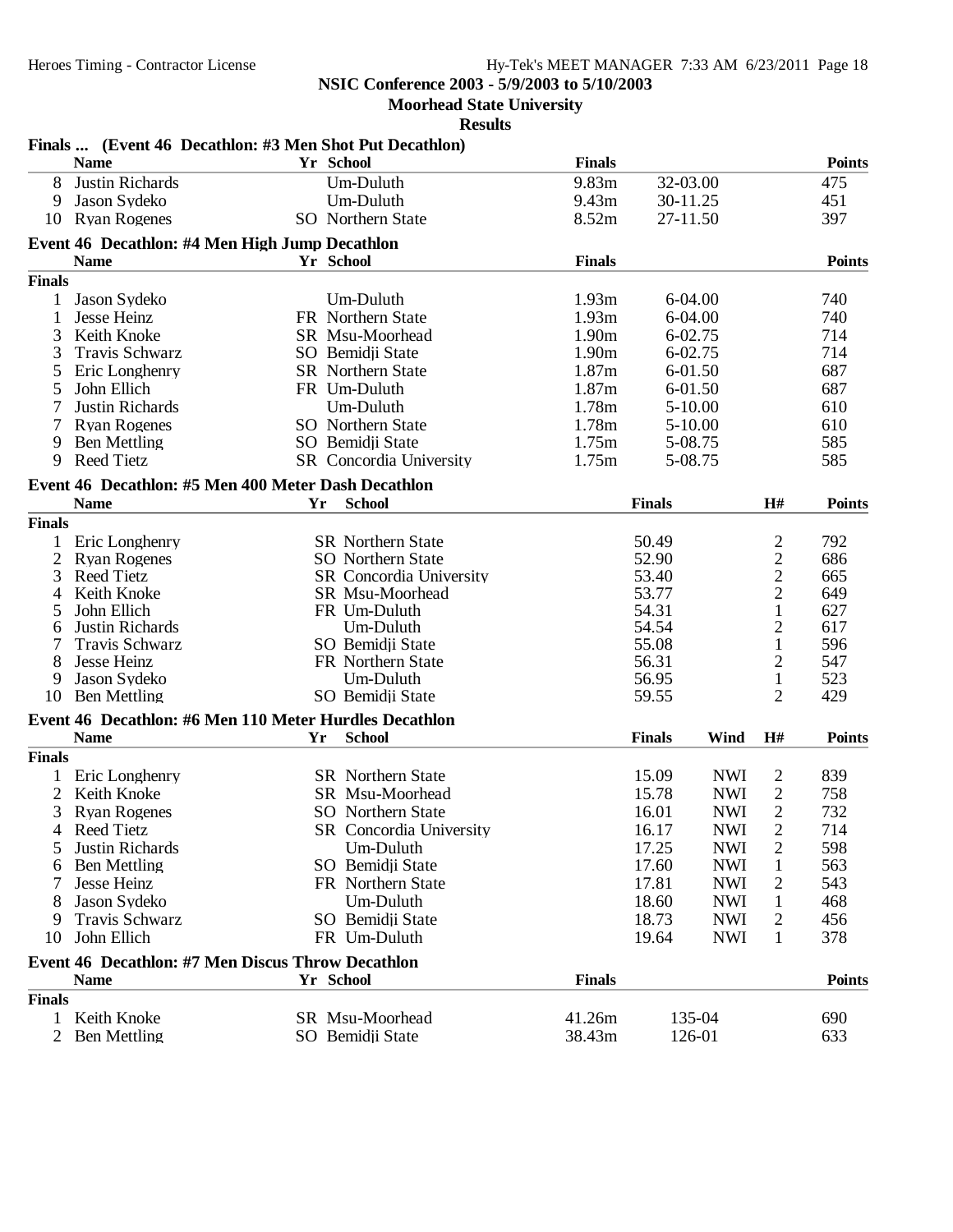**Moorhead State University**

| <b>Finals</b><br><b>Points</b><br><b>Name</b><br>Yr School<br>9.83m<br>8<br>Justin Richards<br>32-03.00<br>475<br>Um-Duluth<br>Jason Sydeko<br>Um-Duluth<br>9.43 <sub>m</sub><br>30-11.25<br>451<br>9<br>8.52m<br>397<br><b>Ryan Rogenes</b><br><b>SO</b> Northern State<br>27-11.50<br>10<br>Event 46 Decathlon: #4 Men High Jump Decathlon<br><b>Finals</b><br><b>Name</b><br>Yr School<br><b>Points</b><br><b>Finals</b><br>1.93m<br>6-04.00<br>740<br>Jason Sydeko<br>Um-Duluth<br>1<br>1.93m<br>1<br>$6 - 04.00$<br>740<br>Jesse Heinz<br>FR Northern State<br>3<br>Keith Knoke<br>1.90m<br>6-02.75<br>714<br>SR Msu-Moorhead<br>3<br>1.90m<br>6-02.75<br>714<br><b>Travis Schwarz</b><br>SO Bemidji State<br>1.87m<br>687<br>SR Northern State<br>5<br>Eric Longhenry<br>6-01.50<br>1.87m<br>687<br>5<br>John Ellich<br>FR Um-Duluth<br>6-01.50<br>1.78m<br>Justin Richards<br>Um-Duluth<br>$5 - 10.00$<br>610<br>SO Northern State<br>1.78m<br>610<br><b>Ryan Rogenes</b><br>$5 - 10.00$<br>585<br><b>Ben Mettling</b><br>1.75m<br>5-08.75<br>9<br>SO Bemidii State<br>1.75m<br>585<br><b>Reed Tietz</b><br>5-08.75<br>9<br>SR Concordia University<br>Event 46 Decathlon: #5 Men 400 Meter Dash Decathlon<br>H#<br><b>Points</b><br><b>Name</b><br>Yr<br><b>School</b><br><b>Finals</b><br><b>Finals</b><br>$\overline{c}$<br>792<br>Eric Longhenry<br><b>SR</b> Northern State<br>50.49<br>1<br>$\sqrt{2}$<br>$\overline{2}$<br>52.90<br><b>SO</b> Northern State<br>686<br><b>Ryan Rogenes</b><br>$\overline{c}$<br>3<br>53.40<br><b>Reed Tietz</b><br>SR Concordia University<br>665<br>$\overline{2}$<br>Keith Knoke<br>SR Msu-Moorhead<br>53.77<br>649<br>4<br>John Ellich<br>FR Um-Duluth<br>54.31<br>1<br>627<br>5<br>$\overline{c}$<br>Justin Richards<br>Um-Duluth<br>54.54<br>617<br>6<br>$\mathbf{1}$<br>596<br>55.08<br>Travis Schwarz<br>SO Bemidji State<br>$\overline{c}$<br>8<br>Jesse Heinz<br>56.31<br>547<br>FR Northern State<br>56.95<br>1<br>523<br>Jason Sydeko<br>Um-Duluth<br>9<br>2<br><b>Ben Mettling</b><br>SO Bemidji State<br>429<br>10<br>59.55<br>Event 46 Decathlon: #6 Men 110 Meter Hurdles Decathlon<br><b>Name</b><br>Yr<br><b>School</b><br><b>Finals</b><br>Wind<br>H#<br><b>Points</b><br><b>Finals</b><br>Eric Longhenry<br>SR Northern State<br>15.09<br><b>NWI</b><br>2<br>839<br>1<br>2<br>Keith Knoke<br>SR Msu-Moorhead<br>$\overline{c}$<br>15.78<br><b>NWI</b><br>758<br>$\overline{2}$<br>SO Northern State<br>16.01<br><b>NWI</b><br>732<br>3<br><b>Ryan Rogenes</b><br>$\mathfrak{2}$<br><b>NWI</b><br>714<br>4 Reed Tietz<br>SR Concordia University<br>16.17<br><b>NWI</b><br>Justin Richards<br>17.25<br>$\overline{2}$<br>598<br>5<br>Um-Duluth<br>SO Bemidji State<br><b>NWI</b><br>563<br><b>Ben Mettling</b><br>17.60<br>1<br>6<br>Jesse Heinz<br>FR Northern State<br>17.81<br><b>NWI</b><br>543<br>2<br>Jason Sydeko<br>Um-Duluth<br>18.60<br><b>NWI</b><br>468<br>1<br>Travis Schwarz<br><b>NWI</b><br>SO Bemidji State<br>18.73<br>456<br>2<br>9<br>John Ellich<br>FR Um-Duluth<br><b>NWI</b><br>378<br>19.64<br>1<br>10<br>Event 46 Decathlon: #7 Men Discus Throw Decathlon<br><b>Finals</b><br><b>Points</b><br><b>Name</b><br>Yr School<br><b>Finals</b><br>SR Msu-Moorhead<br>41.26m<br>135-04<br>Keith Knoke<br>690<br>1<br>38.43m<br><b>Ben Mettling</b><br>SO Bemidji State<br>126-01<br>633<br>2 | Finals  (Event 46 Decathlon: #3 Men Shot Put Decathlon) |  |  |  |  |
|---------------------------------------------------------------------------------------------------------------------------------------------------------------------------------------------------------------------------------------------------------------------------------------------------------------------------------------------------------------------------------------------------------------------------------------------------------------------------------------------------------------------------------------------------------------------------------------------------------------------------------------------------------------------------------------------------------------------------------------------------------------------------------------------------------------------------------------------------------------------------------------------------------------------------------------------------------------------------------------------------------------------------------------------------------------------------------------------------------------------------------------------------------------------------------------------------------------------------------------------------------------------------------------------------------------------------------------------------------------------------------------------------------------------------------------------------------------------------------------------------------------------------------------------------------------------------------------------------------------------------------------------------------------------------------------------------------------------------------------------------------------------------------------------------------------------------------------------------------------------------------------------------------------------------------------------------------------------------------------------------------------------------------------------------------------------------------------------------------------------------------------------------------------------------------------------------------------------------------------------------------------------------------------------------------------------------------------------------------------------------------------------------------------------------------------------------------------------------------------------------------------------------------------------------------------------------------------------------------------------------------------------------------------------------------------------------------------------------------------------------------------------------------------------------------------------------------------------------------------------------------------------------------------------------------------------------------------------------------------------------------------------------------------------------------------------------------------------------------------------------------------------------------------------------------------------------------------------------------------------------------------------------------------------------------------------------------------------------------------------------------|---------------------------------------------------------|--|--|--|--|
|                                                                                                                                                                                                                                                                                                                                                                                                                                                                                                                                                                                                                                                                                                                                                                                                                                                                                                                                                                                                                                                                                                                                                                                                                                                                                                                                                                                                                                                                                                                                                                                                                                                                                                                                                                                                                                                                                                                                                                                                                                                                                                                                                                                                                                                                                                                                                                                                                                                                                                                                                                                                                                                                                                                                                                                                                                                                                                                                                                                                                                                                                                                                                                                                                                                                                                                                                                                 |                                                         |  |  |  |  |
|                                                                                                                                                                                                                                                                                                                                                                                                                                                                                                                                                                                                                                                                                                                                                                                                                                                                                                                                                                                                                                                                                                                                                                                                                                                                                                                                                                                                                                                                                                                                                                                                                                                                                                                                                                                                                                                                                                                                                                                                                                                                                                                                                                                                                                                                                                                                                                                                                                                                                                                                                                                                                                                                                                                                                                                                                                                                                                                                                                                                                                                                                                                                                                                                                                                                                                                                                                                 |                                                         |  |  |  |  |
|                                                                                                                                                                                                                                                                                                                                                                                                                                                                                                                                                                                                                                                                                                                                                                                                                                                                                                                                                                                                                                                                                                                                                                                                                                                                                                                                                                                                                                                                                                                                                                                                                                                                                                                                                                                                                                                                                                                                                                                                                                                                                                                                                                                                                                                                                                                                                                                                                                                                                                                                                                                                                                                                                                                                                                                                                                                                                                                                                                                                                                                                                                                                                                                                                                                                                                                                                                                 |                                                         |  |  |  |  |
|                                                                                                                                                                                                                                                                                                                                                                                                                                                                                                                                                                                                                                                                                                                                                                                                                                                                                                                                                                                                                                                                                                                                                                                                                                                                                                                                                                                                                                                                                                                                                                                                                                                                                                                                                                                                                                                                                                                                                                                                                                                                                                                                                                                                                                                                                                                                                                                                                                                                                                                                                                                                                                                                                                                                                                                                                                                                                                                                                                                                                                                                                                                                                                                                                                                                                                                                                                                 |                                                         |  |  |  |  |
|                                                                                                                                                                                                                                                                                                                                                                                                                                                                                                                                                                                                                                                                                                                                                                                                                                                                                                                                                                                                                                                                                                                                                                                                                                                                                                                                                                                                                                                                                                                                                                                                                                                                                                                                                                                                                                                                                                                                                                                                                                                                                                                                                                                                                                                                                                                                                                                                                                                                                                                                                                                                                                                                                                                                                                                                                                                                                                                                                                                                                                                                                                                                                                                                                                                                                                                                                                                 |                                                         |  |  |  |  |
|                                                                                                                                                                                                                                                                                                                                                                                                                                                                                                                                                                                                                                                                                                                                                                                                                                                                                                                                                                                                                                                                                                                                                                                                                                                                                                                                                                                                                                                                                                                                                                                                                                                                                                                                                                                                                                                                                                                                                                                                                                                                                                                                                                                                                                                                                                                                                                                                                                                                                                                                                                                                                                                                                                                                                                                                                                                                                                                                                                                                                                                                                                                                                                                                                                                                                                                                                                                 |                                                         |  |  |  |  |
|                                                                                                                                                                                                                                                                                                                                                                                                                                                                                                                                                                                                                                                                                                                                                                                                                                                                                                                                                                                                                                                                                                                                                                                                                                                                                                                                                                                                                                                                                                                                                                                                                                                                                                                                                                                                                                                                                                                                                                                                                                                                                                                                                                                                                                                                                                                                                                                                                                                                                                                                                                                                                                                                                                                                                                                                                                                                                                                                                                                                                                                                                                                                                                                                                                                                                                                                                                                 |                                                         |  |  |  |  |
|                                                                                                                                                                                                                                                                                                                                                                                                                                                                                                                                                                                                                                                                                                                                                                                                                                                                                                                                                                                                                                                                                                                                                                                                                                                                                                                                                                                                                                                                                                                                                                                                                                                                                                                                                                                                                                                                                                                                                                                                                                                                                                                                                                                                                                                                                                                                                                                                                                                                                                                                                                                                                                                                                                                                                                                                                                                                                                                                                                                                                                                                                                                                                                                                                                                                                                                                                                                 |                                                         |  |  |  |  |
|                                                                                                                                                                                                                                                                                                                                                                                                                                                                                                                                                                                                                                                                                                                                                                                                                                                                                                                                                                                                                                                                                                                                                                                                                                                                                                                                                                                                                                                                                                                                                                                                                                                                                                                                                                                                                                                                                                                                                                                                                                                                                                                                                                                                                                                                                                                                                                                                                                                                                                                                                                                                                                                                                                                                                                                                                                                                                                                                                                                                                                                                                                                                                                                                                                                                                                                                                                                 |                                                         |  |  |  |  |
|                                                                                                                                                                                                                                                                                                                                                                                                                                                                                                                                                                                                                                                                                                                                                                                                                                                                                                                                                                                                                                                                                                                                                                                                                                                                                                                                                                                                                                                                                                                                                                                                                                                                                                                                                                                                                                                                                                                                                                                                                                                                                                                                                                                                                                                                                                                                                                                                                                                                                                                                                                                                                                                                                                                                                                                                                                                                                                                                                                                                                                                                                                                                                                                                                                                                                                                                                                                 |                                                         |  |  |  |  |
|                                                                                                                                                                                                                                                                                                                                                                                                                                                                                                                                                                                                                                                                                                                                                                                                                                                                                                                                                                                                                                                                                                                                                                                                                                                                                                                                                                                                                                                                                                                                                                                                                                                                                                                                                                                                                                                                                                                                                                                                                                                                                                                                                                                                                                                                                                                                                                                                                                                                                                                                                                                                                                                                                                                                                                                                                                                                                                                                                                                                                                                                                                                                                                                                                                                                                                                                                                                 |                                                         |  |  |  |  |
|                                                                                                                                                                                                                                                                                                                                                                                                                                                                                                                                                                                                                                                                                                                                                                                                                                                                                                                                                                                                                                                                                                                                                                                                                                                                                                                                                                                                                                                                                                                                                                                                                                                                                                                                                                                                                                                                                                                                                                                                                                                                                                                                                                                                                                                                                                                                                                                                                                                                                                                                                                                                                                                                                                                                                                                                                                                                                                                                                                                                                                                                                                                                                                                                                                                                                                                                                                                 |                                                         |  |  |  |  |
|                                                                                                                                                                                                                                                                                                                                                                                                                                                                                                                                                                                                                                                                                                                                                                                                                                                                                                                                                                                                                                                                                                                                                                                                                                                                                                                                                                                                                                                                                                                                                                                                                                                                                                                                                                                                                                                                                                                                                                                                                                                                                                                                                                                                                                                                                                                                                                                                                                                                                                                                                                                                                                                                                                                                                                                                                                                                                                                                                                                                                                                                                                                                                                                                                                                                                                                                                                                 |                                                         |  |  |  |  |
|                                                                                                                                                                                                                                                                                                                                                                                                                                                                                                                                                                                                                                                                                                                                                                                                                                                                                                                                                                                                                                                                                                                                                                                                                                                                                                                                                                                                                                                                                                                                                                                                                                                                                                                                                                                                                                                                                                                                                                                                                                                                                                                                                                                                                                                                                                                                                                                                                                                                                                                                                                                                                                                                                                                                                                                                                                                                                                                                                                                                                                                                                                                                                                                                                                                                                                                                                                                 |                                                         |  |  |  |  |
|                                                                                                                                                                                                                                                                                                                                                                                                                                                                                                                                                                                                                                                                                                                                                                                                                                                                                                                                                                                                                                                                                                                                                                                                                                                                                                                                                                                                                                                                                                                                                                                                                                                                                                                                                                                                                                                                                                                                                                                                                                                                                                                                                                                                                                                                                                                                                                                                                                                                                                                                                                                                                                                                                                                                                                                                                                                                                                                                                                                                                                                                                                                                                                                                                                                                                                                                                                                 |                                                         |  |  |  |  |
|                                                                                                                                                                                                                                                                                                                                                                                                                                                                                                                                                                                                                                                                                                                                                                                                                                                                                                                                                                                                                                                                                                                                                                                                                                                                                                                                                                                                                                                                                                                                                                                                                                                                                                                                                                                                                                                                                                                                                                                                                                                                                                                                                                                                                                                                                                                                                                                                                                                                                                                                                                                                                                                                                                                                                                                                                                                                                                                                                                                                                                                                                                                                                                                                                                                                                                                                                                                 |                                                         |  |  |  |  |
|                                                                                                                                                                                                                                                                                                                                                                                                                                                                                                                                                                                                                                                                                                                                                                                                                                                                                                                                                                                                                                                                                                                                                                                                                                                                                                                                                                                                                                                                                                                                                                                                                                                                                                                                                                                                                                                                                                                                                                                                                                                                                                                                                                                                                                                                                                                                                                                                                                                                                                                                                                                                                                                                                                                                                                                                                                                                                                                                                                                                                                                                                                                                                                                                                                                                                                                                                                                 |                                                         |  |  |  |  |
|                                                                                                                                                                                                                                                                                                                                                                                                                                                                                                                                                                                                                                                                                                                                                                                                                                                                                                                                                                                                                                                                                                                                                                                                                                                                                                                                                                                                                                                                                                                                                                                                                                                                                                                                                                                                                                                                                                                                                                                                                                                                                                                                                                                                                                                                                                                                                                                                                                                                                                                                                                                                                                                                                                                                                                                                                                                                                                                                                                                                                                                                                                                                                                                                                                                                                                                                                                                 |                                                         |  |  |  |  |
|                                                                                                                                                                                                                                                                                                                                                                                                                                                                                                                                                                                                                                                                                                                                                                                                                                                                                                                                                                                                                                                                                                                                                                                                                                                                                                                                                                                                                                                                                                                                                                                                                                                                                                                                                                                                                                                                                                                                                                                                                                                                                                                                                                                                                                                                                                                                                                                                                                                                                                                                                                                                                                                                                                                                                                                                                                                                                                                                                                                                                                                                                                                                                                                                                                                                                                                                                                                 |                                                         |  |  |  |  |
|                                                                                                                                                                                                                                                                                                                                                                                                                                                                                                                                                                                                                                                                                                                                                                                                                                                                                                                                                                                                                                                                                                                                                                                                                                                                                                                                                                                                                                                                                                                                                                                                                                                                                                                                                                                                                                                                                                                                                                                                                                                                                                                                                                                                                                                                                                                                                                                                                                                                                                                                                                                                                                                                                                                                                                                                                                                                                                                                                                                                                                                                                                                                                                                                                                                                                                                                                                                 |                                                         |  |  |  |  |
|                                                                                                                                                                                                                                                                                                                                                                                                                                                                                                                                                                                                                                                                                                                                                                                                                                                                                                                                                                                                                                                                                                                                                                                                                                                                                                                                                                                                                                                                                                                                                                                                                                                                                                                                                                                                                                                                                                                                                                                                                                                                                                                                                                                                                                                                                                                                                                                                                                                                                                                                                                                                                                                                                                                                                                                                                                                                                                                                                                                                                                                                                                                                                                                                                                                                                                                                                                                 |                                                         |  |  |  |  |
|                                                                                                                                                                                                                                                                                                                                                                                                                                                                                                                                                                                                                                                                                                                                                                                                                                                                                                                                                                                                                                                                                                                                                                                                                                                                                                                                                                                                                                                                                                                                                                                                                                                                                                                                                                                                                                                                                                                                                                                                                                                                                                                                                                                                                                                                                                                                                                                                                                                                                                                                                                                                                                                                                                                                                                                                                                                                                                                                                                                                                                                                                                                                                                                                                                                                                                                                                                                 |                                                         |  |  |  |  |
|                                                                                                                                                                                                                                                                                                                                                                                                                                                                                                                                                                                                                                                                                                                                                                                                                                                                                                                                                                                                                                                                                                                                                                                                                                                                                                                                                                                                                                                                                                                                                                                                                                                                                                                                                                                                                                                                                                                                                                                                                                                                                                                                                                                                                                                                                                                                                                                                                                                                                                                                                                                                                                                                                                                                                                                                                                                                                                                                                                                                                                                                                                                                                                                                                                                                                                                                                                                 |                                                         |  |  |  |  |
|                                                                                                                                                                                                                                                                                                                                                                                                                                                                                                                                                                                                                                                                                                                                                                                                                                                                                                                                                                                                                                                                                                                                                                                                                                                                                                                                                                                                                                                                                                                                                                                                                                                                                                                                                                                                                                                                                                                                                                                                                                                                                                                                                                                                                                                                                                                                                                                                                                                                                                                                                                                                                                                                                                                                                                                                                                                                                                                                                                                                                                                                                                                                                                                                                                                                                                                                                                                 |                                                         |  |  |  |  |
|                                                                                                                                                                                                                                                                                                                                                                                                                                                                                                                                                                                                                                                                                                                                                                                                                                                                                                                                                                                                                                                                                                                                                                                                                                                                                                                                                                                                                                                                                                                                                                                                                                                                                                                                                                                                                                                                                                                                                                                                                                                                                                                                                                                                                                                                                                                                                                                                                                                                                                                                                                                                                                                                                                                                                                                                                                                                                                                                                                                                                                                                                                                                                                                                                                                                                                                                                                                 |                                                         |  |  |  |  |
|                                                                                                                                                                                                                                                                                                                                                                                                                                                                                                                                                                                                                                                                                                                                                                                                                                                                                                                                                                                                                                                                                                                                                                                                                                                                                                                                                                                                                                                                                                                                                                                                                                                                                                                                                                                                                                                                                                                                                                                                                                                                                                                                                                                                                                                                                                                                                                                                                                                                                                                                                                                                                                                                                                                                                                                                                                                                                                                                                                                                                                                                                                                                                                                                                                                                                                                                                                                 |                                                         |  |  |  |  |
|                                                                                                                                                                                                                                                                                                                                                                                                                                                                                                                                                                                                                                                                                                                                                                                                                                                                                                                                                                                                                                                                                                                                                                                                                                                                                                                                                                                                                                                                                                                                                                                                                                                                                                                                                                                                                                                                                                                                                                                                                                                                                                                                                                                                                                                                                                                                                                                                                                                                                                                                                                                                                                                                                                                                                                                                                                                                                                                                                                                                                                                                                                                                                                                                                                                                                                                                                                                 |                                                         |  |  |  |  |
|                                                                                                                                                                                                                                                                                                                                                                                                                                                                                                                                                                                                                                                                                                                                                                                                                                                                                                                                                                                                                                                                                                                                                                                                                                                                                                                                                                                                                                                                                                                                                                                                                                                                                                                                                                                                                                                                                                                                                                                                                                                                                                                                                                                                                                                                                                                                                                                                                                                                                                                                                                                                                                                                                                                                                                                                                                                                                                                                                                                                                                                                                                                                                                                                                                                                                                                                                                                 |                                                         |  |  |  |  |
|                                                                                                                                                                                                                                                                                                                                                                                                                                                                                                                                                                                                                                                                                                                                                                                                                                                                                                                                                                                                                                                                                                                                                                                                                                                                                                                                                                                                                                                                                                                                                                                                                                                                                                                                                                                                                                                                                                                                                                                                                                                                                                                                                                                                                                                                                                                                                                                                                                                                                                                                                                                                                                                                                                                                                                                                                                                                                                                                                                                                                                                                                                                                                                                                                                                                                                                                                                                 |                                                         |  |  |  |  |
|                                                                                                                                                                                                                                                                                                                                                                                                                                                                                                                                                                                                                                                                                                                                                                                                                                                                                                                                                                                                                                                                                                                                                                                                                                                                                                                                                                                                                                                                                                                                                                                                                                                                                                                                                                                                                                                                                                                                                                                                                                                                                                                                                                                                                                                                                                                                                                                                                                                                                                                                                                                                                                                                                                                                                                                                                                                                                                                                                                                                                                                                                                                                                                                                                                                                                                                                                                                 |                                                         |  |  |  |  |
|                                                                                                                                                                                                                                                                                                                                                                                                                                                                                                                                                                                                                                                                                                                                                                                                                                                                                                                                                                                                                                                                                                                                                                                                                                                                                                                                                                                                                                                                                                                                                                                                                                                                                                                                                                                                                                                                                                                                                                                                                                                                                                                                                                                                                                                                                                                                                                                                                                                                                                                                                                                                                                                                                                                                                                                                                                                                                                                                                                                                                                                                                                                                                                                                                                                                                                                                                                                 |                                                         |  |  |  |  |
|                                                                                                                                                                                                                                                                                                                                                                                                                                                                                                                                                                                                                                                                                                                                                                                                                                                                                                                                                                                                                                                                                                                                                                                                                                                                                                                                                                                                                                                                                                                                                                                                                                                                                                                                                                                                                                                                                                                                                                                                                                                                                                                                                                                                                                                                                                                                                                                                                                                                                                                                                                                                                                                                                                                                                                                                                                                                                                                                                                                                                                                                                                                                                                                                                                                                                                                                                                                 |                                                         |  |  |  |  |
|                                                                                                                                                                                                                                                                                                                                                                                                                                                                                                                                                                                                                                                                                                                                                                                                                                                                                                                                                                                                                                                                                                                                                                                                                                                                                                                                                                                                                                                                                                                                                                                                                                                                                                                                                                                                                                                                                                                                                                                                                                                                                                                                                                                                                                                                                                                                                                                                                                                                                                                                                                                                                                                                                                                                                                                                                                                                                                                                                                                                                                                                                                                                                                                                                                                                                                                                                                                 |                                                         |  |  |  |  |
|                                                                                                                                                                                                                                                                                                                                                                                                                                                                                                                                                                                                                                                                                                                                                                                                                                                                                                                                                                                                                                                                                                                                                                                                                                                                                                                                                                                                                                                                                                                                                                                                                                                                                                                                                                                                                                                                                                                                                                                                                                                                                                                                                                                                                                                                                                                                                                                                                                                                                                                                                                                                                                                                                                                                                                                                                                                                                                                                                                                                                                                                                                                                                                                                                                                                                                                                                                                 |                                                         |  |  |  |  |
|                                                                                                                                                                                                                                                                                                                                                                                                                                                                                                                                                                                                                                                                                                                                                                                                                                                                                                                                                                                                                                                                                                                                                                                                                                                                                                                                                                                                                                                                                                                                                                                                                                                                                                                                                                                                                                                                                                                                                                                                                                                                                                                                                                                                                                                                                                                                                                                                                                                                                                                                                                                                                                                                                                                                                                                                                                                                                                                                                                                                                                                                                                                                                                                                                                                                                                                                                                                 |                                                         |  |  |  |  |
|                                                                                                                                                                                                                                                                                                                                                                                                                                                                                                                                                                                                                                                                                                                                                                                                                                                                                                                                                                                                                                                                                                                                                                                                                                                                                                                                                                                                                                                                                                                                                                                                                                                                                                                                                                                                                                                                                                                                                                                                                                                                                                                                                                                                                                                                                                                                                                                                                                                                                                                                                                                                                                                                                                                                                                                                                                                                                                                                                                                                                                                                                                                                                                                                                                                                                                                                                                                 |                                                         |  |  |  |  |
|                                                                                                                                                                                                                                                                                                                                                                                                                                                                                                                                                                                                                                                                                                                                                                                                                                                                                                                                                                                                                                                                                                                                                                                                                                                                                                                                                                                                                                                                                                                                                                                                                                                                                                                                                                                                                                                                                                                                                                                                                                                                                                                                                                                                                                                                                                                                                                                                                                                                                                                                                                                                                                                                                                                                                                                                                                                                                                                                                                                                                                                                                                                                                                                                                                                                                                                                                                                 |                                                         |  |  |  |  |
|                                                                                                                                                                                                                                                                                                                                                                                                                                                                                                                                                                                                                                                                                                                                                                                                                                                                                                                                                                                                                                                                                                                                                                                                                                                                                                                                                                                                                                                                                                                                                                                                                                                                                                                                                                                                                                                                                                                                                                                                                                                                                                                                                                                                                                                                                                                                                                                                                                                                                                                                                                                                                                                                                                                                                                                                                                                                                                                                                                                                                                                                                                                                                                                                                                                                                                                                                                                 |                                                         |  |  |  |  |
|                                                                                                                                                                                                                                                                                                                                                                                                                                                                                                                                                                                                                                                                                                                                                                                                                                                                                                                                                                                                                                                                                                                                                                                                                                                                                                                                                                                                                                                                                                                                                                                                                                                                                                                                                                                                                                                                                                                                                                                                                                                                                                                                                                                                                                                                                                                                                                                                                                                                                                                                                                                                                                                                                                                                                                                                                                                                                                                                                                                                                                                                                                                                                                                                                                                                                                                                                                                 |                                                         |  |  |  |  |
|                                                                                                                                                                                                                                                                                                                                                                                                                                                                                                                                                                                                                                                                                                                                                                                                                                                                                                                                                                                                                                                                                                                                                                                                                                                                                                                                                                                                                                                                                                                                                                                                                                                                                                                                                                                                                                                                                                                                                                                                                                                                                                                                                                                                                                                                                                                                                                                                                                                                                                                                                                                                                                                                                                                                                                                                                                                                                                                                                                                                                                                                                                                                                                                                                                                                                                                                                                                 |                                                         |  |  |  |  |
|                                                                                                                                                                                                                                                                                                                                                                                                                                                                                                                                                                                                                                                                                                                                                                                                                                                                                                                                                                                                                                                                                                                                                                                                                                                                                                                                                                                                                                                                                                                                                                                                                                                                                                                                                                                                                                                                                                                                                                                                                                                                                                                                                                                                                                                                                                                                                                                                                                                                                                                                                                                                                                                                                                                                                                                                                                                                                                                                                                                                                                                                                                                                                                                                                                                                                                                                                                                 |                                                         |  |  |  |  |
|                                                                                                                                                                                                                                                                                                                                                                                                                                                                                                                                                                                                                                                                                                                                                                                                                                                                                                                                                                                                                                                                                                                                                                                                                                                                                                                                                                                                                                                                                                                                                                                                                                                                                                                                                                                                                                                                                                                                                                                                                                                                                                                                                                                                                                                                                                                                                                                                                                                                                                                                                                                                                                                                                                                                                                                                                                                                                                                                                                                                                                                                                                                                                                                                                                                                                                                                                                                 |                                                         |  |  |  |  |
|                                                                                                                                                                                                                                                                                                                                                                                                                                                                                                                                                                                                                                                                                                                                                                                                                                                                                                                                                                                                                                                                                                                                                                                                                                                                                                                                                                                                                                                                                                                                                                                                                                                                                                                                                                                                                                                                                                                                                                                                                                                                                                                                                                                                                                                                                                                                                                                                                                                                                                                                                                                                                                                                                                                                                                                                                                                                                                                                                                                                                                                                                                                                                                                                                                                                                                                                                                                 |                                                         |  |  |  |  |
|                                                                                                                                                                                                                                                                                                                                                                                                                                                                                                                                                                                                                                                                                                                                                                                                                                                                                                                                                                                                                                                                                                                                                                                                                                                                                                                                                                                                                                                                                                                                                                                                                                                                                                                                                                                                                                                                                                                                                                                                                                                                                                                                                                                                                                                                                                                                                                                                                                                                                                                                                                                                                                                                                                                                                                                                                                                                                                                                                                                                                                                                                                                                                                                                                                                                                                                                                                                 |                                                         |  |  |  |  |
|                                                                                                                                                                                                                                                                                                                                                                                                                                                                                                                                                                                                                                                                                                                                                                                                                                                                                                                                                                                                                                                                                                                                                                                                                                                                                                                                                                                                                                                                                                                                                                                                                                                                                                                                                                                                                                                                                                                                                                                                                                                                                                                                                                                                                                                                                                                                                                                                                                                                                                                                                                                                                                                                                                                                                                                                                                                                                                                                                                                                                                                                                                                                                                                                                                                                                                                                                                                 |                                                         |  |  |  |  |
|                                                                                                                                                                                                                                                                                                                                                                                                                                                                                                                                                                                                                                                                                                                                                                                                                                                                                                                                                                                                                                                                                                                                                                                                                                                                                                                                                                                                                                                                                                                                                                                                                                                                                                                                                                                                                                                                                                                                                                                                                                                                                                                                                                                                                                                                                                                                                                                                                                                                                                                                                                                                                                                                                                                                                                                                                                                                                                                                                                                                                                                                                                                                                                                                                                                                                                                                                                                 |                                                         |  |  |  |  |
|                                                                                                                                                                                                                                                                                                                                                                                                                                                                                                                                                                                                                                                                                                                                                                                                                                                                                                                                                                                                                                                                                                                                                                                                                                                                                                                                                                                                                                                                                                                                                                                                                                                                                                                                                                                                                                                                                                                                                                                                                                                                                                                                                                                                                                                                                                                                                                                                                                                                                                                                                                                                                                                                                                                                                                                                                                                                                                                                                                                                                                                                                                                                                                                                                                                                                                                                                                                 |                                                         |  |  |  |  |
|                                                                                                                                                                                                                                                                                                                                                                                                                                                                                                                                                                                                                                                                                                                                                                                                                                                                                                                                                                                                                                                                                                                                                                                                                                                                                                                                                                                                                                                                                                                                                                                                                                                                                                                                                                                                                                                                                                                                                                                                                                                                                                                                                                                                                                                                                                                                                                                                                                                                                                                                                                                                                                                                                                                                                                                                                                                                                                                                                                                                                                                                                                                                                                                                                                                                                                                                                                                 |                                                         |  |  |  |  |
|                                                                                                                                                                                                                                                                                                                                                                                                                                                                                                                                                                                                                                                                                                                                                                                                                                                                                                                                                                                                                                                                                                                                                                                                                                                                                                                                                                                                                                                                                                                                                                                                                                                                                                                                                                                                                                                                                                                                                                                                                                                                                                                                                                                                                                                                                                                                                                                                                                                                                                                                                                                                                                                                                                                                                                                                                                                                                                                                                                                                                                                                                                                                                                                                                                                                                                                                                                                 |                                                         |  |  |  |  |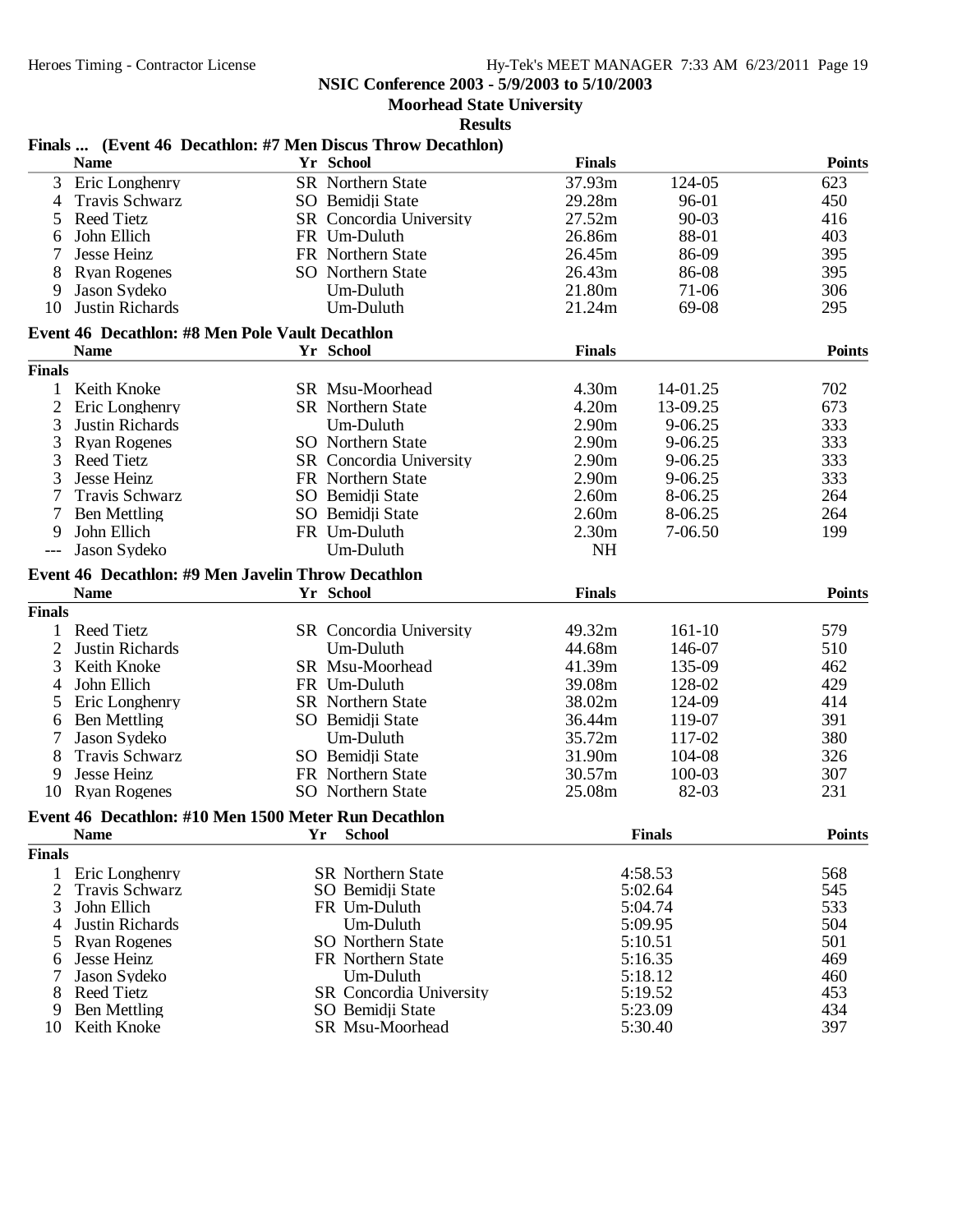# **NSIC Conference 2003 - 5/9/2003 to 5/10/2003**

**Moorhead State University**

|               |                                                        | Finals  (Event 46 Decathlon: #7 Men Discus Throw Decathlon) |                   |               |               |
|---------------|--------------------------------------------------------|-------------------------------------------------------------|-------------------|---------------|---------------|
|               | <b>Name</b>                                            | Yr School                                                   | <b>Finals</b>     |               | <b>Points</b> |
| 3             | Eric Longhenry                                         | <b>SR</b> Northern State                                    | 37.93m            | 124-05        | 623           |
| 4             | Travis Schwarz                                         | SO Bemidji State                                            | 29.28m            | 96-01         | 450           |
| 5             | <b>Reed Tietz</b>                                      | <b>SR</b> Concordia University                              | 27.52m            | $90 - 03$     | 416           |
| 6             | John Ellich                                            | FR Um-Duluth                                                | 26.86m            | 88-01         | 403           |
|               | Jesse Heinz                                            | FR Northern State                                           | 26.45m            | 86-09         | 395           |
| 8             | <b>Ryan Rogenes</b>                                    | SO Northern State                                           | 26.43m            | 86-08         | 395           |
| 9             | Jason Sydeko                                           | Um-Duluth                                                   | 21.80m            | 71-06         | 306           |
| 10            | <b>Justin Richards</b>                                 | Um-Duluth                                                   | 21.24m            | 69-08         | 295           |
|               | <b>Event 46 Decathlon: #8 Men Pole Vault Decathlon</b> |                                                             |                   |               |               |
|               | <b>Name</b>                                            | Yr School                                                   | <b>Finals</b>     |               | <b>Points</b> |
| <b>Finals</b> |                                                        |                                                             |                   |               |               |
|               |                                                        |                                                             |                   |               |               |
|               | 1 Keith Knoke                                          | SR Msu-Moorhead                                             | 4.30m             | 14-01.25      | 702           |
| 2             | Eric Longhenry                                         | <b>SR</b> Northern State                                    | 4.20m             | 13-09.25      | 673           |
| 3             | Justin Richards                                        | Um-Duluth                                                   | 2.90 <sub>m</sub> | 9-06.25       | 333           |
| 3             | <b>Ryan Rogenes</b>                                    | <b>SO</b> Northern State                                    | 2.90 <sub>m</sub> | 9-06.25       | 333           |
| 3             | <b>Reed Tietz</b>                                      | SR Concordia University                                     | 2.90 <sub>m</sub> | 9-06.25       | 333           |
| 3             | Jesse Heinz                                            | FR Northern State                                           | 2.90 <sub>m</sub> | $9 - 06.25$   | 333           |
|               | Travis Schwarz                                         | SO Bemidji State                                            | 2.60m             | 8-06.25       | 264           |
|               | <b>Ben Mettling</b>                                    | SO Bemidji State                                            | 2.60 <sub>m</sub> | 8-06.25       | 264           |
| 9             | John Ellich                                            | FR Um-Duluth                                                | 2.30 <sub>m</sub> | $7-06.50$     | 199           |
|               | Jason Sydeko                                           | Um-Duluth                                                   | <b>NH</b>         |               |               |
|               | Event 46 Decathlon: #9 Men Javelin Throw Decathlon     |                                                             |                   |               |               |
|               | <b>Name</b>                                            | Yr School                                                   | <b>Finals</b>     |               | <b>Points</b> |
|               |                                                        |                                                             |                   |               |               |
| <b>Finals</b> |                                                        |                                                             |                   |               |               |
|               | 1 Reed Tietz                                           | SR Concordia University                                     | 49.32m            | $161-10$      | 579           |
| 2             | Justin Richards                                        | Um-Duluth                                                   | 44.68m            | 146-07        | 510           |
| 3             | Keith Knoke                                            | SR Msu-Moorhead                                             | 41.39m            | 135-09        | 462           |
| 4             | John Ellich                                            | FR Um-Duluth                                                | 39.08m            | 128-02        | 429           |
| 5             | Eric Longhenry                                         | <b>SR</b> Northern State                                    | 38.02m            | 124-09        | 414           |
| 6             | <b>Ben Mettling</b>                                    | SO Bemidji State                                            | 36.44m            | 119-07        | 391           |
|               | Jason Sydeko                                           | Um-Duluth                                                   | 35.72m            | 117-02        | 380           |
| 8             | <b>Travis Schwarz</b>                                  | SO Bemidji State                                            | 31.90m            | 104-08        | 326           |
| 9             | Jesse Heinz                                            | FR Northern State                                           | 30.57m            | 100-03        | 307           |
| 10            | <b>Ryan Rogenes</b>                                    | SO Northern State                                           | 25.08m            | 82-03         | 231           |
|               | Event 46 Decathlon: #10 Men 1500 Meter Run Decathlon   |                                                             |                   |               |               |
|               | Name                                                   | Yr School                                                   |                   | <b>Finals</b> | <b>Points</b> |
| <b>Finals</b> |                                                        |                                                             |                   |               |               |
| 1             | Eric Longhenry                                         | SR Northern State                                           |                   | 4:58.53       | 568           |
| 2             | Travis Schwarz                                         | SO Bemidji State                                            |                   | 5:02.64       | 545           |
| 3             | John Ellich                                            | FR Um-Duluth                                                |                   | 5:04.74       | 533           |
| 4             | Justin Richards                                        | Um-Duluth                                                   |                   | 5:09.95       | 504           |
|               | <b>Ryan Rogenes</b>                                    | <b>SO</b> Northern State                                    |                   | 5:10.51       | 501           |
| 5             | Jesse Heinz                                            | FR Northern State                                           |                   | 5:16.35       | 469           |
| 6             | Jason Sydeko                                           | Um-Duluth                                                   |                   | 5:18.12       | 460           |
|               | <b>Reed Tietz</b>                                      | <b>SR</b> Concordia University                              |                   | 5:19.52       | 453           |
| 8<br>9        | <b>Ben Mettling</b>                                    | SO Bemidji State                                            |                   | 5:23.09       | 434           |
| 10            | Keith Knoke                                            | SR Msu-Moorhead                                             |                   | 5:30.40       | 397           |
|               |                                                        |                                                             |                   |               |               |